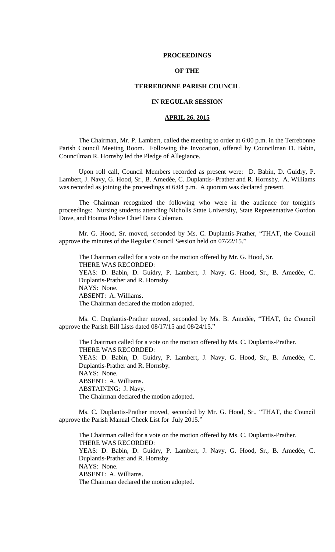### **PROCEEDINGS**

# **OF THE**

## **TERREBONNE PARISH COUNCIL**

# **IN REGULAR SESSION**

# **APRIL 26, 2015**

The Chairman, Mr. P. Lambert, called the meeting to order at 6:00 p.m. in the Terrebonne Parish Council Meeting Room. Following the Invocation, offered by Councilman D. Babin, Councilman R. Hornsby led the Pledge of Allegiance.

Upon roll call, Council Members recorded as present were: D. Babin, D. Guidry, P. Lambert, J. Navy, G. Hood, Sr., B. Amedée, C. Duplantis- Prather and R. Hornsby. A. Williams was recorded as joining the proceedings at 6:04 p.m. A quorum was declared present.

The Chairman recognized the following who were in the audience for tonight's proceedings: Nursing students attending Nicholls State University, State Representative Gordon Dove, and Houma Police Chief Dana Coleman.

Mr. G. Hood, Sr. moved, seconded by Ms. C. Duplantis-Prather, "THAT, the Council approve the minutes of the Regular Council Session held on 07/22/15."

The Chairman called for a vote on the motion offered by Mr. G. Hood, Sr. THERE WAS RECORDED: YEAS: D. Babin, D. Guidry, P. Lambert, J. Navy, G. Hood, Sr., B. Amedée, C. Duplantis-Prather and R. Hornsby. NAYS: None. ABSENT: A. Williams. The Chairman declared the motion adopted.

Ms. C. Duplantis-Prather moved, seconded by Ms. B. Amedée, "THAT, the Council approve the Parish Bill Lists dated 08/17/15 and 08/24/15."

The Chairman called for a vote on the motion offered by Ms. C. Duplantis-Prather. THERE WAS RECORDED: YEAS: D. Babin, D. Guidry, P. Lambert, J. Navy, G. Hood, Sr., B. Amedée, C. Duplantis-Prather and R. Hornsby. NAYS: None. ABSENT: A. Williams. ABSTAINING: J. Navy. The Chairman declared the motion adopted.

Ms. C. Duplantis-Prather moved, seconded by Mr. G. Hood, Sr., "THAT, the Council approve the Parish Manual Check List for July 2015."

The Chairman called for a vote on the motion offered by Ms. C. Duplantis-Prather. THERE WAS RECORDED: YEAS: D. Babin, D. Guidry, P. Lambert, J. Navy, G. Hood, Sr., B. Amedée, C. Duplantis-Prather and R. Hornsby. NAYS: None. ABSENT: A. Williams. The Chairman declared the motion adopted.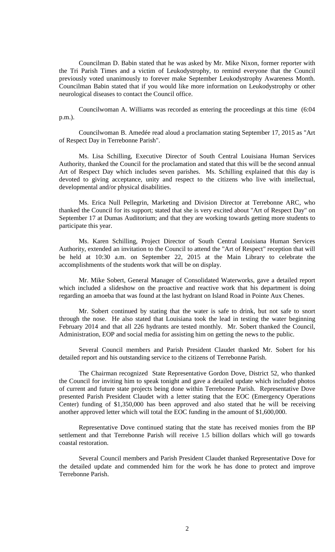Councilman D. Babin stated that he was asked by Mr. Mike Nixon, former reporter with the Tri Parish Times and a victim of Leukodystrophy, to remind everyone that the Council previously voted unanimously to forever make September Leukodystrophy Awareness Month. Councilman Babin stated that if you would like more information on Leukodystrophy or other neurological diseases to contact the Council office.

Councilwoman A. Williams was recorded as entering the proceedings at this time (6:04 p.m.).

Councilwoman B. Amedée read aloud a proclamation stating September 17, 2015 as "Art of Respect Day in Terrebonne Parish".

Ms. Lisa Schilling, Executive Director of South Central Louisiana Human Services Authority, thanked the Council for the proclamation and stated that this will be the second annual Art of Respect Day which includes seven parishes. Ms. Schilling explained that this day is devoted to giving acceptance, unity and respect to the citizens who live with intellectual, developmental and/or physical disabilities.

Ms. Erica Null Pellegrin, Marketing and Division Director at Terrebonne ARC, who thanked the Council for its support; stated that she is very excited about "Art of Respect Day" on September 17 at Dumas Auditorium; and that they are working towards getting more students to participate this year.

Ms. Karen Schilling, Project Director of South Central Louisiana Human Services Authority, extended an invitation to the Council to attend the "Art of Respect" reception that will be held at 10:30 a.m. on September 22, 2015 at the Main Library to celebrate the accomplishments of the students work that will be on display.

Mr. Mike Sobert, General Manager of Consolidated Waterworks, gave a detailed report which included a slideshow on the proactive and reactive work that his department is doing regarding an amoeba that was found at the last hydrant on Island Road in Pointe Aux Chenes.

Mr. Sobert continued by stating that the water is safe to drink, but not safe to snort through the nose. He also stated that Louisiana took the lead in testing the water beginning February 2014 and that all 226 hydrants are tested monthly. Mr. Sobert thanked the Council, Administration, EOP and social media for assisting him on getting the news to the public.

Several Council members and Parish President Claudet thanked Mr. Sobert for his detailed report and his outstanding service to the citizens of Terrebonne Parish.

The Chairman recognized State Representative Gordon Dove, District 52, who thanked the Council for inviting him to speak tonight and gave a detailed update which included photos of current and future state projects being done within Terrebonne Parish. Representative Dove presented Parish President Claudet with a letter stating that the EOC (Emergency Operations Center) funding of \$1,350,000 has been approved and also stated that he will be receiving another approved letter which will total the EOC funding in the amount of \$1,600,000.

Representative Dove continued stating that the state has received monies from the BP settlement and that Terrebonne Parish will receive 1.5 billion dollars which will go towards coastal restoration.

Several Council members and Parish President Claudet thanked Representative Dove for the detailed update and commended him for the work he has done to protect and improve Terrebonne Parish.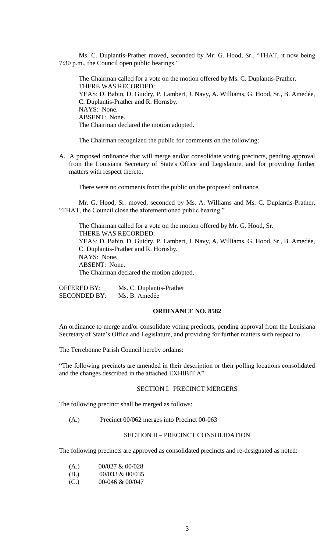Ms. C. Duplantis-Prather moved, seconded by Mr. G. Hood, Sr., "THAT, it now being 7:30 p.m., the Council open public hearings."

The Chairman called for a vote on the motion offered by Ms. C. Duplantis-Prather. THERE WAS RECORDED: YEAS: D. Babin, D. Guidry, P. Lambert, J. Navy, A. Williams, G. Hood, Sr., B. Amedée, C. Duplantis-Prather and R. Hornsby. NAYS: None. ABSENT: None. The Chairman declared the motion adopted.

The Chairman recognized the public for comments on the following:

A. A proposed ordinance that will merge and/or consolidate voting precincts, pending approval from the Louisiana Secretary of State's Office and Legislature, and for providing further matters with respect thereto.

There were no comments from the public on the proposed ordinance.

Mr. G. Hood, Sr. moved, seconded by Ms. A. Williams and Ms. C. Duplantis-Prather, "THAT, the Council close the aforementioned public hearing."

The Chairman called for a vote on the motion offered by Mr. G. Hood, Sr. THERE WAS RECORDED: YEAS: D. Babin, D. Guidry, P. Lambert, J. Navy, A. Williams, G. Hood, Sr., B. Amedée, C. Duplantis-Prather and R. Hornsby. NAYS: None. ABSENT: None. The Chairman declared the motion adopted.

OFFERED BY: Ms. C. Duplantis-Prather SECONDED BY: Ms. B. Amedée

## **ORDINANCE NO. 8582**

An ordinance to merge and/or consolidate voting precincts, pending approval from the Louisiana Secretary of State's Office and Legislature, and providing for further matters with respect to.

The Terrebonne Parish Council hereby ordains:

"The following precincts are amended in their description or their polling locations consolidated and the changes described in the attached EXHIBIT A"

### SECTION I: PRECINCT MERGERS

The following precinct shall be merged as follows:

(A.) Precinct 00/062 merges into Precinct 00-063

# SECTION II – PRECINCT CONSOLIDATION

The following precincts are approved as consolidated precincts and re-designated as noted:

(A.) 00/027 & 00/028 (B.) 00/033 & 00/035

 $(C.)$  00-046 & 00/047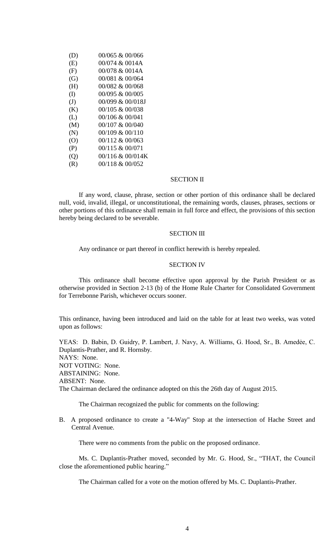| 00/065 & 00/066     |
|---------------------|
| $00/074 \& 0014A$   |
| 00/078 & 0014A      |
| 00/081 & 00/064     |
| 00/082 & 00/068     |
| 00/095 & 00/005     |
| 00/099 & 00/018J    |
| $00/105 \& 00/038$  |
| $00/106 \& 00/041$  |
| 00/107 & 00/040     |
| $00/109$ & $00/110$ |
| $00/112 \& 00/063$  |
| 00/115 & 00/071     |
| $00/116 \& 00/014K$ |
| 00/118 & 00/052     |
|                     |

# SECTION II

If any word, clause, phrase, section or other portion of this ordinance shall be declared null, void, invalid, illegal, or unconstitutional, the remaining words, clauses, phrases, sections or other portions of this ordinance shall remain in full force and effect, the provisions of this section hereby being declared to be severable.

#### SECTION III

Any ordinance or part thereof in conflict herewith is hereby repealed.

### SECTION IV

This ordinance shall become effective upon approval by the Parish President or as otherwise provided in Section 2-13 (b) of the Home Rule Charter for Consolidated Government for Terrebonne Parish, whichever occurs sooner.

This ordinance, having been introduced and laid on the table for at least two weeks, was voted upon as follows:

YEAS: D. Babin, D. Guidry, P. Lambert, J. Navy, A. Williams, G. Hood, Sr., B. Amedẻe, C. Duplantis-Prather, and R. Hornsby. NAYS: None. NOT VOTING: None. ABSTAINING: None. ABSENT: None. The Chairman declared the ordinance adopted on this the 26th day of August 2015.

The Chairman recognized the public for comments on the following:

B. A proposed ordinance to create a "4-Way" Stop at the intersection of Hache Street and Central Avenue.

There were no comments from the public on the proposed ordinance.

Ms. C. Duplantis-Prather moved, seconded by Mr. G. Hood, Sr., "THAT, the Council close the aforementioned public hearing."

The Chairman called for a vote on the motion offered by Ms. C. Duplantis-Prather.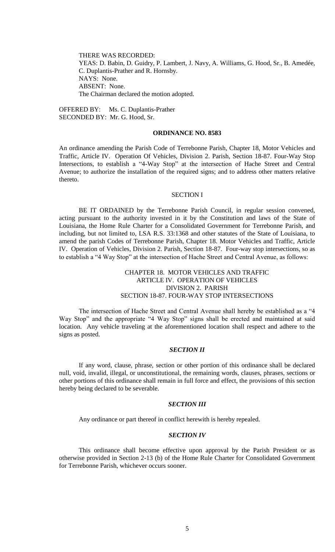THERE WAS RECORDED: YEAS: D. Babin, D. Guidry, P. Lambert, J. Navy, A. Williams, G. Hood, Sr., B. Amedée, C. Duplantis-Prather and R. Hornsby. NAYS: None. ABSENT: None. The Chairman declared the motion adopted.

OFFERED BY: Ms. C. Duplantis-Prather SECONDED BY: Mr. G. Hood, Sr.

## **ORDINANCE NO. 8583**

An ordinance amending the Parish Code of Terrebonne Parish, Chapter 18, Motor Vehicles and Traffic, Article IV. Operation Of Vehicles, Division 2. Parish, Section 18-87. Four-Way Stop Intersections, to establish a "4-Way Stop" at the intersection of Hache Street and Central Avenue; to authorize the installation of the required signs; and to address other matters relative thereto.

#### SECTION I

BE IT ORDAINED by the Terrebonne Parish Council, in regular session convened, acting pursuant to the authority invested in it by the Constitution and laws of the State of Louisiana, the Home Rule Charter for a Consolidated Government for Terrebonne Parish, and including, but not limited to, LSA R.S. 33:1368 and other statutes of the State of Louisiana, to amend the parish Codes of Terrebonne Parish, Chapter 18. Motor Vehicles and Traffic, Article IV. Operation of Vehicles, Division 2. Parish, Section 18-87. Four-way stop intersections, so as to establish a "4 Way Stop" at the intersection of Hache Street and Central Avenue, as follows:

# CHAPTER 18. MOTOR VEHICLES AND TRAFFIC ARTICLE IV. OPERATION OF VEHICLES DIVISION 2. PARISH SECTION 18-87. FOUR-WAY STOP INTERSECTIONS

The intersection of Hache Street and Central Avenue shall hereby be established as a "4 Way Stop" and the appropriate "4 Way Stop" signs shall be erected and maintained at said location. Any vehicle traveling at the aforementioned location shall respect and adhere to the signs as posted.

# *SECTION II*

If any word, clause, phrase, section or other portion of this ordinance shall be declared null, void, invalid, illegal, or unconstitutional, the remaining words, clauses, phrases, sections or other portions of this ordinance shall remain in full force and effect, the provisions of this section hereby being declared to be severable.

# *SECTION III*

Any ordinance or part thereof in conflict herewith is hereby repealed.

## *SECTION IV*

This ordinance shall become effective upon approval by the Parish President or as otherwise provided in Section 2-13 (b) of the Home Rule Charter for Consolidated Government for Terrebonne Parish, whichever occurs sooner.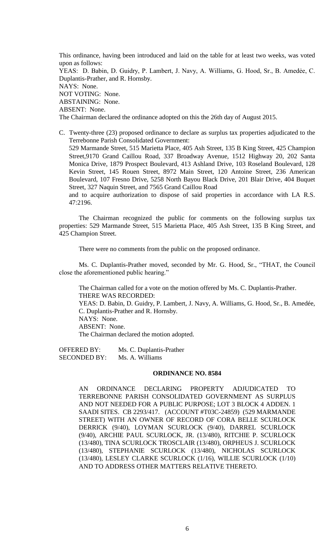This ordinance, having been introduced and laid on the table for at least two weeks, was voted upon as follows: YEAS: D. Babin, D. Guidry, P. Lambert, J. Navy, A. Williams, G. Hood, Sr., B. Amedẻe, C. Duplantis-Prather, and R. Hornsby. NAYS: None. NOT VOTING: None. ABSTAINING: None. ABSENT: None.

The Chairman declared the ordinance adopted on this the 26th day of August 2015.

C. Twenty-three (23) proposed ordinance to declare as surplus tax properties adjudicated to the Terrebonne Parish Consolidated Government: 529 Marmande Street, 515 Marietta Place, 405 Ash Street, 135 B King Street, 425 Champion Street,9170 Grand Caillou Road, 337 Broadway Avenue, 1512 Highway 20, 202 Santa

Monica Drive, 1879 Prospect Boulevard, 413 Ashland Drive, 103 Roseland Boulevard, 128 Kevin Street, 145 Rouen Street, 8972 Main Street, 120 Antoine Street, 236 American Boulevard, 107 Fresno Drive, 5258 North Bayou Black Drive, 201 Blair Drive, 404 Buquet Street, 327 Naquin Street, and 7565 Grand Caillou Road

and to acquire authorization to dispose of said properties in accordance with LA R.S. 47:2196.

The Chairman recognized the public for comments on the following surplus tax properties: 529 Marmande Street, 515 Marietta Place, 405 Ash Street, 135 B King Street, and 425 Champion Street.

There were no comments from the public on the proposed ordinance.

Ms. C. Duplantis-Prather moved, seconded by Mr. G. Hood, Sr., "THAT, the Council close the aforementioned public hearing."

The Chairman called for a vote on the motion offered by Ms. C. Duplantis-Prather. THERE WAS RECORDED: YEAS: D. Babin, D. Guidry, P. Lambert, J. Navy, A. Williams, G. Hood, Sr., B. Amedée, C. Duplantis-Prather and R. Hornsby. NAYS: None. ABSENT: None. The Chairman declared the motion adopted.

OFFERED BY: Ms. C. Duplantis-Prather SECONDED BY: Ms. A. Williams

### **ORDINANCE NO. 8584**

AN ORDINANCE DECLARING PROPERTY ADJUDICATED TO TERREBONNE PARISH CONSOLIDATED GOVERNMENT AS SURPLUS AND NOT NEEDED FOR A PUBLIC PURPOSE; LOT 3 BLOCK 4 ADDEN. 1 SAADI SITES. CB 2293/417. (ACCOUNT #T03C-24859) (529 MARMANDE STREET) WITH AN OWNER OF RECORD OF CORA BELLE SCURLOCK DERRICK (9/40), LOYMAN SCURLOCK (9/40), DARREL SCURLOCK (9/40), ARCHIE PAUL SCURLOCK, JR. (13/480), RITCHIE P. SCURLOCK (13/480), TINA SCURLOCK TROSCLAIR (13/480), ORPHEUS J. SCURLOCK (13/480), STEPHANIE SCURLOCK (13/480), NICHOLAS SCURLOCK (13/480), LESLEY CLARKE SCURLOCK (1/16), WILLIE SCURLOCK (1/10) AND TO ADDRESS OTHER MATTERS RELATIVE THERETO.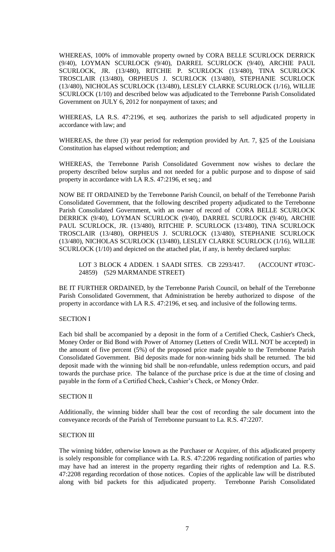WHEREAS, 100% of immovable property owned by CORA BELLE SCURLOCK DERRICK (9/40), LOYMAN SCURLOCK (9/40), DARREL SCURLOCK (9/40), ARCHIE PAUL SCURLOCK, JR. (13/480), RITCHIE P. SCURLOCK (13/480), TINA SCURLOCK TROSCLAIR (13/480), ORPHEUS J. SCURLOCK (13/480), STEPHANIE SCURLOCK (13/480), NICHOLAS SCURLOCK (13/480), LESLEY CLARKE SCURLOCK (1/16), WILLIE SCURLOCK (1/10) and described below was adjudicated to the Terrebonne Parish Consolidated Government on JULY 6, 2012 for nonpayment of taxes; and

WHEREAS, LA R.S. 47:2196, et seq. authorizes the parish to sell adjudicated property in accordance with law; and

WHEREAS, the three (3) year period for redemption provided by Art. 7, §25 of the Louisiana Constitution has elapsed without redemption; and

WHEREAS, the Terrebonne Parish Consolidated Government now wishes to declare the property described below surplus and not needed for a public purpose and to dispose of said property in accordance with LA R.S. 47:2196, et seq.; and

NOW BE IT ORDAINED by the Terrebonne Parish Council, on behalf of the Terrebonne Parish Consolidated Government, that the following described property adjudicated to the Terrebonne Parish Consolidated Government, with an owner of record of CORA BELLE SCURLOCK DERRICK (9/40), LOYMAN SCURLOCK (9/40), DARREL SCURLOCK (9/40), ARCHIE PAUL SCURLOCK, JR. (13/480), RITCHIE P. SCURLOCK (13/480), TINA SCURLOCK TROSCLAIR (13/480), ORPHEUS J. SCURLOCK (13/480), STEPHANIE SCURLOCK (13/480), NICHOLAS SCURLOCK (13/480), LESLEY CLARKE SCURLOCK (1/16), WILLIE SCURLOCK (1/10) and depicted on the attached plat, if any, is hereby declared surplus:

LOT 3 BLOCK 4 ADDEN. 1 SAADI SITES. CB 2293/417. (ACCOUNT #T03C-24859) (529 MARMANDE STREET)

BE IT FURTHER ORDAINED, by the Terrebonne Parish Council, on behalf of the Terrebonne Parish Consolidated Government, that Administration be hereby authorized to dispose of the property in accordance with LA R.S. 47:2196, et seq. and inclusive of the following terms.

# SECTION I

Each bid shall be accompanied by a deposit in the form of a Certified Check, Cashier's Check, Money Order or Bid Bond with Power of Attorney (Letters of Credit WILL NOT be accepted) in the amount of five percent (5%) of the proposed price made payable to the Terrebonne Parish Consolidated Government. Bid deposits made for non-winning bids shall be returned. The bid deposit made with the winning bid shall be non-refundable, unless redemption occurs, and paid towards the purchase price. The balance of the purchase price is due at the time of closing and payable in the form of a Certified Check, Cashier's Check, or Money Order.

## SECTION II

Additionally, the winning bidder shall bear the cost of recording the sale document into the conveyance records of the Parish of Terrebonne pursuant to La. R.S. 47:2207.

## SECTION III

The winning bidder, otherwise known as the Purchaser or Acquirer, of this adjudicated property is solely responsible for compliance with La. R.S. 47:2206 regarding notification of parties who may have had an interest in the property regarding their rights of redemption and La. R.S. 47:2208 regarding recordation of those notices. Copies of the applicable law will be distributed along with bid packets for this adjudicated property. Terrebonne Parish Consolidated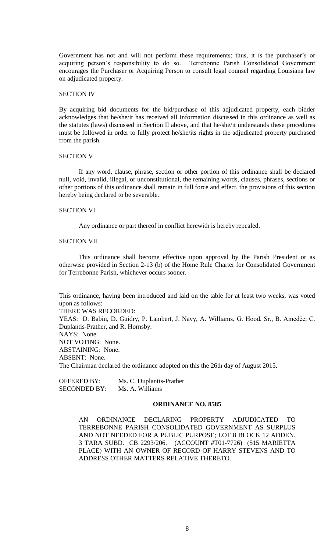Government has not and will not perform these requirements; thus, it is the purchaser's or acquiring person's responsibility to do so. Terrebonne Parish Consolidated Government encourages the Purchaser or Acquiring Person to consult legal counsel regarding Louisiana law on adjudicated property.

## SECTION IV

By acquiring bid documents for the bid/purchase of this adjudicated property, each bidder acknowledges that he/she/it has received all information discussed in this ordinance as well as the statutes (laws) discussed in Section II above, and that he/she/it understands these procedures must be followed in order to fully protect he/she/its rights in the adjudicated property purchased from the parish.

### SECTION V

If any word, clause, phrase, section or other portion of this ordinance shall be declared null, void, invalid, illegal, or unconstitutional, the remaining words, clauses, phrases, sections or other portions of this ordinance shall remain in full force and effect, the provisions of this section hereby being declared to be severable.

### SECTION VI

Any ordinance or part thereof in conflict herewith is hereby repealed.

### SECTION VII

This ordinance shall become effective upon approval by the Parish President or as otherwise provided in Section 2-13 (b) of the Home Rule Charter for Consolidated Government for Terrebonne Parish, whichever occurs sooner.

This ordinance, having been introduced and laid on the table for at least two weeks, was voted upon as follows:

THERE WAS RECORDED:

YEAS: D. Babin, D. Guidry, P. Lambert, J. Navy, A. Williams, G. Hood, Sr., B. Amedẻe, C. Duplantis-Prather, and R. Hornsby. NAYS: None. NOT VOTING: None. ABSTAINING: None. ABSENT: None. The Chairman declared the ordinance adopted on this the 26th day of August 2015.

OFFERED BY: Ms. C. Duplantis-Prather SECONDED BY: Ms. A. Williams

### **ORDINANCE NO. 8585**

AN ORDINANCE DECLARING PROPERTY ADJUDICATED TO TERREBONNE PARISH CONSOLIDATED GOVERNMENT AS SURPLUS AND NOT NEEDED FOR A PUBLIC PURPOSE; LOT 8 BLOCK 12 ADDEN. 3 TARA SUBD. CB 2293/206. (ACCOUNT #T01-7726) (515 MARIETTA PLACE) WITH AN OWNER OF RECORD OF HARRY STEVENS AND TO ADDRESS OTHER MATTERS RELATIVE THERETO.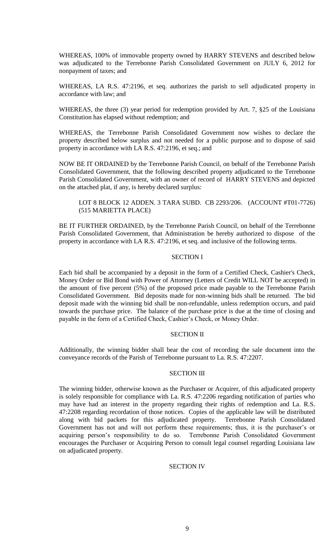WHEREAS, 100% of immovable property owned by HARRY STEVENS and described below was adjudicated to the Terrebonne Parish Consolidated Government on JULY 6, 2012 for nonpayment of taxes; and

WHEREAS, LA R.S. 47:2196, et seq. authorizes the parish to sell adjudicated property in accordance with law; and

WHEREAS, the three (3) year period for redemption provided by Art. 7, §25 of the Louisiana Constitution has elapsed without redemption; and

WHEREAS, the Terrebonne Parish Consolidated Government now wishes to declare the property described below surplus and not needed for a public purpose and to dispose of said property in accordance with LA R.S. 47:2196, et seq.; and

NOW BE IT ORDAINED by the Terrebonne Parish Council, on behalf of the Terrebonne Parish Consolidated Government, that the following described property adjudicated to the Terrebonne Parish Consolidated Government, with an owner of record of HARRY STEVENS and depicted on the attached plat, if any, is hereby declared surplus:

# LOT 8 BLOCK 12 ADDEN. 3 TARA SUBD. CB 2293/206. (ACCOUNT #T01-7726) (515 MARIETTA PLACE)

BE IT FURTHER ORDAINED, by the Terrebonne Parish Council, on behalf of the Terrebonne Parish Consolidated Government, that Administration be hereby authorized to dispose of the property in accordance with LA R.S. 47:2196, et seq. and inclusive of the following terms.

# SECTION I

Each bid shall be accompanied by a deposit in the form of a Certified Check, Cashier's Check, Money Order or Bid Bond with Power of Attorney (Letters of Credit WILL NOT be accepted) in the amount of five percent (5%) of the proposed price made payable to the Terrebonne Parish Consolidated Government. Bid deposits made for non-winning bids shall be returned. The bid deposit made with the winning bid shall be non-refundable, unless redemption occurs, and paid towards the purchase price. The balance of the purchase price is due at the time of closing and payable in the form of a Certified Check, Cashier's Check, or Money Order.

# SECTION II

Additionally, the winning bidder shall bear the cost of recording the sale document into the conveyance records of the Parish of Terrebonne pursuant to La. R.S. 47:2207.

### SECTION III

The winning bidder, otherwise known as the Purchaser or Acquirer, of this adjudicated property is solely responsible for compliance with La. R.S. 47:2206 regarding notification of parties who may have had an interest in the property regarding their rights of redemption and La. R.S. 47:2208 regarding recordation of those notices. Copies of the applicable law will be distributed along with bid packets for this adjudicated property. Terrebonne Parish Consolidated Government has not and will not perform these requirements; thus, it is the purchaser's or acquiring person's responsibility to do so. Terrebonne Parish Consolidated Government encourages the Purchaser or Acquiring Person to consult legal counsel regarding Louisiana law on adjudicated property.

# SECTION IV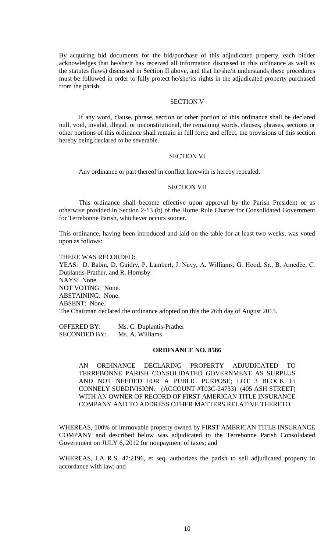By acquiring bid documents for the bid/purchase of this adjudicated property, each bidder acknowledges that he/she/it has received all information discussed in this ordinance as well as the statutes (laws) discussed in Section II above, and that he/she/it understands these procedures must be followed in order to fully protect he/she/its rights in the adjudicated property purchased from the parish.

# SECTION V

If any word, clause, phrase, section or other portion of this ordinance shall be declared null, void, invalid, illegal, or unconstitutional, the remaining words, clauses, phrases, sections or other portions of this ordinance shall remain in full force and effect, the provisions of this section hereby being declared to be severable.

#### SECTION VI

Any ordinance or part thereof in conflict herewith is hereby repealed.

#### SECTION VII

This ordinance shall become effective upon approval by the Parish President or as otherwise provided in Section 2-13 (b) of the Home Rule Charter for Consolidated Government for Terrebonne Parish, whichever occurs sooner.

This ordinance, having been introduced and laid on the table for at least two weeks, was voted upon as follows:

THERE WAS RECORDED: YEAS: D. Babin, D. Guidry, P. Lambert, J. Navy, A. Williams, G. Hood, Sr., B. Amedẻe, C. Duplantis-Prather, and R. Hornsby. NAYS: None. NOT VOTING: None. ABSTAINING: None. ABSENT: None. The Chairman declared the ordinance adopted on this the 26th day of August 2015.

OFFERED BY: Ms. C. Duplantis-Prather SECONDED BY: Ms. A. Williams

### **ORDINANCE NO. 8586**

AN ORDINANCE DECLARING PROPERTY ADJUDICATED TO TERREBONNE PARISH CONSOLIDATED GOVERNMENT AS SURPLUS AND NOT NEEDED FOR A PUBLIC PURPOSE; LOT 3 BLOCK 15 CONNELY SUBDIVISION. (ACCOUNT #T03C-24733) (405 ASH STREET) WITH AN OWNER OF RECORD OF FIRST AMERICAN TITLE INSURANCE COMPANY AND TO ADDRESS OTHER MATTERS RELATIVE THERETO.

WHEREAS, 100% of immovable property owned by FIRST AMERICAN TITLE INSURANCE COMPANY and described below was adjudicated to the Terrebonne Parish Consolidated Government on JULY 6, 2012 for nonpayment of taxes; and

WHEREAS, LA R.S. 47:2196, et seq. authorizes the parish to sell adjudicated property in accordance with law; and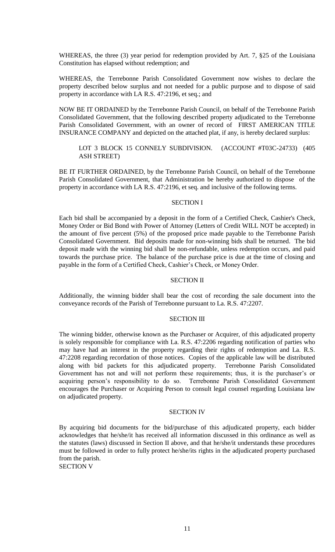WHEREAS, the three (3) year period for redemption provided by Art. 7, §25 of the Louisiana Constitution has elapsed without redemption; and

WHEREAS, the Terrebonne Parish Consolidated Government now wishes to declare the property described below surplus and not needed for a public purpose and to dispose of said property in accordance with LA R.S. 47:2196, et seq.; and

NOW BE IT ORDAINED by the Terrebonne Parish Council, on behalf of the Terrebonne Parish Consolidated Government, that the following described property adjudicated to the Terrebonne Parish Consolidated Government, with an owner of record of FIRST AMERICAN TITLE INSURANCE COMPANY and depicted on the attached plat, if any, is hereby declared surplus:

# LOT 3 BLOCK 15 CONNELY SUBDIVISION. (ACCOUNT #T03C-24733) (405 ASH STREET)

BE IT FURTHER ORDAINED, by the Terrebonne Parish Council, on behalf of the Terrebonne Parish Consolidated Government, that Administration be hereby authorized to dispose of the property in accordance with LA R.S. 47:2196, et seq. and inclusive of the following terms.

# SECTION I

Each bid shall be accompanied by a deposit in the form of a Certified Check, Cashier's Check, Money Order or Bid Bond with Power of Attorney (Letters of Credit WILL NOT be accepted) in the amount of five percent (5%) of the proposed price made payable to the Terrebonne Parish Consolidated Government. Bid deposits made for non-winning bids shall be returned. The bid deposit made with the winning bid shall be non-refundable, unless redemption occurs, and paid towards the purchase price. The balance of the purchase price is due at the time of closing and payable in the form of a Certified Check, Cashier's Check, or Money Order.

## SECTION II

Additionally, the winning bidder shall bear the cost of recording the sale document into the conveyance records of the Parish of Terrebonne pursuant to La. R.S. 47:2207.

## SECTION III

The winning bidder, otherwise known as the Purchaser or Acquirer, of this adjudicated property is solely responsible for compliance with La. R.S. 47:2206 regarding notification of parties who may have had an interest in the property regarding their rights of redemption and La. R.S. 47:2208 regarding recordation of those notices. Copies of the applicable law will be distributed along with bid packets for this adjudicated property. Terrebonne Parish Consolidated Government has not and will not perform these requirements; thus, it is the purchaser's or acquiring person's responsibility to do so. Terrebonne Parish Consolidated Government encourages the Purchaser or Acquiring Person to consult legal counsel regarding Louisiana law on adjudicated property.

## SECTION IV

By acquiring bid documents for the bid/purchase of this adjudicated property, each bidder acknowledges that he/she/it has received all information discussed in this ordinance as well as the statutes (laws) discussed in Section II above, and that he/she/it understands these procedures must be followed in order to fully protect he/she/its rights in the adjudicated property purchased from the parish.

SECTION V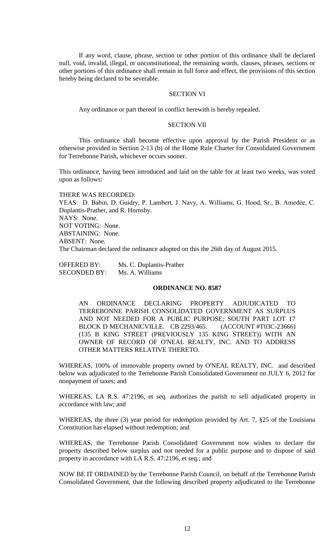If any word, clause, phrase, section or other portion of this ordinance shall be declared null, void, invalid, illegal, or unconstitutional, the remaining words, clauses, phrases, sections or other portions of this ordinance shall remain in full force and effect, the provisions of this section hereby being declared to be severable.

## SECTION VI

Any ordinance or part thereof in conflict herewith is hereby repealed.

### SECTION VII

This ordinance shall become effective upon approval by the Parish President or as otherwise provided in Section 2-13 (b) of the Home Rule Charter for Consolidated Government for Terrebonne Parish, whichever occurs sooner.

This ordinance, having been introduced and laid on the table for at least two weeks, was voted upon as follows:

THERE WAS RECORDED: YEAS: D. Babin, D. Guidry, P. Lambert, J. Navy, A. Williams, G. Hood, Sr., B. Amedẻe, C. Duplantis-Prather, and R. Hornsby. NAYS: None. NOT VOTING: None. ABSTAINING: None. ABSENT: None. The Chairman declared the ordinance adopted on this the 26th day of August 2015.

OFFERED BY: Ms. C. Duplantis-Prather SECONDED BY: Ms. A. Williams

### **ORDINANCE NO. 8587**

AN ORDINANCE DECLARING PROPERTY ADJUDICATED TO TERREBONNE PARISH CONSOLIDATED GOVERNMENT AS SURPLUS AND NOT NEEDED FOR A PUBLIC PURPOSE; SOUTH PART LOT 17 BLOCK D MECHANICVILLE. CB 2293/465. (ACCOUNT #T03C-23666) (135 B KING STREET (PREVIOUSLY 135 KING STREET)) WITH AN OWNER OF RECORD OF O'NEAL REALTY, INC. AND TO ADDRESS OTHER MATTERS RELATIVE THERETO.

WHEREAS, 100% of immovable property owned by O'NEAL REALTY, INC. and described below was adjudicated to the Terrebonne Parish Consolidated Government on JULY 6, 2012 for nonpayment of taxes; and

WHEREAS, LA R.S. 47:2196, et seq. authorizes the parish to sell adjudicated property in accordance with law; and

WHEREAS, the three (3) year period for redemption provided by Art. 7, §25 of the Louisiana Constitution has elapsed without redemption; and

WHEREAS, the Terrebonne Parish Consolidated Government now wishes to declare the property described below surplus and not needed for a public purpose and to dispose of said property in accordance with LA R.S. 47:2196, et seq.; and

NOW BE IT ORDAINED by the Terrebonne Parish Council, on behalf of the Terrebonne Parish Consolidated Government, that the following described property adjudicated to the Terrebonne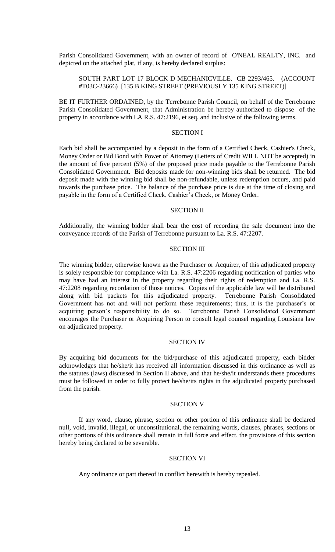Parish Consolidated Government, with an owner of record of O'NEAL REALTY, INC. and depicted on the attached plat, if any, is hereby declared surplus:

## SOUTH PART LOT 17 BLOCK D MECHANICVILLE. CB 2293/465. (ACCOUNT #T03C-23666) [135 B KING STREET (PREVIOUSLY 135 KING STREET)]

BE IT FURTHER ORDAINED, by the Terrebonne Parish Council, on behalf of the Terrebonne Parish Consolidated Government, that Administration be hereby authorized to dispose of the property in accordance with LA R.S. 47:2196, et seq. and inclusive of the following terms.

## SECTION I

Each bid shall be accompanied by a deposit in the form of a Certified Check, Cashier's Check, Money Order or Bid Bond with Power of Attorney (Letters of Credit WILL NOT be accepted) in the amount of five percent (5%) of the proposed price made payable to the Terrebonne Parish Consolidated Government. Bid deposits made for non-winning bids shall be returned. The bid deposit made with the winning bid shall be non-refundable, unless redemption occurs, and paid towards the purchase price. The balance of the purchase price is due at the time of closing and payable in the form of a Certified Check, Cashier's Check, or Money Order.

### SECTION II

Additionally, the winning bidder shall bear the cost of recording the sale document into the conveyance records of the Parish of Terrebonne pursuant to La. R.S. 47:2207.

# SECTION III

The winning bidder, otherwise known as the Purchaser or Acquirer, of this adjudicated property is solely responsible for compliance with La. R.S. 47:2206 regarding notification of parties who may have had an interest in the property regarding their rights of redemption and La. R.S. 47:2208 regarding recordation of those notices. Copies of the applicable law will be distributed along with bid packets for this adjudicated property. Terrebonne Parish Consolidated Government has not and will not perform these requirements; thus, it is the purchaser's or acquiring person's responsibility to do so. Terrebonne Parish Consolidated Government encourages the Purchaser or Acquiring Person to consult legal counsel regarding Louisiana law on adjudicated property.

# SECTION IV

By acquiring bid documents for the bid/purchase of this adjudicated property, each bidder acknowledges that he/she/it has received all information discussed in this ordinance as well as the statutes (laws) discussed in Section II above, and that he/she/it understands these procedures must be followed in order to fully protect he/she/its rights in the adjudicated property purchased from the parish.

## SECTION V

If any word, clause, phrase, section or other portion of this ordinance shall be declared null, void, invalid, illegal, or unconstitutional, the remaining words, clauses, phrases, sections or other portions of this ordinance shall remain in full force and effect, the provisions of this section hereby being declared to be severable.

#### SECTION VI

Any ordinance or part thereof in conflict herewith is hereby repealed.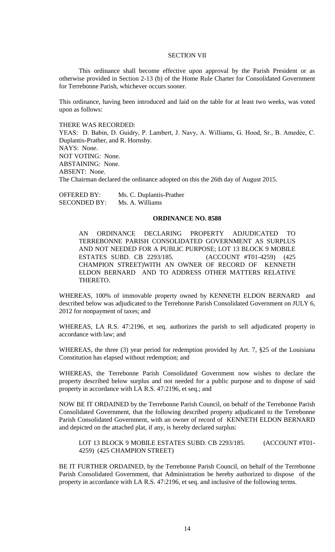### SECTION VII

This ordinance shall become effective upon approval by the Parish President or as otherwise provided in Section 2-13 (b) of the Home Rule Charter for Consolidated Government for Terrebonne Parish, whichever occurs sooner.

This ordinance, having been introduced and laid on the table for at least two weeks, was voted upon as follows:

THERE WAS RECORDED:

YEAS: D. Babin, D. Guidry, P. Lambert, J. Navy, A. Williams, G. Hood, Sr., B. Amedẻe, C. Duplantis-Prather, and R. Hornsby. NAYS: None. NOT VOTING: None. ABSTAINING: None. ABSENT: None. The Chairman declared the ordinance adopted on this the 26th day of August 2015.

OFFERED BY: Ms. C. Duplantis-Prather SECONDED BY: Ms. A. Williams

## **ORDINANCE NO. 8588**

AN ORDINANCE DECLARING PROPERTY ADJUDICATED TO TERREBONNE PARISH CONSOLIDATED GOVERNMENT AS SURPLUS AND NOT NEEDED FOR A PUBLIC PURPOSE; LOT 13 BLOCK 9 MOBILE ESTATES SUBD. CB 2293/185. (ACCOUNT #T01-4259) (425 CHAMPION STREET)WITH AN OWNER OF RECORD OF KENNETH ELDON BERNARD AND TO ADDRESS OTHER MATTERS RELATIVE THERETO.

WHEREAS, 100% of immovable property owned by KENNETH ELDON BERNARD and described below was adjudicated to the Terrebonne Parish Consolidated Government on JULY 6, 2012 for nonpayment of taxes; and

WHEREAS, LA R.S. 47:2196, et seq. authorizes the parish to sell adjudicated property in accordance with law; and

WHEREAS, the three (3) year period for redemption provided by Art. 7, §25 of the Louisiana Constitution has elapsed without redemption; and

WHEREAS, the Terrebonne Parish Consolidated Government now wishes to declare the property described below surplus and not needed for a public purpose and to dispose of said property in accordance with LA R.S. 47:2196, et seq.; and

NOW BE IT ORDAINED by the Terrebonne Parish Council, on behalf of the Terrebonne Parish Consolidated Government, that the following described property adjudicated to the Terrebonne Parish Consolidated Government, with an owner of record of KENNETH ELDON BERNARD and depicted on the attached plat, if any, is hereby declared surplus:

LOT 13 BLOCK 9 MOBILE ESTATES SUBD. CB 2293/185. (ACCOUNT #T01-4259) (425 CHAMPION STREET)

BE IT FURTHER ORDAINED, by the Terrebonne Parish Council, on behalf of the Terrebonne Parish Consolidated Government, that Administration be hereby authorized to dispose of the property in accordance with LA R.S. 47:2196, et seq. and inclusive of the following terms.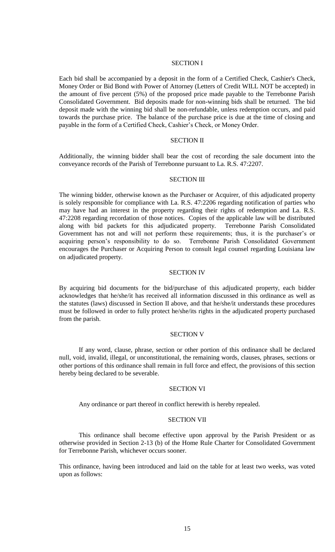### SECTION I

Each bid shall be accompanied by a deposit in the form of a Certified Check, Cashier's Check, Money Order or Bid Bond with Power of Attorney (Letters of Credit WILL NOT be accepted) in the amount of five percent (5%) of the proposed price made payable to the Terrebonne Parish Consolidated Government. Bid deposits made for non-winning bids shall be returned. The bid deposit made with the winning bid shall be non-refundable, unless redemption occurs, and paid towards the purchase price. The balance of the purchase price is due at the time of closing and payable in the form of a Certified Check, Cashier's Check, or Money Order.

#### SECTION II

Additionally, the winning bidder shall bear the cost of recording the sale document into the conveyance records of the Parish of Terrebonne pursuant to La. R.S. 47:2207.

# SECTION III

The winning bidder, otherwise known as the Purchaser or Acquirer, of this adjudicated property is solely responsible for compliance with La. R.S. 47:2206 regarding notification of parties who may have had an interest in the property regarding their rights of redemption and La. R.S. 47:2208 regarding recordation of those notices. Copies of the applicable law will be distributed along with bid packets for this adjudicated property. Terrebonne Parish Consolidated Government has not and will not perform these requirements; thus, it is the purchaser's or acquiring person's responsibility to do so. Terrebonne Parish Consolidated Government encourages the Purchaser or Acquiring Person to consult legal counsel regarding Louisiana law on adjudicated property.

### SECTION IV

By acquiring bid documents for the bid/purchase of this adjudicated property, each bidder acknowledges that he/she/it has received all information discussed in this ordinance as well as the statutes (laws) discussed in Section II above, and that he/she/it understands these procedures must be followed in order to fully protect he/she/its rights in the adjudicated property purchased from the parish.

### SECTION V

If any word, clause, phrase, section or other portion of this ordinance shall be declared null, void, invalid, illegal, or unconstitutional, the remaining words, clauses, phrases, sections or other portions of this ordinance shall remain in full force and effect, the provisions of this section hereby being declared to be severable.

## SECTION VI

Any ordinance or part thereof in conflict herewith is hereby repealed.

#### SECTION VII

This ordinance shall become effective upon approval by the Parish President or as otherwise provided in Section 2-13 (b) of the Home Rule Charter for Consolidated Government for Terrebonne Parish, whichever occurs sooner.

This ordinance, having been introduced and laid on the table for at least two weeks, was voted upon as follows: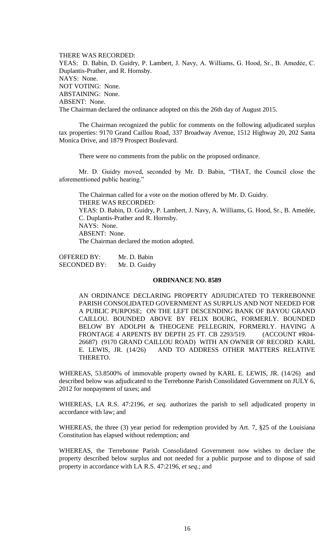THERE WAS RECORDED: YEAS: D. Babin, D. Guidry, P. Lambert, J. Navy, A. Williams, G. Hood, Sr., B. Amedẻe, C. Duplantis-Prather, and R. Hornsby. NAYS: None. NOT VOTING: None. ABSTAINING: None. ABSENT: None. The Chairman declared the ordinance adopted on this the 26th day of August 2015.

The Chairman recognized the public for comments on the following adjudicated surplus tax properties: 9170 Grand Caillou Road, 337 Broadway Avenue, 1512 Highway 20, 202 Santa Monica Drive, and 1879 Prospect Boulevard.

There were no comments from the public on the proposed ordinance.

Mr. D. Guidry moved, seconded by Mr. D. Babin, "THAT, the Council close the aforementioned public hearing."

The Chairman called for a vote on the motion offered by Mr. D. Guidry. THERE WAS RECORDED: YEAS: D. Babin, D. Guidry, P. Lambert, J. Navy, A. Williams, G. Hood, Sr., B. Amedée, C. Duplantis-Prather and R. Hornsby. NAYS: None. ABSENT: None. The Chairman declared the motion adopted.

OFFERED BY: Mr. D. Babin SECONDED BY: Mr. D. Guidry

#### **ORDINANCE NO. 8589**

AN ORDINANCE DECLARING PROPERTY ADJUDICATED TO TERREBONNE PARISH CONSOLIDATED GOVERNMENT AS SURPLUS AND NOT NEEDED FOR A PUBLIC PURPOSE; ON THE LEFT DESCENDING BANK OF BAYOU GRAND CAILLOU. BOUNDED ABOVE BY FELIX BOURG, FORMERLY. BOUNDED BELOW BY ADOLPH & THEOGENE PELLEGRIN, FORMERLY. HAVING A FRONTAGE 4 ARPENTS BY DEPTH 25 FT. CB 2293/519. (ACCOUNT #R04- 26687) (9170 GRAND CAILLOU ROAD) WITH AN OWNER OF RECORD KARL E. LEWIS, JR. (14/26) AND TO ADDRESS OTHER MATTERS RELATIVE THERETO.

WHEREAS, 53.8500% of immovable property owned by KARL E. LEWIS, JR. (14/26) and described below was adjudicated to the Terrebonne Parish Consolidated Government on JULY 6, 2012 for nonpayment of taxes; and

WHEREAS, LA R.S. 47:2196, *et seq.* authorizes the parish to sell adjudicated property in accordance with law; and

WHEREAS, the three (3) year period for redemption provided by Art. 7, §25 of the Louisiana Constitution has elapsed without redemption; and

WHEREAS, the Terrebonne Parish Consolidated Government now wishes to declare the property described below surplus and not needed for a public purpose and to dispose of said property in accordance with LA R.S. 47:2196, *et seq*.; and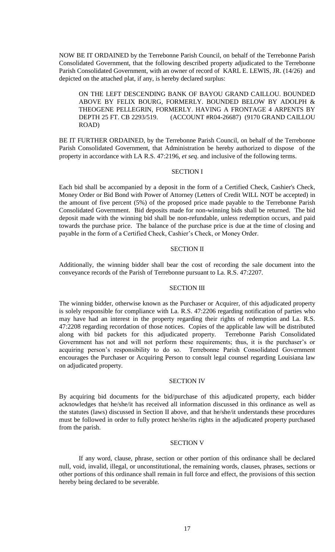NOW BE IT ORDAINED by the Terrebonne Parish Council, on behalf of the Terrebonne Parish Consolidated Government, that the following described property adjudicated to the Terrebonne Parish Consolidated Government, with an owner of record of KARL E. LEWIS, JR. (14/26) and depicted on the attached plat, if any, is hereby declared surplus:

ON THE LEFT DESCENDING BANK OF BAYOU GRAND CAILLOU. BOUNDED ABOVE BY FELIX BOURG, FORMERLY. BOUNDED BELOW BY ADOLPH & THEOGENE PELLEGRIN, FORMERLY. HAVING A FRONTAGE 4 ARPENTS BY DEPTH 25 FT. CB 2293/519. (ACCOUNT #R04-26687) (9170 GRAND CAILLOU ROAD)

BE IT FURTHER ORDAINED, by the Terrebonne Parish Council, on behalf of the Terrebonne Parish Consolidated Government, that Administration be hereby authorized to dispose of the property in accordance with LA R.S. 47:2196, *et seq*. and inclusive of the following terms.

#### SECTION I

Each bid shall be accompanied by a deposit in the form of a Certified Check, Cashier's Check, Money Order or Bid Bond with Power of Attorney (Letters of Credit WILL NOT be accepted) in the amount of five percent (5%) of the proposed price made payable to the Terrebonne Parish Consolidated Government. Bid deposits made for non-winning bids shall be returned. The bid deposit made with the winning bid shall be non-refundable, unless redemption occurs, and paid towards the purchase price. The balance of the purchase price is due at the time of closing and payable in the form of a Certified Check, Cashier's Check, or Money Order.

## SECTION II

Additionally, the winning bidder shall bear the cost of recording the sale document into the conveyance records of the Parish of Terrebonne pursuant to La. R.S. 47:2207.

## SECTION III

The winning bidder, otherwise known as the Purchaser or Acquirer, of this adjudicated property is solely responsible for compliance with La. R.S. 47:2206 regarding notification of parties who may have had an interest in the property regarding their rights of redemption and La. R.S. 47:2208 regarding recordation of those notices. Copies of the applicable law will be distributed along with bid packets for this adjudicated property. Terrebonne Parish Consolidated Government has not and will not perform these requirements; thus, it is the purchaser's or acquiring person's responsibility to do so. Terrebonne Parish Consolidated Government encourages the Purchaser or Acquiring Person to consult legal counsel regarding Louisiana law on adjudicated property.

### SECTION IV

By acquiring bid documents for the bid/purchase of this adjudicated property, each bidder acknowledges that he/she/it has received all information discussed in this ordinance as well as the statutes (laws) discussed in Section II above, and that he/she/it understands these procedures must be followed in order to fully protect he/she/its rights in the adjudicated property purchased from the parish.

## SECTION V

If any word, clause, phrase, section or other portion of this ordinance shall be declared null, void, invalid, illegal, or unconstitutional, the remaining words, clauses, phrases, sections or other portions of this ordinance shall remain in full force and effect, the provisions of this section hereby being declared to be severable.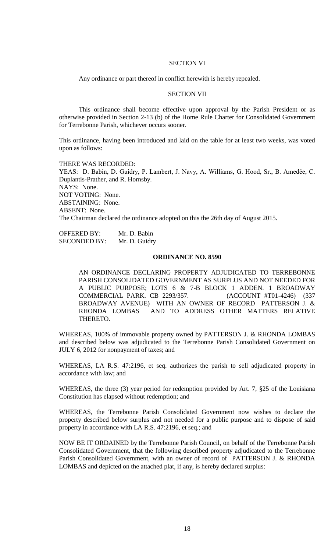# SECTION VI

Any ordinance or part thereof in conflict herewith is hereby repealed.

### SECTION VII

This ordinance shall become effective upon approval by the Parish President or as otherwise provided in Section 2-13 (b) of the Home Rule Charter for Consolidated Government for Terrebonne Parish, whichever occurs sooner.

This ordinance, having been introduced and laid on the table for at least two weeks, was voted upon as follows:

THERE WAS RECORDED: YEAS: D. Babin, D. Guidry, P. Lambert, J. Navy, A. Williams, G. Hood, Sr., B. Amedẻe, C. Duplantis-Prather, and R. Hornsby. NAYS: None. NOT VOTING: None. ABSTAINING: None. ABSENT: None. The Chairman declared the ordinance adopted on this the 26th day of August 2015.

OFFERED BY: Mr. D. Babin SECONDED BY: Mr. D. Guidry

## **ORDINANCE NO. 8590**

AN ORDINANCE DECLARING PROPERTY ADJUDICATED TO TERREBONNE PARISH CONSOLIDATED GOVERNMENT AS SURPLUS AND NOT NEEDED FOR A PUBLIC PURPOSE; LOTS 6 & 7-B BLOCK 1 ADDEN. 1 BROADWAY COMMERCIAL PARK. CB 2293/357. (ACCOUNT #T01-4246) (337 BROADWAY AVENUE) WITH AN OWNER OF RECORD PATTERSON J. & RHONDA LOMBAS AND TO ADDRESS OTHER MATTERS RELATIVE THERETO.

WHEREAS, 100% of immovable property owned by PATTERSON J. & RHONDA LOMBAS and described below was adjudicated to the Terrebonne Parish Consolidated Government on JULY 6, 2012 for nonpayment of taxes; and

WHEREAS, LA R.S. 47:2196, et seq. authorizes the parish to sell adjudicated property in accordance with law; and

WHEREAS, the three (3) year period for redemption provided by Art. 7, §25 of the Louisiana Constitution has elapsed without redemption; and

WHEREAS, the Terrebonne Parish Consolidated Government now wishes to declare the property described below surplus and not needed for a public purpose and to dispose of said property in accordance with LA R.S. 47:2196, et seq.; and

NOW BE IT ORDAINED by the Terrebonne Parish Council, on behalf of the Terrebonne Parish Consolidated Government, that the following described property adjudicated to the Terrebonne Parish Consolidated Government, with an owner of record of PATTERSON J. & RHONDA LOMBAS and depicted on the attached plat, if any, is hereby declared surplus: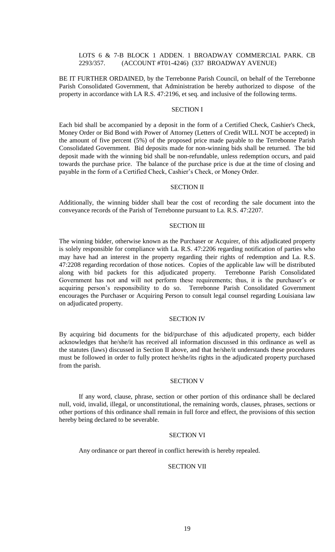# LOTS 6 & 7-B BLOCK 1 ADDEN. 1 BROADWAY COMMERCIAL PARK. CB 2293/357. (ACCOUNT #T01-4246) (337 BROADWAY AVENUE)

BE IT FURTHER ORDAINED, by the Terrebonne Parish Council, on behalf of the Terrebonne Parish Consolidated Government, that Administration be hereby authorized to dispose of the property in accordance with LA R.S. 47:2196, et seq. and inclusive of the following terms.

# SECTION I

Each bid shall be accompanied by a deposit in the form of a Certified Check, Cashier's Check, Money Order or Bid Bond with Power of Attorney (Letters of Credit WILL NOT be accepted) in the amount of five percent (5%) of the proposed price made payable to the Terrebonne Parish Consolidated Government. Bid deposits made for non-winning bids shall be returned. The bid deposit made with the winning bid shall be non-refundable, unless redemption occurs, and paid towards the purchase price. The balance of the purchase price is due at the time of closing and payable in the form of a Certified Check, Cashier's Check, or Money Order.

#### SECTION II

Additionally, the winning bidder shall bear the cost of recording the sale document into the conveyance records of the Parish of Terrebonne pursuant to La. R.S. 47:2207.

#### SECTION III

The winning bidder, otherwise known as the Purchaser or Acquirer, of this adjudicated property is solely responsible for compliance with La. R.S. 47:2206 regarding notification of parties who may have had an interest in the property regarding their rights of redemption and La. R.S. 47:2208 regarding recordation of those notices. Copies of the applicable law will be distributed along with bid packets for this adjudicated property. Terrebonne Parish Consolidated Government has not and will not perform these requirements; thus, it is the purchaser's or acquiring person's responsibility to do so. Terrebonne Parish Consolidated Government encourages the Purchaser or Acquiring Person to consult legal counsel regarding Louisiana law on adjudicated property.

## SECTION IV

By acquiring bid documents for the bid/purchase of this adjudicated property, each bidder acknowledges that he/she/it has received all information discussed in this ordinance as well as the statutes (laws) discussed in Section II above, and that he/she/it understands these procedures must be followed in order to fully protect he/she/its rights in the adjudicated property purchased from the parish.

### SECTION V

If any word, clause, phrase, section or other portion of this ordinance shall be declared null, void, invalid, illegal, or unconstitutional, the remaining words, clauses, phrases, sections or other portions of this ordinance shall remain in full force and effect, the provisions of this section hereby being declared to be severable.

## SECTION VI

Any ordinance or part thereof in conflict herewith is hereby repealed.

## SECTION VII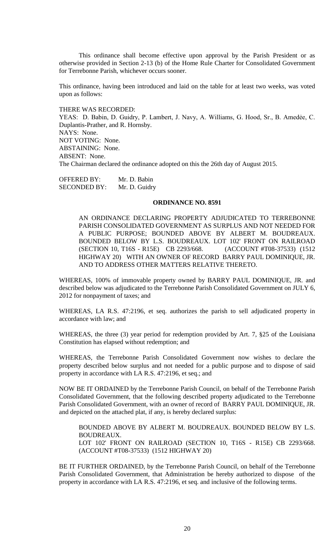This ordinance shall become effective upon approval by the Parish President or as otherwise provided in Section 2-13 (b) of the Home Rule Charter for Consolidated Government for Terrebonne Parish, whichever occurs sooner.

This ordinance, having been introduced and laid on the table for at least two weeks, was voted upon as follows:

THERE WAS RECORDED:

YEAS: D. Babin, D. Guidry, P. Lambert, J. Navy, A. Williams, G. Hood, Sr., B. Amedẻe, C. Duplantis-Prather, and R. Hornsby. NAYS: None. NOT VOTING: None. ABSTAINING: None. ABSENT: None. The Chairman declared the ordinance adopted on this the 26th day of August 2015.

OFFERED BY: Mr. D. Babin SECONDED BY: Mr. D. Guidry

#### **ORDINANCE NO. 8591**

AN ORDINANCE DECLARING PROPERTY ADJUDICATED TO TERREBONNE PARISH CONSOLIDATED GOVERNMENT AS SURPLUS AND NOT NEEDED FOR A PUBLIC PURPOSE; BOUNDED ABOVE BY ALBERT M. BOUDREAUX. BOUNDED BELOW BY L.S. BOUDREAUX. LOT 102' FRONT ON RAILROAD (SECTION 10, T16S - R15E) CB 2293/668. (ACCOUNT #T08-37533) (1512 HIGHWAY 20) WITH AN OWNER OF RECORD BARRY PAUL DOMINIQUE, JR. AND TO ADDRESS OTHER MATTERS RELATIVE THERETO.

WHEREAS, 100% of immovable property owned by BARRY PAUL DOMINIQUE, JR. and described below was adjudicated to the Terrebonne Parish Consolidated Government on JULY 6, 2012 for nonpayment of taxes; and

WHEREAS, LA R.S. 47:2196, et seq. authorizes the parish to sell adjudicated property in accordance with law; and

WHEREAS, the three (3) year period for redemption provided by Art. 7, §25 of the Louisiana Constitution has elapsed without redemption; and

WHEREAS, the Terrebonne Parish Consolidated Government now wishes to declare the property described below surplus and not needed for a public purpose and to dispose of said property in accordance with LA R.S. 47:2196, et seq.; and

NOW BE IT ORDAINED by the Terrebonne Parish Council, on behalf of the Terrebonne Parish Consolidated Government, that the following described property adjudicated to the Terrebonne Parish Consolidated Government, with an owner of record of BARRY PAUL DOMINIQUE, JR. and depicted on the attached plat, if any, is hereby declared surplus:

BOUNDED ABOVE BY ALBERT M. BOUDREAUX. BOUNDED BELOW BY L.S. BOUDREAUX. LOT 102' FRONT ON RAILROAD (SECTION 10, T16S - R15E) CB 2293/668. (ACCOUNT #T08-37533) (1512 HIGHWAY 20)

BE IT FURTHER ORDAINED, by the Terrebonne Parish Council, on behalf of the Terrebonne Parish Consolidated Government, that Administration be hereby authorized to dispose of the property in accordance with LA R.S. 47:2196, et seq. and inclusive of the following terms.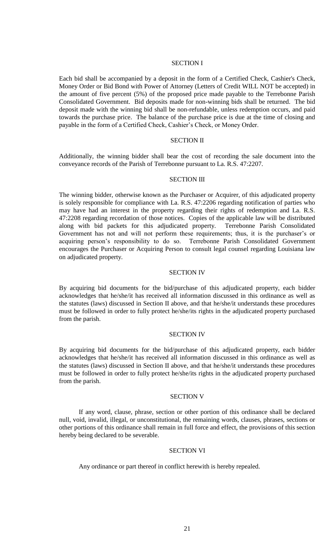### SECTION I

Each bid shall be accompanied by a deposit in the form of a Certified Check, Cashier's Check, Money Order or Bid Bond with Power of Attorney (Letters of Credit WILL NOT be accepted) in the amount of five percent (5%) of the proposed price made payable to the Terrebonne Parish Consolidated Government. Bid deposits made for non-winning bids shall be returned. The bid deposit made with the winning bid shall be non-refundable, unless redemption occurs, and paid towards the purchase price. The balance of the purchase price is due at the time of closing and payable in the form of a Certified Check, Cashier's Check, or Money Order.

#### SECTION II

Additionally, the winning bidder shall bear the cost of recording the sale document into the conveyance records of the Parish of Terrebonne pursuant to La. R.S. 47:2207.

# SECTION III

The winning bidder, otherwise known as the Purchaser or Acquirer, of this adjudicated property is solely responsible for compliance with La. R.S. 47:2206 regarding notification of parties who may have had an interest in the property regarding their rights of redemption and La. R.S. 47:2208 regarding recordation of those notices. Copies of the applicable law will be distributed along with bid packets for this adjudicated property. Terrebonne Parish Consolidated Government has not and will not perform these requirements; thus, it is the purchaser's or acquiring person's responsibility to do so. Terrebonne Parish Consolidated Government encourages the Purchaser or Acquiring Person to consult legal counsel regarding Louisiana law on adjudicated property.

#### SECTION IV

By acquiring bid documents for the bid/purchase of this adjudicated property, each bidder acknowledges that he/she/it has received all information discussed in this ordinance as well as the statutes (laws) discussed in Section II above, and that he/she/it understands these procedures must be followed in order to fully protect he/she/its rights in the adjudicated property purchased from the parish.

## SECTION IV

By acquiring bid documents for the bid/purchase of this adjudicated property, each bidder acknowledges that he/she/it has received all information discussed in this ordinance as well as the statutes (laws) discussed in Section II above, and that he/she/it understands these procedures must be followed in order to fully protect he/she/its rights in the adjudicated property purchased from the parish.

## SECTION V

If any word, clause, phrase, section or other portion of this ordinance shall be declared null, void, invalid, illegal, or unconstitutional, the remaining words, clauses, phrases, sections or other portions of this ordinance shall remain in full force and effect, the provisions of this section hereby being declared to be severable.

## SECTION VI

Any ordinance or part thereof in conflict herewith is hereby repealed.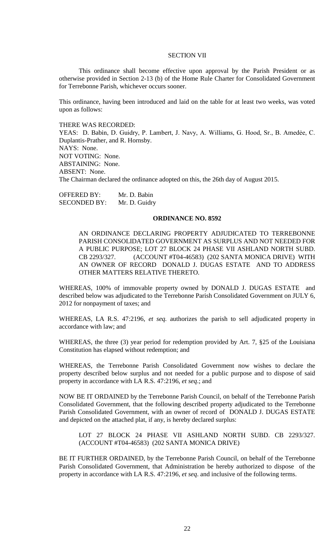### SECTION VII

This ordinance shall become effective upon approval by the Parish President or as otherwise provided in Section 2-13 (b) of the Home Rule Charter for Consolidated Government for Terrebonne Parish, whichever occurs sooner.

This ordinance, having been introduced and laid on the table for at least two weeks, was voted upon as follows:

THERE WAS RECORDED:

YEAS: D. Babin, D. Guidry, P. Lambert, J. Navy, A. Williams, G. Hood, Sr., B. Amedẻe, C. Duplantis-Prather, and R. Hornsby. NAYS: None. NOT VOTING: None. ABSTAINING: None. ABSENT: None. The Chairman declared the ordinance adopted on this, the 26th day of August 2015.

OFFERED BY: Mr. D. Babin SECONDED BY: Mr. D. Guidry

#### **ORDINANCE NO. 8592**

AN ORDINANCE DECLARING PROPERTY ADJUDICATED TO TERREBONNE PARISH CONSOLIDATED GOVERNMENT AS SURPLUS AND NOT NEEDED FOR A PUBLIC PURPOSE; LOT 27 BLOCK 24 PHASE VII ASHLAND NORTH SUBD. CB 2293/327. (ACCOUNT #T04-46583) (202 SANTA MONICA DRIVE) WITH AN OWNER OF RECORD DONALD J. DUGAS ESTATE AND TO ADDRESS OTHER MATTERS RELATIVE THERETO.

WHEREAS, 100% of immovable property owned by DONALD J. DUGAS ESTATE and described below was adjudicated to the Terrebonne Parish Consolidated Government on JULY 6, 2012 for nonpayment of taxes; and

WHEREAS, LA R.S. 47:2196, *et seq.* authorizes the parish to sell adjudicated property in accordance with law; and

WHEREAS, the three (3) year period for redemption provided by Art. 7, §25 of the Louisiana Constitution has elapsed without redemption; and

WHEREAS, the Terrebonne Parish Consolidated Government now wishes to declare the property described below surplus and not needed for a public purpose and to dispose of said property in accordance with LA R.S. 47:2196, *et seq*.; and

NOW BE IT ORDAINED by the Terrebonne Parish Council, on behalf of the Terrebonne Parish Consolidated Government, that the following described property adjudicated to the Terrebonne Parish Consolidated Government, with an owner of record of DONALD J. DUGAS ESTATE and depicted on the attached plat, if any, is hereby declared surplus:

LOT 27 BLOCK 24 PHASE VII ASHLAND NORTH SUBD. CB 2293/327. (ACCOUNT #T04-46583) (202 SANTA MONICA DRIVE)

BE IT FURTHER ORDAINED, by the Terrebonne Parish Council, on behalf of the Terrebonne Parish Consolidated Government, that Administration be hereby authorized to dispose of the property in accordance with LA R.S. 47:2196, *et seq*. and inclusive of the following terms.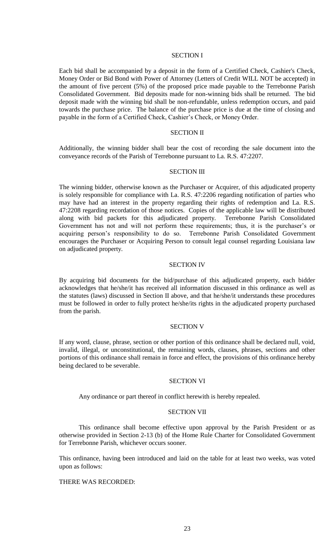### SECTION I

Each bid shall be accompanied by a deposit in the form of a Certified Check, Cashier's Check, Money Order or Bid Bond with Power of Attorney (Letters of Credit WILL NOT be accepted) in the amount of five percent (5%) of the proposed price made payable to the Terrebonne Parish Consolidated Government. Bid deposits made for non-winning bids shall be returned. The bid deposit made with the winning bid shall be non-refundable, unless redemption occurs, and paid towards the purchase price. The balance of the purchase price is due at the time of closing and payable in the form of a Certified Check, Cashier's Check, or Money Order.

# SECTION II

Additionally, the winning bidder shall bear the cost of recording the sale document into the conveyance records of the Parish of Terrebonne pursuant to La. R.S. 47:2207.

#### SECTION III

The winning bidder, otherwise known as the Purchaser or Acquirer, of this adjudicated property is solely responsible for compliance with La. R.S. 47:2206 regarding notification of parties who may have had an interest in the property regarding their rights of redemption and La. R.S. 47:2208 regarding recordation of those notices. Copies of the applicable law will be distributed along with bid packets for this adjudicated property. Terrebonne Parish Consolidated Government has not and will not perform these requirements; thus, it is the purchaser's or acquiring person's responsibility to do so. Terrebonne Parish Consolidated Government encourages the Purchaser or Acquiring Person to consult legal counsel regarding Louisiana law on adjudicated property.

### SECTION IV

By acquiring bid documents for the bid/purchase of this adjudicated property, each bidder acknowledges that he/she/it has received all information discussed in this ordinance as well as the statutes (laws) discussed in Section II above, and that he/she/it understands these procedures must be followed in order to fully protect he/she/its rights in the adjudicated property purchased from the parish.

## SECTION V

If any word, clause, phrase, section or other portion of this ordinance shall be declared null, void, invalid, illegal, or unconstitutional, the remaining words, clauses, phrases, sections and other portions of this ordinance shall remain in force and effect, the provisions of this ordinance hereby being declared to be severable.

### SECTION VI

Any ordinance or part thereof in conflict herewith is hereby repealed.

## SECTION VII

This ordinance shall become effective upon approval by the Parish President or as otherwise provided in Section 2-13 (b) of the Home Rule Charter for Consolidated Government for Terrebonne Parish, whichever occurs sooner.

This ordinance, having been introduced and laid on the table for at least two weeks, was voted upon as follows:

## THERE WAS RECORDED: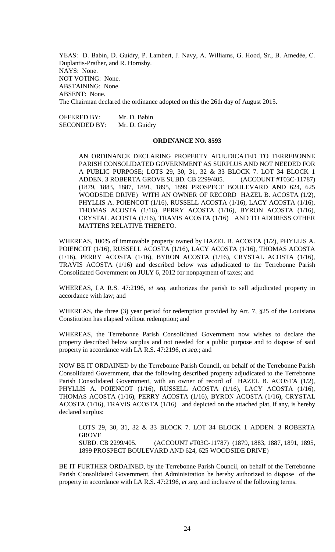YEAS: D. Babin, D. Guidry, P. Lambert, J. Navy, A. Williams, G. Hood, Sr., B. Amedẻe, C. Duplantis-Prather, and R. Hornsby. NAYS: None. NOT VOTING: None. ABSTAINING: None. ABSENT: None. The Chairman declared the ordinance adopted on this the 26th day of August 2015.

OFFERED BY: Mr. D. Babin SECONDED BY: Mr. D. Guidry

#### **ORDINANCE NO. 8593**

AN ORDINANCE DECLARING PROPERTY ADJUDICATED TO TERREBONNE PARISH CONSOLIDATED GOVERNMENT AS SURPLUS AND NOT NEEDED FOR A PUBLIC PURPOSE; LOTS 29, 30, 31, 32 & 33 BLOCK 7. LOT 34 BLOCK 1 ADDEN. 3 ROBERTA GROVE SUBD. CB 2299/405. (ACCOUNT #T03C-11787) (1879, 1883, 1887, 1891, 1895, 1899 PROSPECT BOULEVARD AND 624, 625 WOODSIDE DRIVE) WITH AN OWNER OF RECORD HAZEL B. ACOSTA (1/2), PHYLLIS A. POIENCOT (1/16), RUSSELL ACOSTA (1/16), LACY ACOSTA (1/16), THOMAS ACOSTA (1/16), PERRY ACOSTA (1/16), BYRON ACOSTA (1/16), CRYSTAL ACOSTA (1/16), TRAVIS ACOSTA (1/16) AND TO ADDRESS OTHER MATTERS RELATIVE THERETO.

WHEREAS, 100% of immovable property owned by HAZEL B. ACOSTA (1/2), PHYLLIS A. POIENCOT (1/16), RUSSELL ACOSTA (1/16), LACY ACOSTA (1/16), THOMAS ACOSTA (1/16), PERRY ACOSTA (1/16), BYRON ACOSTA (1/16), CRYSTAL ACOSTA (1/16), TRAVIS ACOSTA (1/16) and described below was adjudicated to the Terrebonne Parish Consolidated Government on JULY 6, 2012 for nonpayment of taxes; and

WHEREAS, LA R.S. 47:2196, *et seq.* authorizes the parish to sell adjudicated property in accordance with law; and

WHEREAS, the three (3) year period for redemption provided by Art. 7, §25 of the Louisiana Constitution has elapsed without redemption; and

WHEREAS, the Terrebonne Parish Consolidated Government now wishes to declare the property described below surplus and not needed for a public purpose and to dispose of said property in accordance with LA R.S. 47:2196, *et seq*.; and

NOW BE IT ORDAINED by the Terrebonne Parish Council, on behalf of the Terrebonne Parish Consolidated Government, that the following described property adjudicated to the Terrebonne Parish Consolidated Government, with an owner of record of HAZEL B. ACOSTA (1/2), PHYLLIS A. POIENCOT (1/16), RUSSELL ACOSTA (1/16), LACY ACOSTA (1/16), THOMAS ACOSTA (1/16), PERRY ACOSTA (1/16), BYRON ACOSTA (1/16), CRYSTAL ACOSTA (1/16), TRAVIS ACOSTA (1/16) and depicted on the attached plat, if any, is hereby declared surplus:

LOTS 29, 30, 31, 32 & 33 BLOCK 7. LOT 34 BLOCK 1 ADDEN. 3 ROBERTA GROVE SUBD. CB 2299/405. (ACCOUNT #T03C-11787) (1879, 1883, 1887, 1891, 1895, 1899 PROSPECT BOULEVARD AND 624, 625 WOODSIDE DRIVE)

BE IT FURTHER ORDAINED, by the Terrebonne Parish Council, on behalf of the Terrebonne Parish Consolidated Government, that Administration be hereby authorized to dispose of the property in accordance with LA R.S. 47:2196, *et seq*. and inclusive of the following terms.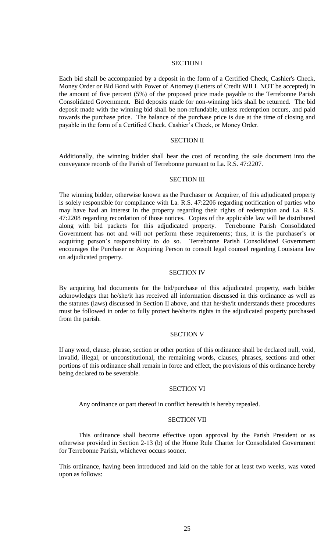### SECTION I

Each bid shall be accompanied by a deposit in the form of a Certified Check, Cashier's Check, Money Order or Bid Bond with Power of Attorney (Letters of Credit WILL NOT be accepted) in the amount of five percent (5%) of the proposed price made payable to the Terrebonne Parish Consolidated Government. Bid deposits made for non-winning bids shall be returned. The bid deposit made with the winning bid shall be non-refundable, unless redemption occurs, and paid towards the purchase price. The balance of the purchase price is due at the time of closing and payable in the form of a Certified Check, Cashier's Check, or Money Order.

#### SECTION II

Additionally, the winning bidder shall bear the cost of recording the sale document into the conveyance records of the Parish of Terrebonne pursuant to La. R.S. 47:2207.

# SECTION III

The winning bidder, otherwise known as the Purchaser or Acquirer, of this adjudicated property is solely responsible for compliance with La. R.S. 47:2206 regarding notification of parties who may have had an interest in the property regarding their rights of redemption and La. R.S. 47:2208 regarding recordation of those notices. Copies of the applicable law will be distributed along with bid packets for this adjudicated property. Terrebonne Parish Consolidated Government has not and will not perform these requirements; thus, it is the purchaser's or acquiring person's responsibility to do so. Terrebonne Parish Consolidated Government encourages the Purchaser or Acquiring Person to consult legal counsel regarding Louisiana law on adjudicated property.

#### SECTION IV

By acquiring bid documents for the bid/purchase of this adjudicated property, each bidder acknowledges that he/she/it has received all information discussed in this ordinance as well as the statutes (laws) discussed in Section II above, and that he/she/it understands these procedures must be followed in order to fully protect he/she/its rights in the adjudicated property purchased from the parish.

## SECTION V

If any word, clause, phrase, section or other portion of this ordinance shall be declared null, void, invalid, illegal, or unconstitutional, the remaining words, clauses, phrases, sections and other portions of this ordinance shall remain in force and effect, the provisions of this ordinance hereby being declared to be severable.

### SECTION VI

Any ordinance or part thereof in conflict herewith is hereby repealed.

#### SECTION VII

This ordinance shall become effective upon approval by the Parish President or as otherwise provided in Section 2-13 (b) of the Home Rule Charter for Consolidated Government for Terrebonne Parish, whichever occurs sooner.

This ordinance, having been introduced and laid on the table for at least two weeks, was voted upon as follows: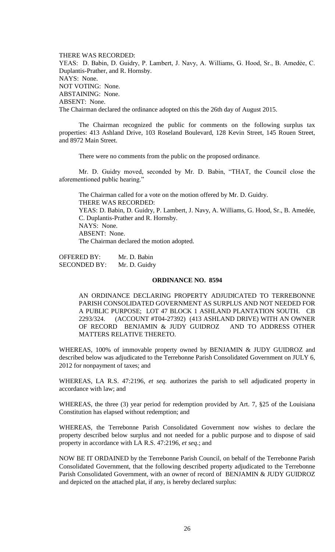THERE WAS RECORDED: YEAS: D. Babin, D. Guidry, P. Lambert, J. Navy, A. Williams, G. Hood, Sr., B. Amedẻe, C. Duplantis-Prather, and R. Hornsby. NAYS: None. NOT VOTING: None. ABSTAINING: None. ABSENT: None. The Chairman declared the ordinance adopted on this the 26th day of August 2015.

The Chairman recognized the public for comments on the following surplus tax properties: 413 Ashland Drive, 103 Roseland Boulevard, 128 Kevin Street, 145 Rouen Street, and 8972 Main Street.

There were no comments from the public on the proposed ordinance.

Mr. D. Guidry moved, seconded by Mr. D. Babin, "THAT, the Council close the aforementioned public hearing."

The Chairman called for a vote on the motion offered by Mr. D. Guidry. THERE WAS RECORDED: YEAS: D. Babin, D. Guidry, P. Lambert, J. Navy, A. Williams, G. Hood, Sr., B. Amedée, C. Duplantis-Prather and R. Hornsby. NAYS: None. ABSENT: None. The Chairman declared the motion adopted.

OFFERED BY: Mr. D. Babin SECONDED BY: Mr. D. Guidry

### **ORDINANCE NO. 8594**

AN ORDINANCE DECLARING PROPERTY ADJUDICATED TO TERREBONNE PARISH CONSOLIDATED GOVERNMENT AS SURPLUS AND NOT NEEDED FOR A PUBLIC PURPOSE; LOT 47 BLOCK 1 ASHLAND PLANTATION SOUTH. CB 2293/324. (ACCOUNT #T04-27392) (413 ASHLAND DRIVE) WITH AN OWNER OF RECORD BENJAMIN & JUDY GUIDROZ AND TO ADDRESS OTHER MATTERS RELATIVE THERETO.

WHEREAS, 100% of immovable property owned by BENJAMIN & JUDY GUIDROZ and described below was adjudicated to the Terrebonne Parish Consolidated Government on JULY 6, 2012 for nonpayment of taxes; and

WHEREAS, LA R.S. 47:2196, *et seq.* authorizes the parish to sell adjudicated property in accordance with law; and

WHEREAS, the three (3) year period for redemption provided by Art. 7, §25 of the Louisiana Constitution has elapsed without redemption; and

WHEREAS, the Terrebonne Parish Consolidated Government now wishes to declare the property described below surplus and not needed for a public purpose and to dispose of said property in accordance with LA R.S. 47:2196, *et seq*.; and

NOW BE IT ORDAINED by the Terrebonne Parish Council, on behalf of the Terrebonne Parish Consolidated Government, that the following described property adjudicated to the Terrebonne Parish Consolidated Government, with an owner of record of BENJAMIN & JUDY GUIDROZ and depicted on the attached plat, if any, is hereby declared surplus: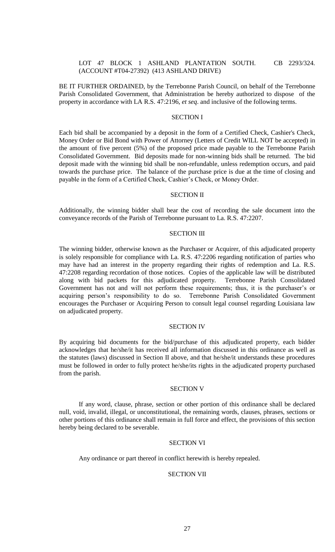# LOT 47 BLOCK 1 ASHLAND PLANTATION SOUTH. CB 2293/324. (ACCOUNT #T04-27392) (413 ASHLAND DRIVE)

BE IT FURTHER ORDAINED, by the Terrebonne Parish Council, on behalf of the Terrebonne Parish Consolidated Government, that Administration be hereby authorized to dispose of the property in accordance with LA R.S. 47:2196, *et seq*. and inclusive of the following terms.

## SECTION I

Each bid shall be accompanied by a deposit in the form of a Certified Check, Cashier's Check, Money Order or Bid Bond with Power of Attorney (Letters of Credit WILL NOT be accepted) in the amount of five percent (5%) of the proposed price made payable to the Terrebonne Parish Consolidated Government. Bid deposits made for non-winning bids shall be returned. The bid deposit made with the winning bid shall be non-refundable, unless redemption occurs, and paid towards the purchase price. The balance of the purchase price is due at the time of closing and payable in the form of a Certified Check, Cashier's Check, or Money Order.

#### SECTION II

Additionally, the winning bidder shall bear the cost of recording the sale document into the conveyance records of the Parish of Terrebonne pursuant to La. R.S. 47:2207.

#### SECTION III

The winning bidder, otherwise known as the Purchaser or Acquirer, of this adjudicated property is solely responsible for compliance with La. R.S. 47:2206 regarding notification of parties who may have had an interest in the property regarding their rights of redemption and La. R.S. 47:2208 regarding recordation of those notices. Copies of the applicable law will be distributed along with bid packets for this adjudicated property. Terrebonne Parish Consolidated Government has not and will not perform these requirements; thus, it is the purchaser's or acquiring person's responsibility to do so. Terrebonne Parish Consolidated Government encourages the Purchaser or Acquiring Person to consult legal counsel regarding Louisiana law on adjudicated property.

## SECTION IV

By acquiring bid documents for the bid/purchase of this adjudicated property, each bidder acknowledges that he/she/it has received all information discussed in this ordinance as well as the statutes (laws) discussed in Section II above, and that he/she/it understands these procedures must be followed in order to fully protect he/she/its rights in the adjudicated property purchased from the parish.

### SECTION V

If any word, clause, phrase, section or other portion of this ordinance shall be declared null, void, invalid, illegal, or unconstitutional, the remaining words, clauses, phrases, sections or other portions of this ordinance shall remain in full force and effect, the provisions of this section hereby being declared to be severable.

### SECTION VI

Any ordinance or part thereof in conflict herewith is hereby repealed.

### SECTION VII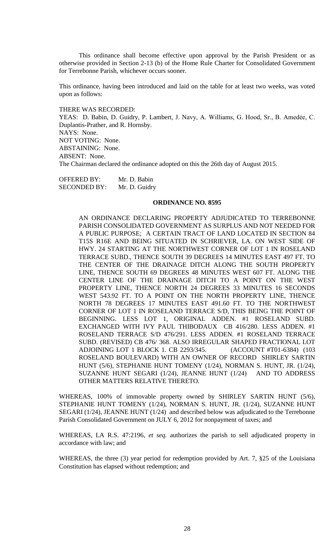This ordinance shall become effective upon approval by the Parish President or as otherwise provided in Section 2-13 (b) of the Home Rule Charter for Consolidated Government for Terrebonne Parish, whichever occurs sooner.

This ordinance, having been introduced and laid on the table for at least two weeks, was voted upon as follows:

THERE WAS RECORDED:

YEAS: D. Babin, D. Guidry, P. Lambert, J. Navy, A. Williams, G. Hood, Sr., B. Amedẻe, C. Duplantis-Prather, and R. Hornsby. NAYS: None. NOT VOTING: None. ABSTAINING: None. ABSENT: None. The Chairman declared the ordinance adopted on this the 26th day of August 2015.

OFFERED BY: Mr. D. Babin SECONDED BY: Mr. D. Guidry

#### **ORDINANCE NO. 8595**

AN ORDINANCE DECLARING PROPERTY ADJUDICATED TO TERREBONNE PARISH CONSOLIDATED GOVERNMENT AS SURPLUS AND NOT NEEDED FOR A PUBLIC PURPOSE; A CERTAIN TRACT OF LAND LOCATED IN SECTION 84 T15S R16E AND BEING SITUATED IN SCHRIEVER, LA. ON WEST SIDE OF HWY. 24 STARTING AT THE NORTHWEST CORNER OF LOT 1 IN ROSELAND TERRACE SUBD., THENCE SOUTH 39 DEGREES 14 MINUTES EAST 497 FT. TO THE CENTER OF THE DRAINAGE DITCH ALONG THE SOUTH PROPERTY LINE, THENCE SOUTH 69 DEGREES 48 MINUTES WEST 607 FT. ALONG THE CENTER LINE OF THE DRAINAGE DITCH TO A POINT ON THE WEST PROPERTY LINE, THENCE NORTH 24 DEGREES 33 MINUTES 16 SECONDS WEST 543.92 FT. TO A POINT ON THE NORTH PROPERTY LINE, THENCE NORTH 78 DEGREES 17 MINUTES EAST 491.60 FT. TO THE NORTHWEST CORNER OF LOT 1 IN ROSELAND TERRACE S/D, THIS BEING THE POINT OF BEGINNING. LESS LOT 1, ORIGINAL ADDEN. #1 ROSELAND SUBD. EXCHANGED WITH IVY PAUL THIBODAUX CB 416/280. LESS ADDEN. #1 ROSELAND TERRACE S/D 476/291. LESS ADDEN. #1 ROSELAND TERRACE SUBD. (REVISED) CB 476/ 368. ALSO IRREGULAR SHAPED FRACTIONAL LOT ADJOINING LOT 1 BLOCK 1. CB 2293/345. (ACCOUNT #T01-6384) (103 ROSELAND BOULEVARD) WITH AN OWNER OF RECORD SHIRLEY SARTIN HUNT (5/6), STEPHANIE HUNT TOMENY (1/24), NORMAN S. HUNT, JR. (1/24), SUZANNE HUNT SEGARI (1/24), JEANNE HUNT (1/24) AND TO ADDRESS OTHER MATTERS RELATIVE THERETO.

WHEREAS, 100% of immovable property owned by SHIRLEY SARTIN HUNT (5/6), STEPHANIE HUNT TOMENY (1/24), NORMAN S. HUNT, JR. (1/24), SUZANNE HUNT SEGARI (1/24), JEANNE HUNT (1/24) and described below was adjudicated to the Terrebonne Parish Consolidated Government on JULY 6, 2012 for nonpayment of taxes; and

WHEREAS, LA R.S. 47:2196, *et seq.* authorizes the parish to sell adjudicated property in accordance with law; and

WHEREAS, the three (3) year period for redemption provided by Art. 7, §25 of the Louisiana Constitution has elapsed without redemption; and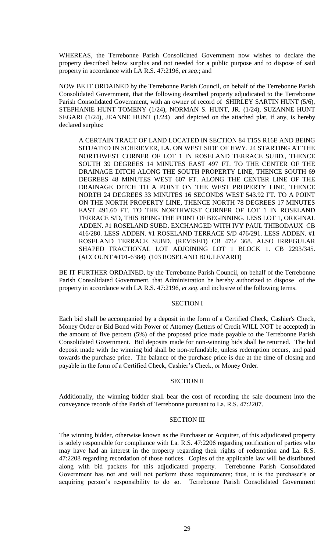WHEREAS, the Terrebonne Parish Consolidated Government now wishes to declare the property described below surplus and not needed for a public purpose and to dispose of said property in accordance with LA R.S. 47:2196, *et seq*.; and

NOW BE IT ORDAINED by the Terrebonne Parish Council, on behalf of the Terrebonne Parish Consolidated Government, that the following described property adjudicated to the Terrebonne Parish Consolidated Government, with an owner of record of SHIRLEY SARTIN HUNT (5/6), STEPHANIE HUNT TOMENY (1/24), NORMAN S. HUNT, JR. (1/24), SUZANNE HUNT SEGARI ( $1/24$ ), JEANNE HUNT ( $1/24$ ) and depicted on the attached plat, if any, is hereby declared surplus:

A CERTAIN TRACT OF LAND LOCATED IN SECTION 84 T15S R16E AND BEING SITUATED IN SCHRIEVER, LA. ON WEST SIDE OF HWY. 24 STARTING AT THE NORTHWEST CORNER OF LOT 1 IN ROSELAND TERRACE SUBD., THENCE SOUTH 39 DEGREES 14 MINUTES EAST 497 FT. TO THE CENTER OF THE DRAINAGE DITCH ALONG THE SOUTH PROPERTY LINE, THENCE SOUTH 69 DEGREES 48 MINUTES WEST 607 FT. ALONG THE CENTER LINE OF THE DRAINAGE DITCH TO A POINT ON THE WEST PROPERTY LINE, THENCE NORTH 24 DEGREES 33 MINUTES 16 SECONDS WEST 543.92 FT. TO A POINT ON THE NORTH PROPERTY LINE, THENCE NORTH 78 DEGREES 17 MINUTES EAST 491.60 FT. TO THE NORTHWEST CORNER OF LOT 1 IN ROSELAND TERRACE S/D, THIS BEING THE POINT OF BEGINNING. LESS LOT 1, ORIGINAL ADDEN. #1 ROSELAND SUBD. EXCHANGED WITH IVY PAUL THIBODAUX CB 416/280. LESS ADDEN. #1 ROSELAND TERRACE S/D 476/291. LESS ADDEN. #1 ROSELAND TERRACE SUBD. (REVISED) CB 476/ 368. ALSO IRREGULAR SHAPED FRACTIONAL LOT ADJOINING LOT 1 BLOCK 1. CB 2293/345. (ACCOUNT #T01-6384) (103 ROSELAND BOULEVARD)

BE IT FURTHER ORDAINED, by the Terrebonne Parish Council, on behalf of the Terrebonne Parish Consolidated Government, that Administration be hereby authorized to dispose of the property in accordance with LA R.S. 47:2196, *et seq*. and inclusive of the following terms.

### SECTION I

Each bid shall be accompanied by a deposit in the form of a Certified Check, Cashier's Check, Money Order or Bid Bond with Power of Attorney (Letters of Credit WILL NOT be accepted) in the amount of five percent (5%) of the proposed price made payable to the Terrebonne Parish Consolidated Government. Bid deposits made for non-winning bids shall be returned. The bid deposit made with the winning bid shall be non-refundable, unless redemption occurs, and paid towards the purchase price. The balance of the purchase price is due at the time of closing and payable in the form of a Certified Check, Cashier's Check, or Money Order.

### SECTION II

Additionally, the winning bidder shall bear the cost of recording the sale document into the conveyance records of the Parish of Terrebonne pursuant to La. R.S. 47:2207.

#### SECTION III

The winning bidder, otherwise known as the Purchaser or Acquirer, of this adjudicated property is solely responsible for compliance with La. R.S. 47:2206 regarding notification of parties who may have had an interest in the property regarding their rights of redemption and La. R.S. 47:2208 regarding recordation of those notices. Copies of the applicable law will be distributed along with bid packets for this adjudicated property. Terrebonne Parish Consolidated Government has not and will not perform these requirements; thus, it is the purchaser's or acquiring person's responsibility to do so. Terrebonne Parish Consolidated Government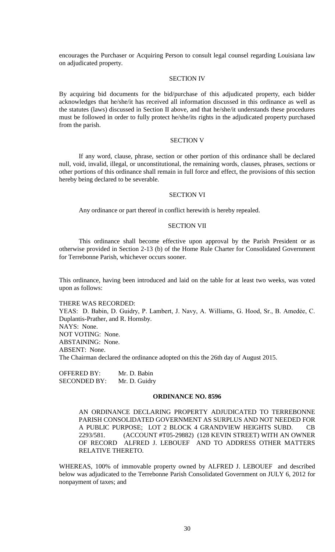encourages the Purchaser or Acquiring Person to consult legal counsel regarding Louisiana law on adjudicated property.

## SECTION IV

By acquiring bid documents for the bid/purchase of this adjudicated property, each bidder acknowledges that he/she/it has received all information discussed in this ordinance as well as the statutes (laws) discussed in Section II above, and that he/she/it understands these procedures must be followed in order to fully protect he/she/its rights in the adjudicated property purchased from the parish.

# SECTION V

If any word, clause, phrase, section or other portion of this ordinance shall be declared null, void, invalid, illegal, or unconstitutional, the remaining words, clauses, phrases, sections or other portions of this ordinance shall remain in full force and effect, the provisions of this section hereby being declared to be severable.

### SECTION VI

Any ordinance or part thereof in conflict herewith is hereby repealed.

#### SECTION VII

This ordinance shall become effective upon approval by the Parish President or as otherwise provided in Section 2-13 (b) of the Home Rule Charter for Consolidated Government for Terrebonne Parish, whichever occurs sooner.

This ordinance, having been introduced and laid on the table for at least two weeks, was voted upon as follows:

THERE WAS RECORDED: YEAS: D. Babin, D. Guidry, P. Lambert, J. Navy, A. Williams, G. Hood, Sr., B. Amedée, C. Duplantis-Prather, and R. Hornsby. NAYS: None. NOT VOTING: None. ABSTAINING: None. ABSENT: None. The Chairman declared the ordinance adopted on this the 26th day of August 2015.

OFFERED BY: Mr. D. Babin SECONDED BY: Mr. D. Guidry

### **ORDINANCE NO. 8596**

AN ORDINANCE DECLARING PROPERTY ADJUDICATED TO TERREBONNE PARISH CONSOLIDATED GOVERNMENT AS SURPLUS AND NOT NEEDED FOR A PUBLIC PURPOSE; LOT 2 BLOCK 4 GRANDVIEW HEIGHTS SUBD. CB 2293/581. (ACCOUNT #T05-29882) (128 KEVIN STREET) WITH AN OWNER OF RECORD ALFRED J. LEBOUEF AND TO ADDRESS OTHER MATTERS RELATIVE THERETO.

WHEREAS, 100% of immovable property owned by ALFRED J. LEBOUEF and described below was adjudicated to the Terrebonne Parish Consolidated Government on JULY 6, 2012 for nonpayment of taxes; and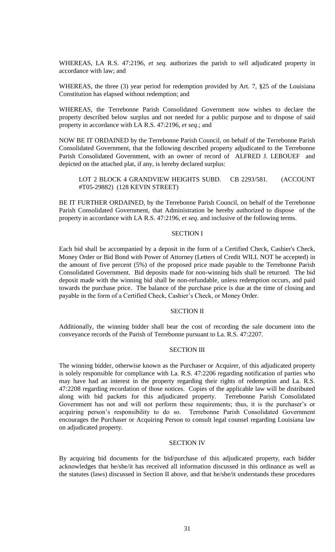WHEREAS, LA R.S. 47:2196, *et seq.* authorizes the parish to sell adjudicated property in accordance with law; and

WHEREAS, the three (3) year period for redemption provided by Art. 7, §25 of the Louisiana Constitution has elapsed without redemption; and

WHEREAS, the Terrebonne Parish Consolidated Government now wishes to declare the property described below surplus and not needed for a public purpose and to dispose of said property in accordance with LA R.S. 47:2196, *et seq*.; and

NOW BE IT ORDAINED by the Terrebonne Parish Council, on behalf of the Terrebonne Parish Consolidated Government, that the following described property adjudicated to the Terrebonne Parish Consolidated Government, with an owner of record of ALFRED J. LEBOUEF and depicted on the attached plat, if any, is hereby declared surplus:

LOT 2 BLOCK 4 GRANDVIEW HEIGHTS SUBD. CB 2293/581. (ACCOUNT #T05-29882) (128 KEVIN STREET)

BE IT FURTHER ORDAINED, by the Terrebonne Parish Council, on behalf of the Terrebonne Parish Consolidated Government, that Administration be hereby authorized to dispose of the property in accordance with LA R.S. 47:2196, *et seq*. and inclusive of the following terms.

### SECTION I

Each bid shall be accompanied by a deposit in the form of a Certified Check, Cashier's Check, Money Order or Bid Bond with Power of Attorney (Letters of Credit WILL NOT be accepted) in the amount of five percent (5%) of the proposed price made payable to the Terrebonne Parish Consolidated Government. Bid deposits made for non-winning bids shall be returned. The bid deposit made with the winning bid shall be non-refundable, unless redemption occurs, and paid towards the purchase price. The balance of the purchase price is due at the time of closing and payable in the form of a Certified Check, Cashier's Check, or Money Order.

## SECTION II

Additionally, the winning bidder shall bear the cost of recording the sale document into the conveyance records of the Parish of Terrebonne pursuant to La. R.S. 47:2207.

# SECTION III

The winning bidder, otherwise known as the Purchaser or Acquirer, of this adjudicated property is solely responsible for compliance with La. R.S. 47:2206 regarding notification of parties who may have had an interest in the property regarding their rights of redemption and La. R.S. 47:2208 regarding recordation of those notices. Copies of the applicable law will be distributed along with bid packets for this adjudicated property. Terrebonne Parish Consolidated Government has not and will not perform these requirements; thus, it is the purchaser's or acquiring person's responsibility to do so. Terrebonne Parish Consolidated Government encourages the Purchaser or Acquiring Person to consult legal counsel regarding Louisiana law on adjudicated property.

## SECTION IV

By acquiring bid documents for the bid/purchase of this adjudicated property, each bidder acknowledges that he/she/it has received all information discussed in this ordinance as well as the statutes (laws) discussed in Section II above, and that he/she/it understands these procedures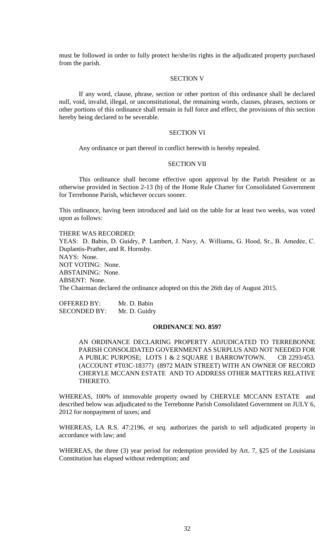must be followed in order to fully protect he/she/its rights in the adjudicated property purchased from the parish.

## SECTION V

If any word, clause, phrase, section or other portion of this ordinance shall be declared null, void, invalid, illegal, or unconstitutional, the remaining words, clauses, phrases, sections or other portions of this ordinance shall remain in full force and effect, the provisions of this section hereby being declared to be severable.

# SECTION VI

Any ordinance or part thereof in conflict herewith is hereby repealed.

#### SECTION VII

This ordinance shall become effective upon approval by the Parish President or as otherwise provided in Section 2-13 (b) of the Home Rule Charter for Consolidated Government for Terrebonne Parish, whichever occurs sooner.

This ordinance, having been introduced and laid on the table for at least two weeks, was voted upon as follows:

THERE WAS RECORDED: YEAS: D. Babin, D. Guidry, P. Lambert, J. Navy, A. Williams, G. Hood, Sr., B. Amedẻe, C. Duplantis-Prather, and R. Hornsby. NAYS: None. NOT VOTING: None. ABSTAINING: None. ABSENT: None. The Chairman declared the ordinance adopted on this the 26th day of August 2015.

OFFERED BY: Mr. D. Babin SECONDED BY: Mr. D. Guidry

## **ORDINANCE NO. 8597**

AN ORDINANCE DECLARING PROPERTY ADJUDICATED TO TERREBONNE PARISH CONSOLIDATED GOVERNMENT AS SURPLUS AND NOT NEEDED FOR A PUBLIC PURPOSE; LOTS 1 & 2 SQUARE 1 BARROWTOWN. CB 2293/453. (ACCOUNT #T03C-18377) (8972 MAIN STREET) WITH AN OWNER OF RECORD CHERYLE MCCANN ESTATE AND TO ADDRESS OTHER MATTERS RELATIVE THERETO.

WHEREAS, 100% of immovable property owned by CHERYLE MCCANN ESTATE and described below was adjudicated to the Terrebonne Parish Consolidated Government on JULY 6, 2012 for nonpayment of taxes; and

WHEREAS, LA R.S. 47:2196, *et seq.* authorizes the parish to sell adjudicated property in accordance with law; and

WHEREAS, the three (3) year period for redemption provided by Art. 7, §25 of the Louisiana Constitution has elapsed without redemption; and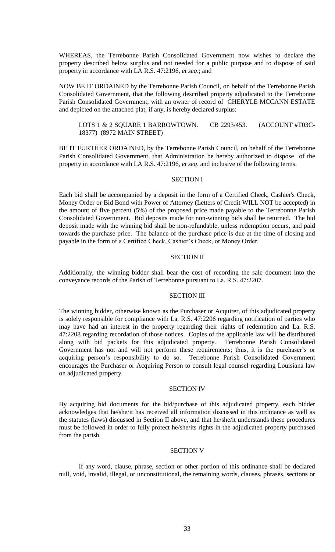WHEREAS, the Terrebonne Parish Consolidated Government now wishes to declare the property described below surplus and not needed for a public purpose and to dispose of said property in accordance with LA R.S. 47:2196, *et seq*.; and

NOW BE IT ORDAINED by the Terrebonne Parish Council, on behalf of the Terrebonne Parish Consolidated Government, that the following described property adjudicated to the Terrebonne Parish Consolidated Government, with an owner of record of CHERYLE MCCANN ESTATE and depicted on the attached plat, if any, is hereby declared surplus:

LOTS 1 & 2 SQUARE 1 BARROWTOWN. CB 2293/453. (ACCOUNT #T03C-18377) (8972 MAIN STREET)

BE IT FURTHER ORDAINED, by the Terrebonne Parish Council, on behalf of the Terrebonne Parish Consolidated Government, that Administration be hereby authorized to dispose of the property in accordance with LA R.S. 47:2196, *et seq*. and inclusive of the following terms.

#### SECTION I

Each bid shall be accompanied by a deposit in the form of a Certified Check, Cashier's Check, Money Order or Bid Bond with Power of Attorney (Letters of Credit WILL NOT be accepted) in the amount of five percent (5%) of the proposed price made payable to the Terrebonne Parish Consolidated Government. Bid deposits made for non-winning bids shall be returned. The bid deposit made with the winning bid shall be non-refundable, unless redemption occurs, and paid towards the purchase price. The balance of the purchase price is due at the time of closing and payable in the form of a Certified Check, Cashier's Check, or Money Order.

## SECTION II

Additionally, the winning bidder shall bear the cost of recording the sale document into the conveyance records of the Parish of Terrebonne pursuant to La. R.S. 47:2207.

## SECTION III

The winning bidder, otherwise known as the Purchaser or Acquirer, of this adjudicated property is solely responsible for compliance with La. R.S. 47:2206 regarding notification of parties who may have had an interest in the property regarding their rights of redemption and La. R.S. 47:2208 regarding recordation of those notices. Copies of the applicable law will be distributed along with bid packets for this adjudicated property. Terrebonne Parish Consolidated Government has not and will not perform these requirements; thus, it is the purchaser's or acquiring person's responsibility to do so. Terrebonne Parish Consolidated Government encourages the Purchaser or Acquiring Person to consult legal counsel regarding Louisiana law on adjudicated property.

### SECTION IV

By acquiring bid documents for the bid/purchase of this adjudicated property, each bidder acknowledges that he/she/it has received all information discussed in this ordinance as well as the statutes (laws) discussed in Section II above, and that he/she/it understands these procedures must be followed in order to fully protect he/she/its rights in the adjudicated property purchased from the parish.

### SECTION V

If any word, clause, phrase, section or other portion of this ordinance shall be declared null, void, invalid, illegal, or unconstitutional, the remaining words, clauses, phrases, sections or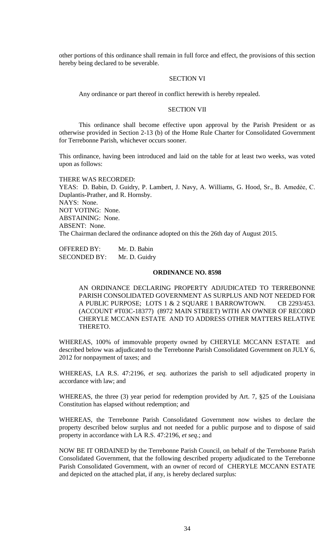other portions of this ordinance shall remain in full force and effect, the provisions of this section hereby being declared to be severable.

## SECTION VI

Any ordinance or part thereof in conflict herewith is hereby repealed.

# SECTION VII

This ordinance shall become effective upon approval by the Parish President or as otherwise provided in Section 2-13 (b) of the Home Rule Charter for Consolidated Government for Terrebonne Parish, whichever occurs sooner.

This ordinance, having been introduced and laid on the table for at least two weeks, was voted upon as follows:

THERE WAS RECORDED: YEAS: D. Babin, D. Guidry, P. Lambert, J. Navy, A. Williams, G. Hood, Sr., B. Amedẻe, C. Duplantis-Prather, and R. Hornsby. NAYS: None. NOT VOTING: None. ABSTAINING: None. ABSENT: None. The Chairman declared the ordinance adopted on this the 26th day of August 2015.

| <b>OFFERED BY:</b>  | Mr. D. Babin  |
|---------------------|---------------|
| <b>SECONDED BY:</b> | Mr. D. Guidry |

#### **ORDINANCE NO. 8598**

AN ORDINANCE DECLARING PROPERTY ADJUDICATED TO TERREBONNE PARISH CONSOLIDATED GOVERNMENT AS SURPLUS AND NOT NEEDED FOR A PUBLIC PURPOSE; LOTS 1 & 2 SQUARE 1 BARROWTOWN. CB 2293/453. (ACCOUNT #T03C-18377) (8972 MAIN STREET) WITH AN OWNER OF RECORD CHERYLE MCCANN ESTATE AND TO ADDRESS OTHER MATTERS RELATIVE THERETO.

WHEREAS, 100% of immovable property owned by CHERYLE MCCANN ESTATE and described below was adjudicated to the Terrebonne Parish Consolidated Government on JULY 6, 2012 for nonpayment of taxes; and

WHEREAS, LA R.S. 47:2196, *et seq.* authorizes the parish to sell adjudicated property in accordance with law; and

WHEREAS, the three (3) year period for redemption provided by Art. 7, §25 of the Louisiana Constitution has elapsed without redemption; and

WHEREAS, the Terrebonne Parish Consolidated Government now wishes to declare the property described below surplus and not needed for a public purpose and to dispose of said property in accordance with LA R.S. 47:2196, *et seq*.; and

NOW BE IT ORDAINED by the Terrebonne Parish Council, on behalf of the Terrebonne Parish Consolidated Government, that the following described property adjudicated to the Terrebonne Parish Consolidated Government, with an owner of record of CHERYLE MCCANN ESTATE and depicted on the attached plat, if any, is hereby declared surplus: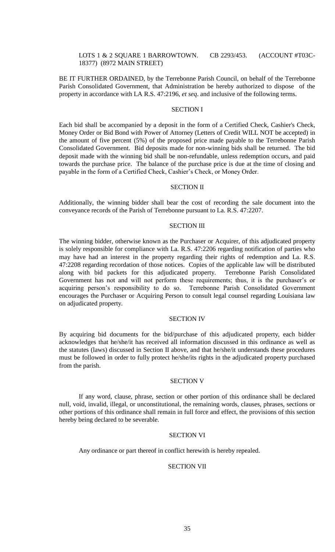## LOTS 1 & 2 SQUARE 1 BARROWTOWN. CB 2293/453. (ACCOUNT #T03C-18377) (8972 MAIN STREET)

BE IT FURTHER ORDAINED, by the Terrebonne Parish Council, on behalf of the Terrebonne Parish Consolidated Government, that Administration be hereby authorized to dispose of the property in accordance with LA R.S. 47:2196, *et seq*. and inclusive of the following terms.

# SECTION I

Each bid shall be accompanied by a deposit in the form of a Certified Check, Cashier's Check, Money Order or Bid Bond with Power of Attorney (Letters of Credit WILL NOT be accepted) in the amount of five percent (5%) of the proposed price made payable to the Terrebonne Parish Consolidated Government. Bid deposits made for non-winning bids shall be returned. The bid deposit made with the winning bid shall be non-refundable, unless redemption occurs, and paid towards the purchase price. The balance of the purchase price is due at the time of closing and payable in the form of a Certified Check, Cashier's Check, or Money Order.

#### SECTION II

Additionally, the winning bidder shall bear the cost of recording the sale document into the conveyance records of the Parish of Terrebonne pursuant to La. R.S. 47:2207.

#### SECTION III

The winning bidder, otherwise known as the Purchaser or Acquirer, of this adjudicated property is solely responsible for compliance with La. R.S. 47:2206 regarding notification of parties who may have had an interest in the property regarding their rights of redemption and La. R.S. 47:2208 regarding recordation of those notices. Copies of the applicable law will be distributed along with bid packets for this adjudicated property. Terrebonne Parish Consolidated Government has not and will not perform these requirements; thus, it is the purchaser's or acquiring person's responsibility to do so. Terrebonne Parish Consolidated Government encourages the Purchaser or Acquiring Person to consult legal counsel regarding Louisiana law on adjudicated property.

### SECTION IV

By acquiring bid documents for the bid/purchase of this adjudicated property, each bidder acknowledges that he/she/it has received all information discussed in this ordinance as well as the statutes (laws) discussed in Section II above, and that he/she/it understands these procedures must be followed in order to fully protect he/she/its rights in the adjudicated property purchased from the parish.

### SECTION V

If any word, clause, phrase, section or other portion of this ordinance shall be declared null, void, invalid, illegal, or unconstitutional, the remaining words, clauses, phrases, sections or other portions of this ordinance shall remain in full force and effect, the provisions of this section hereby being declared to be severable.

## SECTION VI

Any ordinance or part thereof in conflict herewith is hereby repealed.

### SECTION VII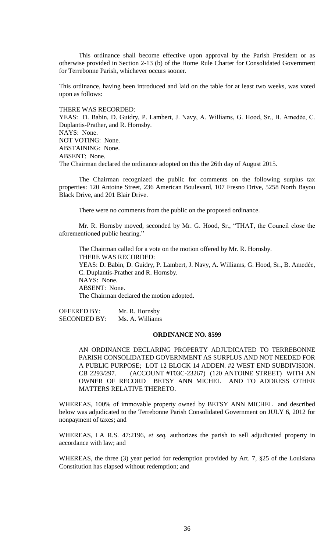This ordinance shall become effective upon approval by the Parish President or as otherwise provided in Section 2-13 (b) of the Home Rule Charter for Consolidated Government for Terrebonne Parish, whichever occurs sooner.

This ordinance, having been introduced and laid on the table for at least two weeks, was voted upon as follows:

# THERE WAS RECORDED:

YEAS: D. Babin, D. Guidry, P. Lambert, J. Navy, A. Williams, G. Hood, Sr., B. Amedẻe, C. Duplantis-Prather, and R. Hornsby. NAYS: None. NOT VOTING: None. ABSTAINING: None. ABSENT: None. The Chairman declared the ordinance adopted on this the 26th day of August 2015.

The Chairman recognized the public for comments on the following surplus tax properties: 120 Antoine Street, 236 American Boulevard, 107 Fresno Drive, 5258 North Bayou Black Drive, and 201 Blair Drive.

There were no comments from the public on the proposed ordinance.

Mr. R. Hornsby moved, seconded by Mr. G. Hood, Sr., "THAT, the Council close the aforementioned public hearing."

The Chairman called for a vote on the motion offered by Mr. R. Hornsby. THERE WAS RECORDED: YEAS: D. Babin, D. Guidry, P. Lambert, J. Navy, A. Williams, G. Hood, Sr., B. Amedée, C. Duplantis-Prather and R. Hornsby. NAYS: None. ABSENT: None. The Chairman declared the motion adopted.

OFFERED BY: Mr. R. Hornsby SECONDED BY: Ms. A. Williams

### **ORDINANCE NO. 8599**

AN ORDINANCE DECLARING PROPERTY ADJUDICATED TO TERREBONNE PARISH CONSOLIDATED GOVERNMENT AS SURPLUS AND NOT NEEDED FOR A PUBLIC PURPOSE; LOT 12 BLOCK 14 ADDEN. #2 WEST END SUBDIVISION. CB 2293/297. (ACCOUNT #T03C-23267) (120 ANTOINE STREET) WITH AN OWNER OF RECORD BETSY ANN MICHEL AND TO ADDRESS OTHER MATTERS RELATIVE THERETO.

WHEREAS, 100% of immovable property owned by BETSY ANN MICHEL and described below was adjudicated to the Terrebonne Parish Consolidated Government on JULY 6, 2012 for nonpayment of taxes; and

WHEREAS, LA R.S. 47:2196, *et seq.* authorizes the parish to sell adjudicated property in accordance with law; and

WHEREAS, the three (3) year period for redemption provided by Art. 7, §25 of the Louisiana Constitution has elapsed without redemption; and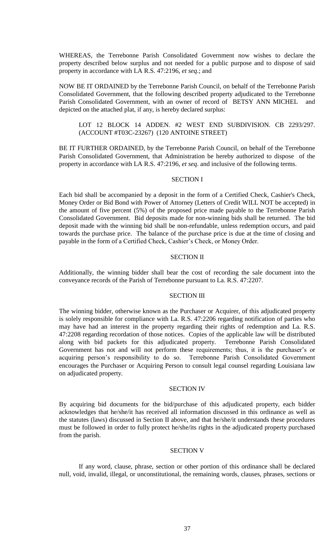WHEREAS, the Terrebonne Parish Consolidated Government now wishes to declare the property described below surplus and not needed for a public purpose and to dispose of said property in accordance with LA R.S. 47:2196, *et seq*.; and

NOW BE IT ORDAINED by the Terrebonne Parish Council, on behalf of the Terrebonne Parish Consolidated Government, that the following described property adjudicated to the Terrebonne Parish Consolidated Government, with an owner of record of BETSY ANN MICHEL and depicted on the attached plat, if any, is hereby declared surplus:

# LOT 12 BLOCK 14 ADDEN. #2 WEST END SUBDIVISION. CB 2293/297. (ACCOUNT #T03C-23267) (120 ANTOINE STREET)

BE IT FURTHER ORDAINED, by the Terrebonne Parish Council, on behalf of the Terrebonne Parish Consolidated Government, that Administration be hereby authorized to dispose of the property in accordance with LA R.S. 47:2196, *et seq*. and inclusive of the following terms.

### SECTION I

Each bid shall be accompanied by a deposit in the form of a Certified Check, Cashier's Check, Money Order or Bid Bond with Power of Attorney (Letters of Credit WILL NOT be accepted) in the amount of five percent (5%) of the proposed price made payable to the Terrebonne Parish Consolidated Government. Bid deposits made for non-winning bids shall be returned. The bid deposit made with the winning bid shall be non-refundable, unless redemption occurs, and paid towards the purchase price. The balance of the purchase price is due at the time of closing and payable in the form of a Certified Check, Cashier's Check, or Money Order.

### SECTION II

Additionally, the winning bidder shall bear the cost of recording the sale document into the conveyance records of the Parish of Terrebonne pursuant to La. R.S. 47:2207.

### SECTION III

The winning bidder, otherwise known as the Purchaser or Acquirer, of this adjudicated property is solely responsible for compliance with La. R.S. 47:2206 regarding notification of parties who may have had an interest in the property regarding their rights of redemption and La. R.S. 47:2208 regarding recordation of those notices. Copies of the applicable law will be distributed along with bid packets for this adjudicated property. Terrebonne Parish Consolidated Government has not and will not perform these requirements; thus, it is the purchaser's or acquiring person's responsibility to do so. Terrebonne Parish Consolidated Government encourages the Purchaser or Acquiring Person to consult legal counsel regarding Louisiana law on adjudicated property.

### SECTION IV

By acquiring bid documents for the bid/purchase of this adjudicated property, each bidder acknowledges that he/she/it has received all information discussed in this ordinance as well as the statutes (laws) discussed in Section II above, and that he/she/it understands these procedures must be followed in order to fully protect he/she/its rights in the adjudicated property purchased from the parish.

### SECTION V

If any word, clause, phrase, section or other portion of this ordinance shall be declared null, void, invalid, illegal, or unconstitutional, the remaining words, clauses, phrases, sections or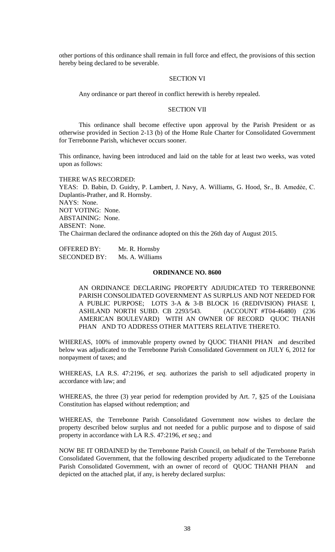other portions of this ordinance shall remain in full force and effect, the provisions of this section hereby being declared to be severable.

### SECTION VI

Any ordinance or part thereof in conflict herewith is hereby repealed.

### SECTION VII

This ordinance shall become effective upon approval by the Parish President or as otherwise provided in Section 2-13 (b) of the Home Rule Charter for Consolidated Government for Terrebonne Parish, whichever occurs sooner.

This ordinance, having been introduced and laid on the table for at least two weeks, was voted upon as follows:

THERE WAS RECORDED: YEAS: D. Babin, D. Guidry, P. Lambert, J. Navy, A. Williams, G. Hood, Sr., B. Amedẻe, C. Duplantis-Prather, and R. Hornsby. NAYS: None. NOT VOTING: None. ABSTAINING: None. ABSENT: None. The Chairman declared the ordinance adopted on this the 26th day of August 2015.

OFFERED BY: Mr. R. Hornsby SECONDED BY: Ms. A. Williams

#### **ORDINANCE NO. 8600**

AN ORDINANCE DECLARING PROPERTY ADJUDICATED TO TERREBONNE PARISH CONSOLIDATED GOVERNMENT AS SURPLUS AND NOT NEEDED FOR A PUBLIC PURPOSE; LOTS 3-A & 3-B BLOCK 16 (REDIVISION) PHASE I, ASHLAND NORTH SUBD. CB 2293/543. (ACCOUNT #T04-46480) (236 AMERICAN BOULEVARD) WITH AN OWNER OF RECORD QUOC THANH PHAN AND TO ADDRESS OTHER MATTERS RELATIVE THERETO.

WHEREAS, 100% of immovable property owned by QUOC THANH PHAN and described below was adjudicated to the Terrebonne Parish Consolidated Government on JULY 6, 2012 for nonpayment of taxes; and

WHEREAS, LA R.S. 47:2196, *et seq.* authorizes the parish to sell adjudicated property in accordance with law; and

WHEREAS, the three (3) year period for redemption provided by Art. 7, §25 of the Louisiana Constitution has elapsed without redemption; and

WHEREAS, the Terrebonne Parish Consolidated Government now wishes to declare the property described below surplus and not needed for a public purpose and to dispose of said property in accordance with LA R.S. 47:2196, *et seq*.; and

NOW BE IT ORDAINED by the Terrebonne Parish Council, on behalf of the Terrebonne Parish Consolidated Government, that the following described property adjudicated to the Terrebonne Parish Consolidated Government, with an owner of record of QUOC THANH PHAN and depicted on the attached plat, if any, is hereby declared surplus: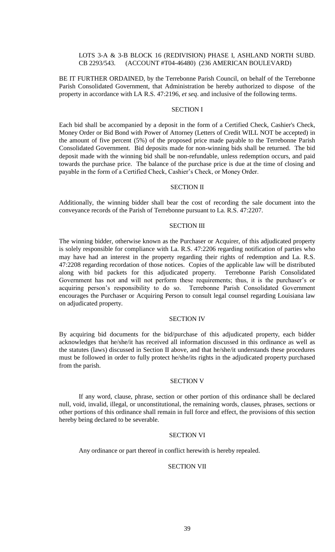# LOTS 3-A & 3-B BLOCK 16 (REDIVISION) PHASE I, ASHLAND NORTH SUBD. CB 2293/543. (ACCOUNT #T04-46480) (236 AMERICAN BOULEVARD)

BE IT FURTHER ORDAINED, by the Terrebonne Parish Council, on behalf of the Terrebonne Parish Consolidated Government, that Administration be hereby authorized to dispose of the property in accordance with LA R.S. 47:2196, *et seq*. and inclusive of the following terms.

# SECTION I

Each bid shall be accompanied by a deposit in the form of a Certified Check, Cashier's Check, Money Order or Bid Bond with Power of Attorney (Letters of Credit WILL NOT be accepted) in the amount of five percent (5%) of the proposed price made payable to the Terrebonne Parish Consolidated Government. Bid deposits made for non-winning bids shall be returned. The bid deposit made with the winning bid shall be non-refundable, unless redemption occurs, and paid towards the purchase price. The balance of the purchase price is due at the time of closing and payable in the form of a Certified Check, Cashier's Check, or Money Order.

#### SECTION II

Additionally, the winning bidder shall bear the cost of recording the sale document into the conveyance records of the Parish of Terrebonne pursuant to La. R.S. 47:2207.

#### SECTION III

The winning bidder, otherwise known as the Purchaser or Acquirer, of this adjudicated property is solely responsible for compliance with La. R.S. 47:2206 regarding notification of parties who may have had an interest in the property regarding their rights of redemption and La. R.S. 47:2208 regarding recordation of those notices. Copies of the applicable law will be distributed along with bid packets for this adjudicated property. Terrebonne Parish Consolidated Government has not and will not perform these requirements; thus, it is the purchaser's or acquiring person's responsibility to do so. Terrebonne Parish Consolidated Government encourages the Purchaser or Acquiring Person to consult legal counsel regarding Louisiana law on adjudicated property.

### SECTION IV

By acquiring bid documents for the bid/purchase of this adjudicated property, each bidder acknowledges that he/she/it has received all information discussed in this ordinance as well as the statutes (laws) discussed in Section II above, and that he/she/it understands these procedures must be followed in order to fully protect he/she/its rights in the adjudicated property purchased from the parish.

### SECTION V

If any word, clause, phrase, section or other portion of this ordinance shall be declared null, void, invalid, illegal, or unconstitutional, the remaining words, clauses, phrases, sections or other portions of this ordinance shall remain in full force and effect, the provisions of this section hereby being declared to be severable.

### SECTION VI

Any ordinance or part thereof in conflict herewith is hereby repealed.

### SECTION VII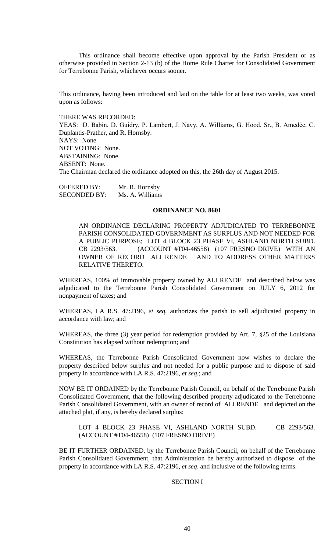This ordinance shall become effective upon approval by the Parish President or as otherwise provided in Section 2-13 (b) of the Home Rule Charter for Consolidated Government for Terrebonne Parish, whichever occurs sooner.

This ordinance, having been introduced and laid on the table for at least two weeks, was voted upon as follows:

THERE WAS RECORDED: YEAS: D. Babin, D. Guidry, P. Lambert, J. Navy, A. Williams, G. Hood, Sr., B. Amedẻe, C. Duplantis-Prather, and R. Hornsby. NAYS: None. NOT VOTING: None. ABSTAINING: None. ABSENT: None. The Chairman declared the ordinance adopted on this, the 26th day of August 2015.

OFFERED BY: Mr. R. Hornsby SECONDED BY: Ms. A. Williams

### **ORDINANCE NO. 8601**

AN ORDINANCE DECLARING PROPERTY ADJUDICATED TO TERREBONNE PARISH CONSOLIDATED GOVERNMENT AS SURPLUS AND NOT NEEDED FOR A PUBLIC PURPOSE; LOT 4 BLOCK 23 PHASE VI, ASHLAND NORTH SUBD. CB 2293/563. (ACCOUNT #T04-46558) (107 FRESNO DRIVE) WITH AN OWNER OF RECORD ALI RENDE AND TO ADDRESS OTHER MATTERS AND TO ADDRESS OTHER MATTERS RELATIVE THERETO.

WHEREAS, 100% of immovable property owned by ALI RENDE and described below was adjudicated to the Terrebonne Parish Consolidated Government on JULY 6, 2012 for nonpayment of taxes; and

WHEREAS, LA R.S. 47:2196, *et seq.* authorizes the parish to sell adjudicated property in accordance with law; and

WHEREAS, the three (3) year period for redemption provided by Art. 7, §25 of the Louisiana Constitution has elapsed without redemption; and

WHEREAS, the Terrebonne Parish Consolidated Government now wishes to declare the property described below surplus and not needed for a public purpose and to dispose of said property in accordance with LA R.S. 47:2196, *et seq*.; and

NOW BE IT ORDAINED by the Terrebonne Parish Council, on behalf of the Terrebonne Parish Consolidated Government, that the following described property adjudicated to the Terrebonne Parish Consolidated Government, with an owner of record of ALI RENDE and depicted on the attached plat, if any, is hereby declared surplus:

LOT 4 BLOCK 23 PHASE VI, ASHLAND NORTH SUBD. CB 2293/563. (ACCOUNT #T04-46558) (107 FRESNO DRIVE)

BE IT FURTHER ORDAINED, by the Terrebonne Parish Council, on behalf of the Terrebonne Parish Consolidated Government, that Administration be hereby authorized to dispose of the property in accordance with LA R.S. 47:2196, *et seq*. and inclusive of the following terms.

# SECTION I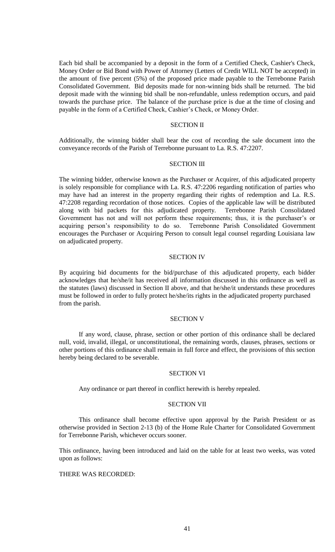Each bid shall be accompanied by a deposit in the form of a Certified Check, Cashier's Check, Money Order or Bid Bond with Power of Attorney (Letters of Credit WILL NOT be accepted) in the amount of five percent (5%) of the proposed price made payable to the Terrebonne Parish Consolidated Government. Bid deposits made for non-winning bids shall be returned. The bid deposit made with the winning bid shall be non-refundable, unless redemption occurs, and paid towards the purchase price. The balance of the purchase price is due at the time of closing and payable in the form of a Certified Check, Cashier's Check, or Money Order.

### SECTION II

Additionally, the winning bidder shall bear the cost of recording the sale document into the conveyance records of the Parish of Terrebonne pursuant to La. R.S. 47:2207.

#### SECTION III

The winning bidder, otherwise known as the Purchaser or Acquirer, of this adjudicated property is solely responsible for compliance with La. R.S. 47:2206 regarding notification of parties who may have had an interest in the property regarding their rights of redemption and La. R.S. 47:2208 regarding recordation of those notices. Copies of the applicable law will be distributed along with bid packets for this adjudicated property. Terrebonne Parish Consolidated Government has not and will not perform these requirements; thus, it is the purchaser's or acquiring person's responsibility to do so. Terrebonne Parish Consolidated Government encourages the Purchaser or Acquiring Person to consult legal counsel regarding Louisiana law on adjudicated property.

### SECTION IV

By acquiring bid documents for the bid/purchase of this adjudicated property, each bidder acknowledges that he/she/it has received all information discussed in this ordinance as well as the statutes (laws) discussed in Section II above, and that he/she/it understands these procedures must be followed in order to fully protect he/she/its rights in the adjudicated property purchased from the parish.

### SECTION V

If any word, clause, phrase, section or other portion of this ordinance shall be declared null, void, invalid, illegal, or unconstitutional, the remaining words, clauses, phrases, sections or other portions of this ordinance shall remain in full force and effect, the provisions of this section hereby being declared to be severable.

### SECTION VI

Any ordinance or part thereof in conflict herewith is hereby repealed.

### SECTION VII

This ordinance shall become effective upon approval by the Parish President or as otherwise provided in Section 2-13 (b) of the Home Rule Charter for Consolidated Government for Terrebonne Parish, whichever occurs sooner.

This ordinance, having been introduced and laid on the table for at least two weeks, was voted upon as follows:

# THERE WAS RECORDED: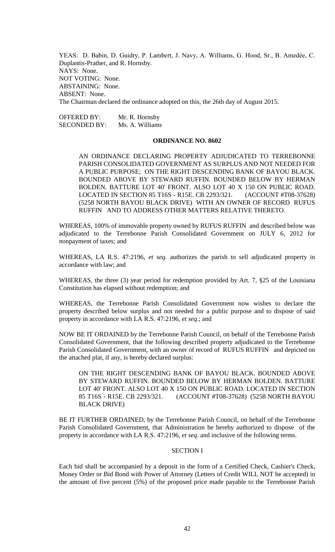YEAS: D. Babin, D. Guidry, P. Lambert, J. Navy, A. Williams, G. Hood, Sr., B. Amedẻe, C. Duplantis-Prather, and R. Hornsby. NAYS: None. NOT VOTING: None. ABSTAINING: None. ABSENT: None. The Chairman declared the ordinance adopted on this, the 26th day of August 2015.

OFFERED BY: Mr. R. Hornsby SECONDED BY: Ms. A. Williams

# **ORDINANCE NO. 8602**

AN ORDINANCE DECLARING PROPERTY ADJUDICATED TO TERREBONNE PARISH CONSOLIDATED GOVERNMENT AS SURPLUS AND NOT NEEDED FOR A PUBLIC PURPOSE; ON THE RIGHT DESCENDING BANK OF BAYOU BLACK. BOUNDED ABOVE BY STEWARD RUFFIN. BOUNDED BELOW BY HERMAN BOLDEN. BATTURE LOT 40' FRONT. ALSO LOT 40 X 150 ON PUBLIC ROAD. LOCATED IN SECTION 85 T16S - R15E. CB 2293/321. (ACCOUNT #T08-37628) (5258 NORTH BAYOU BLACK DRIVE) WITH AN OWNER OF RECORD RUFUS RUFFIN AND TO ADDRESS OTHER MATTERS RELATIVE THERETO.

WHEREAS, 100% of immovable property owned by RUFUS RUFFIN and described below was adjudicated to the Terrebonne Parish Consolidated Government on JULY 6, 2012 for nonpayment of taxes; and

WHEREAS, LA R.S. 47:2196, *et seq.* authorizes the parish to sell adjudicated property in accordance with law; and

WHEREAS, the three (3) year period for redemption provided by Art. 7, §25 of the Louisiana Constitution has elapsed without redemption; and

WHEREAS, the Terrebonne Parish Consolidated Government now wishes to declare the property described below surplus and not needed for a public purpose and to dispose of said property in accordance with LA R.S. 47:2196, *et seq*.; and

NOW BE IT ORDAINED by the Terrebonne Parish Council, on behalf of the Terrebonne Parish Consolidated Government, that the following described property adjudicated to the Terrebonne Parish Consolidated Government, with an owner of record of RUFUS RUFFIN and depicted on the attached plat, if any, is hereby declared surplus:

ON THE RIGHT DESCENDING BANK OF BAYOU BLACK. BOUNDED ABOVE BY STEWARD RUFFIN. BOUNDED BELOW BY HERMAN BOLDEN. BATTURE LOT 40' FRONT. ALSO LOT 40 X 150 ON PUBLIC ROAD. LOCATED IN SECTION 85 T16S - R15E. CB 2293/321. (ACCOUNT #T08-37628) (5258 NORTH BAYOU BLACK DRIVE)

BE IT FURTHER ORDAINED, by the Terrebonne Parish Council, on behalf of the Terrebonne Parish Consolidated Government, that Administration be hereby authorized to dispose of the property in accordance with LA R.S. 47:2196, *et seq*. and inclusive of the following terms.

### SECTION I

Each bid shall be accompanied by a deposit in the form of a Certified Check, Cashier's Check, Money Order or Bid Bond with Power of Attorney (Letters of Credit WILL NOT be accepted) in the amount of five percent (5%) of the proposed price made payable to the Terrebonne Parish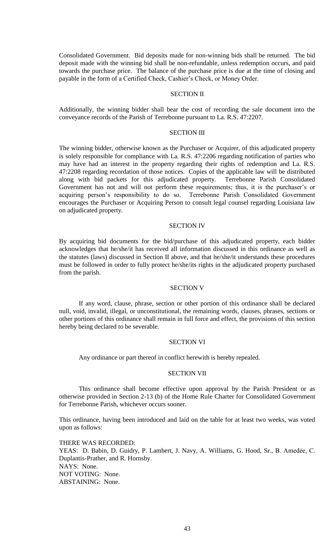Consolidated Government. Bid deposits made for non-winning bids shall be returned. The bid deposit made with the winning bid shall be non-refundable, unless redemption occurs, and paid towards the purchase price. The balance of the purchase price is due at the time of closing and payable in the form of a Certified Check, Cashier's Check, or Money Order.

### SECTION II

Additionally, the winning bidder shall bear the cost of recording the sale document into the conveyance records of the Parish of Terrebonne pursuant to La. R.S. 47:2207.

# SECTION III

The winning bidder, otherwise known as the Purchaser or Acquirer, of this adjudicated property is solely responsible for compliance with La. R.S. 47:2206 regarding notification of parties who may have had an interest in the property regarding their rights of redemption and La. R.S. 47:2208 regarding recordation of those notices. Copies of the applicable law will be distributed along with bid packets for this adjudicated property. Terrebonne Parish Consolidated Government has not and will not perform these requirements; thus, it is the purchaser's or acquiring person's responsibility to do so. Terrebonne Parish Consolidated Government encourages the Purchaser or Acquiring Person to consult legal counsel regarding Louisiana law on adjudicated property.

#### SECTION IV

By acquiring bid documents for the bid/purchase of this adjudicated property, each bidder acknowledges that he/she/it has received all information discussed in this ordinance as well as the statutes (laws) discussed in Section II above, and that he/she/it understands these procedures must be followed in order to fully protect he/she/its rights in the adjudicated property purchased from the parish.

### SECTION V

If any word, clause, phrase, section or other portion of this ordinance shall be declared null, void, invalid, illegal, or unconstitutional, the remaining words, clauses, phrases, sections or other portions of this ordinance shall remain in full force and effect, the provisions of this section hereby being declared to be severable.

### SECTION VI

Any ordinance or part thereof in conflict herewith is hereby repealed.

#### SECTION VII

This ordinance shall become effective upon approval by the Parish President or as otherwise provided in Section 2-13 (b) of the Home Rule Charter for Consolidated Government for Terrebonne Parish, whichever occurs sooner.

This ordinance, having been introduced and laid on the table for at least two weeks, was voted upon as follows:

THERE WAS RECORDED: YEAS: D. Babin, D. Guidry, P. Lambert, J. Navy, A. Williams, G. Hood, Sr., B. Amedẻe, C. Duplantis-Prather, and R. Hornsby. NAYS: None. NOT VOTING: None. ABSTAINING: None.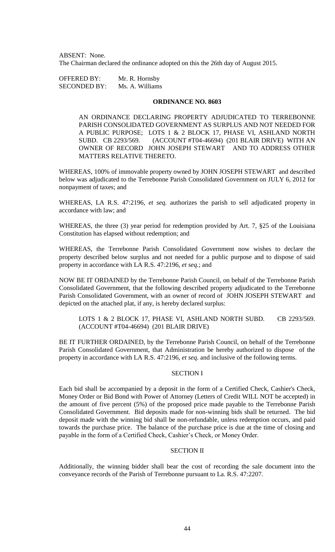ABSENT: None. The Chairman declared the ordinance adopted on this the 26th day of August 2015.

OFFERED BY: Mr. R. Hornsby SECONDED BY: Ms. A. Williams

### **ORDINANCE NO. 8603**

AN ORDINANCE DECLARING PROPERTY ADJUDICATED TO TERREBONNE PARISH CONSOLIDATED GOVERNMENT AS SURPLUS AND NOT NEEDED FOR A PUBLIC PURPOSE; LOTS 1 & 2 BLOCK 17, PHASE VI, ASHLAND NORTH SUBD. CB 2293/569. (ACCOUNT #T04-46694) (201 BLAIR DRIVE) WITH AN OWNER OF RECORD JOHN JOSEPH STEWART AND TO ADDRESS OTHER MATTERS RELATIVE THERETO.

WHEREAS, 100% of immovable property owned by JOHN JOSEPH STEWART and described below was adjudicated to the Terrebonne Parish Consolidated Government on JULY 6, 2012 for nonpayment of taxes; and

WHEREAS, LA R.S. 47:2196, *et seq.* authorizes the parish to sell adjudicated property in accordance with law; and

WHEREAS, the three (3) year period for redemption provided by Art. 7, §25 of the Louisiana Constitution has elapsed without redemption; and

WHEREAS, the Terrebonne Parish Consolidated Government now wishes to declare the property described below surplus and not needed for a public purpose and to dispose of said property in accordance with LA R.S. 47:2196, *et seq*.; and

NOW BE IT ORDAINED by the Terrebonne Parish Council, on behalf of the Terrebonne Parish Consolidated Government, that the following described property adjudicated to the Terrebonne Parish Consolidated Government, with an owner of record of JOHN JOSEPH STEWART and depicted on the attached plat, if any, is hereby declared surplus:

LOTS 1 & 2 BLOCK 17, PHASE VI, ASHLAND NORTH SUBD. CB 2293/569. (ACCOUNT #T04-46694) (201 BLAIR DRIVE)

BE IT FURTHER ORDAINED, by the Terrebonne Parish Council, on behalf of the Terrebonne Parish Consolidated Government, that Administration be hereby authorized to dispose of the property in accordance with LA R.S. 47:2196, *et seq*. and inclusive of the following terms.

### SECTION I

Each bid shall be accompanied by a deposit in the form of a Certified Check, Cashier's Check, Money Order or Bid Bond with Power of Attorney (Letters of Credit WILL NOT be accepted) in the amount of five percent (5%) of the proposed price made payable to the Terrebonne Parish Consolidated Government. Bid deposits made for non-winning bids shall be returned. The bid deposit made with the winning bid shall be non-refundable, unless redemption occurs, and paid towards the purchase price. The balance of the purchase price is due at the time of closing and payable in the form of a Certified Check, Cashier's Check, or Money Order.

# SECTION II

Additionally, the winning bidder shall bear the cost of recording the sale document into the conveyance records of the Parish of Terrebonne pursuant to La. R.S. 47:2207.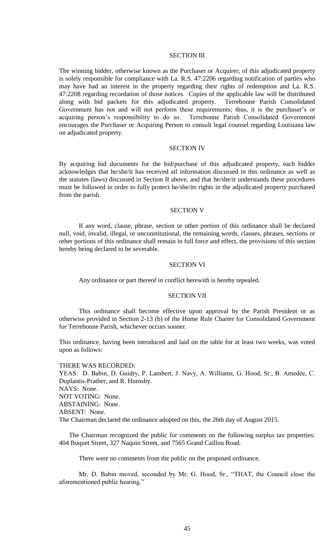### SECTION III

The winning bidder, otherwise known as the Purchaser or Acquirer, of this adjudicated property is solely responsible for compliance with La. R.S. 47:2206 regarding notification of parties who may have had an interest in the property regarding their rights of redemption and La. R.S. 47:2208 regarding recordation of those notices. Copies of the applicable law will be distributed along with bid packets for this adjudicated property. Terrebonne Parish Consolidated Government has not and will not perform these requirements; thus, it is the purchaser's or acquiring person's responsibility to do so. Terrebonne Parish Consolidated Government encourages the Purchaser or Acquiring Person to consult legal counsel regarding Louisiana law on adjudicated property.

# SECTION IV

By acquiring bid documents for the bid/purchase of this adjudicated property, each bidder acknowledges that he/she/it has received all information discussed in this ordinance as well as the statutes (laws) discussed in Section II above, and that he/she/it understands these procedures must be followed in order to fully protect he/she/its rights in the adjudicated property purchased from the parish.

#### SECTION V

If any word, clause, phrase, section or other portion of this ordinance shall be declared null, void, invalid, illegal, or unconstitutional, the remaining words, clauses, phrases, sections or other portions of this ordinance shall remain in full force and effect, the provisions of this section hereby being declared to be severable.

### SECTION VI

Any ordinance or part thereof in conflict herewith is hereby repealed.

### SECTION VII

This ordinance shall become effective upon approval by the Parish President or as otherwise provided in Section 2-13 (b) of the Home Rule Charter for Consolidated Government for Terrebonne Parish, whichever occurs sooner.

This ordinance, having been introduced and laid on the table for at least two weeks, was voted upon as follows:

THERE WAS RECORDED: YEAS: D. Babin, D. Guidry, P. Lambert, J. Navy, A. Williams, G. Hood, Sr., B. Amedẻe, C. Duplantis-Prather, and R. Hornsby. NAYS: None. NOT VOTING: None. ABSTAINING: None. ABSENT: None. The Chairman declared the ordinance adopted on this, the 26th day of August 2015.

The Chairman recognized the public for comments on the following surplus tax properties: 404 Buquet Street, 327 Naquin Street, and 7565 Grand Caillou Road.

There were no comments from the public on the proposed ordinance.

Mr. D. Babin moved, seconded by Mr. G. Hood, Sr., "THAT, the Council close the aforementioned public hearing."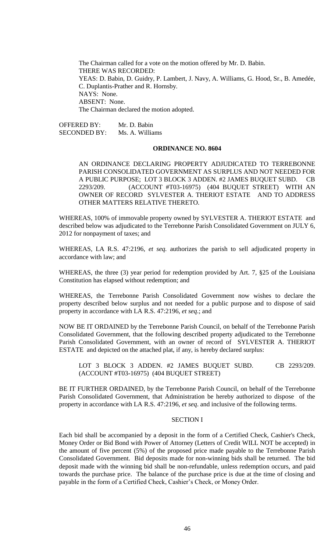The Chairman called for a vote on the motion offered by Mr. D. Babin. THERE WAS RECORDED: YEAS: D. Babin, D. Guidry, P. Lambert, J. Navy, A. Williams, G. Hood, Sr., B. Amedée, C. Duplantis-Prather and R. Hornsby. NAYS: None. ABSENT: None. The Chairman declared the motion adopted.

OFFERED BY: Mr. D. Babin SECONDED BY: Ms. A. Williams

#### **ORDINANCE NO. 8604**

AN ORDINANCE DECLARING PROPERTY ADJUDICATED TO TERREBONNE PARISH CONSOLIDATED GOVERNMENT AS SURPLUS AND NOT NEEDED FOR A PUBLIC PURPOSE; LOT 3 BLOCK 3 ADDEN. #2 JAMES BUQUET SUBD. CB 2293/209. (ACCOUNT #T03-16975) (404 BUQUET STREET) WITH AN OWNER OF RECORD SYLVESTER A. THERIOT ESTATE AND TO ADDRESS OTHER MATTERS RELATIVE THERETO.

WHEREAS, 100% of immovable property owned by SYLVESTER A. THERIOT ESTATE and described below was adjudicated to the Terrebonne Parish Consolidated Government on JULY 6, 2012 for nonpayment of taxes; and

WHEREAS, LA R.S. 47:2196, *et seq.* authorizes the parish to sell adjudicated property in accordance with law; and

WHEREAS, the three (3) year period for redemption provided by Art. 7, §25 of the Louisiana Constitution has elapsed without redemption; and

WHEREAS, the Terrebonne Parish Consolidated Government now wishes to declare the property described below surplus and not needed for a public purpose and to dispose of said property in accordance with LA R.S. 47:2196, *et seq*.; and

NOW BE IT ORDAINED by the Terrebonne Parish Council, on behalf of the Terrebonne Parish Consolidated Government, that the following described property adjudicated to the Terrebonne Parish Consolidated Government, with an owner of record of SYLVESTER A. THERIOT ESTATE and depicted on the attached plat, if any, is hereby declared surplus:

LOT 3 BLOCK 3 ADDEN. #2 JAMES BUQUET SUBD. CB 2293/209. (ACCOUNT #T03-16975) (404 BUQUET STREET)

BE IT FURTHER ORDAINED, by the Terrebonne Parish Council, on behalf of the Terrebonne Parish Consolidated Government, that Administration be hereby authorized to dispose of the property in accordance with LA R.S. 47:2196, *et seq*. and inclusive of the following terms.

#### SECTION I

Each bid shall be accompanied by a deposit in the form of a Certified Check, Cashier's Check, Money Order or Bid Bond with Power of Attorney (Letters of Credit WILL NOT be accepted) in the amount of five percent (5%) of the proposed price made payable to the Terrebonne Parish Consolidated Government. Bid deposits made for non-winning bids shall be returned. The bid deposit made with the winning bid shall be non-refundable, unless redemption occurs, and paid towards the purchase price. The balance of the purchase price is due at the time of closing and payable in the form of a Certified Check, Cashier's Check, or Money Order.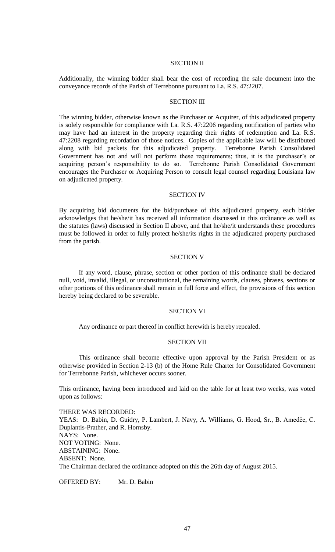# SECTION II

Additionally, the winning bidder shall bear the cost of recording the sale document into the conveyance records of the Parish of Terrebonne pursuant to La. R.S. 47:2207.

# SECTION III

The winning bidder, otherwise known as the Purchaser or Acquirer, of this adjudicated property is solely responsible for compliance with La. R.S. 47:2206 regarding notification of parties who may have had an interest in the property regarding their rights of redemption and La. R.S. 47:2208 regarding recordation of those notices. Copies of the applicable law will be distributed along with bid packets for this adjudicated property. Terrebonne Parish Consolidated Government has not and will not perform these requirements; thus, it is the purchaser's or acquiring person's responsibility to do so. Terrebonne Parish Consolidated Government encourages the Purchaser or Acquiring Person to consult legal counsel regarding Louisiana law on adjudicated property.

### SECTION IV

By acquiring bid documents for the bid/purchase of this adjudicated property, each bidder acknowledges that he/she/it has received all information discussed in this ordinance as well as the statutes (laws) discussed in Section II above, and that he/she/it understands these procedures must be followed in order to fully protect he/she/its rights in the adjudicated property purchased from the parish.

### SECTION V

If any word, clause, phrase, section or other portion of this ordinance shall be declared null, void, invalid, illegal, or unconstitutional, the remaining words, clauses, phrases, sections or other portions of this ordinance shall remain in full force and effect, the provisions of this section hereby being declared to be severable.

### SECTION VI

Any ordinance or part thereof in conflict herewith is hereby repealed.

# SECTION VII

This ordinance shall become effective upon approval by the Parish President or as otherwise provided in Section 2-13 (b) of the Home Rule Charter for Consolidated Government for Terrebonne Parish, whichever occurs sooner.

This ordinance, having been introduced and laid on the table for at least two weeks, was voted upon as follows:

THERE WAS RECORDED: YEAS: D. Babin, D. Guidry, P. Lambert, J. Navy, A. Williams, G. Hood, Sr., B. Amedẻe, C. Duplantis-Prather, and R. Hornsby. NAYS: None. NOT VOTING: None. ABSTAINING: None. ABSENT: None. The Chairman declared the ordinance adopted on this the 26th day of August 2015.

OFFERED BY: Mr. D. Babin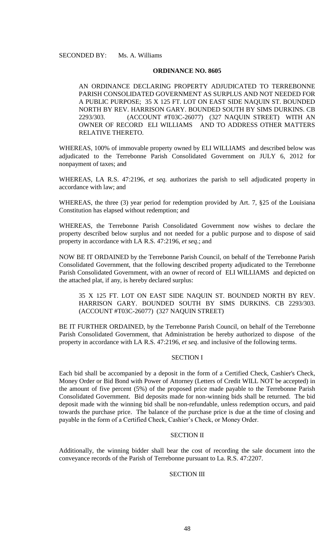# **ORDINANCE NO. 8605**

AN ORDINANCE DECLARING PROPERTY ADJUDICATED TO TERREBONNE PARISH CONSOLIDATED GOVERNMENT AS SURPLUS AND NOT NEEDED FOR A PUBLIC PURPOSE; 35 X 125 FT. LOT ON EAST SIDE NAQUIN ST. BOUNDED NORTH BY REV. HARRISON GARY. BOUNDED SOUTH BY SIMS DURKINS. CB 2293/303. (ACCOUNT #T03C-26077) (327 NAQUIN STREET) WITH AN OWNER OF RECORD ELI WILLIAMS AND TO ADDRESS OTHER MATTERS RELATIVE THERETO.

WHEREAS, 100% of immovable property owned by ELI WILLIAMS and described below was adjudicated to the Terrebonne Parish Consolidated Government on JULY 6, 2012 for nonpayment of taxes; and

WHEREAS, LA R.S. 47:2196, *et seq.* authorizes the parish to sell adjudicated property in accordance with law; and

WHEREAS, the three (3) year period for redemption provided by Art. 7, §25 of the Louisiana Constitution has elapsed without redemption; and

WHEREAS, the Terrebonne Parish Consolidated Government now wishes to declare the property described below surplus and not needed for a public purpose and to dispose of said property in accordance with LA R.S. 47:2196, *et seq*.; and

NOW BE IT ORDAINED by the Terrebonne Parish Council, on behalf of the Terrebonne Parish Consolidated Government, that the following described property adjudicated to the Terrebonne Parish Consolidated Government, with an owner of record of ELI WILLIAMS and depicted on the attached plat, if any, is hereby declared surplus:

35 X 125 FT. LOT ON EAST SIDE NAQUIN ST. BOUNDED NORTH BY REV. HARRISON GARY. BOUNDED SOUTH BY SIMS DURKINS. CB 2293/303. (ACCOUNT #T03C-26077) (327 NAQUIN STREET)

BE IT FURTHER ORDAINED, by the Terrebonne Parish Council, on behalf of the Terrebonne Parish Consolidated Government, that Administration be hereby authorized to dispose of the property in accordance with LA R.S. 47:2196, *et seq*. and inclusive of the following terms.

# SECTION I

Each bid shall be accompanied by a deposit in the form of a Certified Check, Cashier's Check, Money Order or Bid Bond with Power of Attorney (Letters of Credit WILL NOT be accepted) in the amount of five percent (5%) of the proposed price made payable to the Terrebonne Parish Consolidated Government. Bid deposits made for non-winning bids shall be returned. The bid deposit made with the winning bid shall be non-refundable, unless redemption occurs, and paid towards the purchase price. The balance of the purchase price is due at the time of closing and payable in the form of a Certified Check, Cashier's Check, or Money Order.

# SECTION II

Additionally, the winning bidder shall bear the cost of recording the sale document into the conveyance records of the Parish of Terrebonne pursuant to La. R.S. 47:2207.

# SECTION III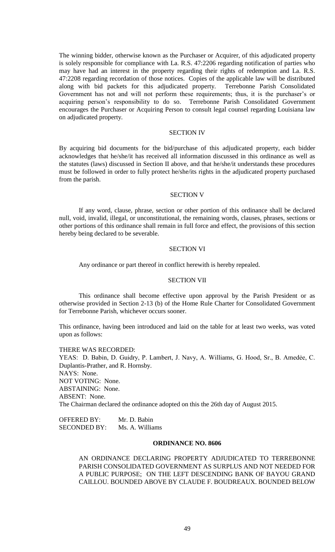The winning bidder, otherwise known as the Purchaser or Acquirer, of this adjudicated property is solely responsible for compliance with La. R.S. 47:2206 regarding notification of parties who may have had an interest in the property regarding their rights of redemption and La. R.S. 47:2208 regarding recordation of those notices. Copies of the applicable law will be distributed along with bid packets for this adjudicated property. Terrebonne Parish Consolidated Government has not and will not perform these requirements; thus, it is the purchaser's or acquiring person's responsibility to do so. Terrebonne Parish Consolidated Government encourages the Purchaser or Acquiring Person to consult legal counsel regarding Louisiana law on adjudicated property.

### SECTION IV

By acquiring bid documents for the bid/purchase of this adjudicated property, each bidder acknowledges that he/she/it has received all information discussed in this ordinance as well as the statutes (laws) discussed in Section II above, and that he/she/it understands these procedures must be followed in order to fully protect he/she/its rights in the adjudicated property purchased from the parish.

#### SECTION V

If any word, clause, phrase, section or other portion of this ordinance shall be declared null, void, invalid, illegal, or unconstitutional, the remaining words, clauses, phrases, sections or other portions of this ordinance shall remain in full force and effect, the provisions of this section hereby being declared to be severable.

### SECTION VI

Any ordinance or part thereof in conflict herewith is hereby repealed.

### SECTION VII

This ordinance shall become effective upon approval by the Parish President or as otherwise provided in Section 2-13 (b) of the Home Rule Charter for Consolidated Government for Terrebonne Parish, whichever occurs sooner.

This ordinance, having been introduced and laid on the table for at least two weeks, was voted upon as follows:

#### THERE WAS RECORDED:

YEAS: D. Babin, D. Guidry, P. Lambert, J. Navy, A. Williams, G. Hood, Sr., B. Amedẻe, C. Duplantis-Prather, and R. Hornsby. NAYS: None. NOT VOTING: None. ABSTAINING: None. ABSENT: None. The Chairman declared the ordinance adopted on this the 26th day of August 2015.

OFFERED BY: Mr. D. Babin SECONDED BY: Ms. A. Williams

# **ORDINANCE NO. 8606**

AN ORDINANCE DECLARING PROPERTY ADJUDICATED TO TERREBONNE PARISH CONSOLIDATED GOVERNMENT AS SURPLUS AND NOT NEEDED FOR A PUBLIC PURPOSE; ON THE LEFT DESCENDING BANK OF BAYOU GRAND CAILLOU. BOUNDED ABOVE BY CLAUDE F. BOUDREAUX. BOUNDED BELOW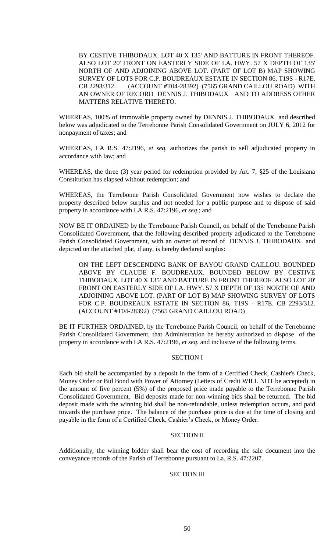BY CESTIVE THIBODAUX. LOT 40 X 135' AND BATTURE IN FRONT THEREOF. ALSO LOT 20' FRONT ON EASTERLY SIDE OF LA. HWY. 57 X DEPTH OF 135' NORTH OF AND ADJOINING ABOVE LOT. (PART OF LOT B) MAP SHOWING SURVEY OF LOTS FOR C.P. BOUDREAUX ESTATE IN SECTION 86, T19S - R17E. CB 2293/312. (ACCOUNT #T04-28392) (7565 GRAND CAILLOU ROAD) WITH AN OWNER OF RECORD DENNIS J. THIBODAUX AND TO ADDRESS OTHER MATTERS RELATIVE THERETO.

WHEREAS, 100% of immovable property owned by DENNIS J. THIBODAUX and described below was adjudicated to the Terrebonne Parish Consolidated Government on JULY 6, 2012 for nonpayment of taxes; and

WHEREAS, LA R.S. 47:2196, *et seq.* authorizes the parish to sell adjudicated property in accordance with law; and

WHEREAS, the three (3) year period for redemption provided by Art. 7, §25 of the Louisiana Constitution has elapsed without redemption; and

WHEREAS, the Terrebonne Parish Consolidated Government now wishes to declare the property described below surplus and not needed for a public purpose and to dispose of said property in accordance with LA R.S. 47:2196, *et seq*.; and

NOW BE IT ORDAINED by the Terrebonne Parish Council, on behalf of the Terrebonne Parish Consolidated Government, that the following described property adjudicated to the Terrebonne Parish Consolidated Government, with an owner of record of DENNIS J. THIBODAUX and depicted on the attached plat, if any, is hereby declared surplus:

ON THE LEFT DESCENDING BANK OF BAYOU GRAND CAILLOU. BOUNDED ABOVE BY CLAUDE F. BOUDREAUX. BOUNDED BELOW BY CESTIVE THIBODAUX. LOT 40 X 135' AND BATTURE IN FRONT THEREOF. ALSO LOT 20' FRONT ON EASTERLY SIDE OF LA. HWY. 57 X DEPTH OF 135' NORTH OF AND ADJOINING ABOVE LOT. (PART OF LOT B) MAP SHOWING SURVEY OF LOTS FOR C.P. BOUDREAUX ESTATE IN SECTION 86, T19S - R17E. CB 2293/312. (ACCOUNT #T04-28392) (7565 GRAND CAILLOU ROAD)

BE IT FURTHER ORDAINED, by the Terrebonne Parish Council, on behalf of the Terrebonne Parish Consolidated Government, that Administration be hereby authorized to dispose of the property in accordance with LA R.S. 47:2196, *et seq*. and inclusive of the following terms.

# SECTION I

Each bid shall be accompanied by a deposit in the form of a Certified Check, Cashier's Check, Money Order or Bid Bond with Power of Attorney (Letters of Credit WILL NOT be accepted) in the amount of five percent (5%) of the proposed price made payable to the Terrebonne Parish Consolidated Government. Bid deposits made for non-winning bids shall be returned. The bid deposit made with the winning bid shall be non-refundable, unless redemption occurs, and paid towards the purchase price. The balance of the purchase price is due at the time of closing and payable in the form of a Certified Check, Cashier's Check, or Money Order.

# SECTION II

Additionally, the winning bidder shall bear the cost of recording the sale document into the conveyance records of the Parish of Terrebonne pursuant to La. R.S. 47:2207.

### SECTION III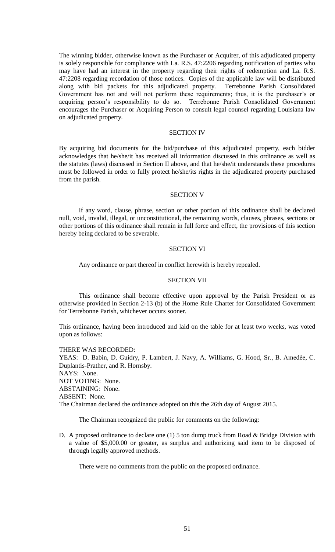The winning bidder, otherwise known as the Purchaser or Acquirer, of this adjudicated property is solely responsible for compliance with La. R.S. 47:2206 regarding notification of parties who may have had an interest in the property regarding their rights of redemption and La. R.S. 47:2208 regarding recordation of those notices. Copies of the applicable law will be distributed along with bid packets for this adjudicated property. Terrebonne Parish Consolidated Government has not and will not perform these requirements; thus, it is the purchaser's or acquiring person's responsibility to do so. Terrebonne Parish Consolidated Government encourages the Purchaser or Acquiring Person to consult legal counsel regarding Louisiana law on adjudicated property.

### SECTION IV

By acquiring bid documents for the bid/purchase of this adjudicated property, each bidder acknowledges that he/she/it has received all information discussed in this ordinance as well as the statutes (laws) discussed in Section II above, and that he/she/it understands these procedures must be followed in order to fully protect he/she/its rights in the adjudicated property purchased from the parish.

#### SECTION V

If any word, clause, phrase, section or other portion of this ordinance shall be declared null, void, invalid, illegal, or unconstitutional, the remaining words, clauses, phrases, sections or other portions of this ordinance shall remain in full force and effect, the provisions of this section hereby being declared to be severable.

### SECTION VI

Any ordinance or part thereof in conflict herewith is hereby repealed.

### SECTION VII

This ordinance shall become effective upon approval by the Parish President or as otherwise provided in Section 2-13 (b) of the Home Rule Charter for Consolidated Government for Terrebonne Parish, whichever occurs sooner.

This ordinance, having been introduced and laid on the table for at least two weeks, was voted upon as follows:

#### THERE WAS RECORDED:

YEAS: D. Babin, D. Guidry, P. Lambert, J. Navy, A. Williams, G. Hood, Sr., B. Amedẻe, C. Duplantis-Prather, and R. Hornsby. NAYS: None. NOT VOTING: None. ABSTAINING: None. ABSENT: None. The Chairman declared the ordinance adopted on this the 26th day of August 2015.

The Chairman recognized the public for comments on the following:

D. A proposed ordinance to declare one (1) 5 ton dump truck from Road & Bridge Division with a value of \$5,000.00 or greater, as surplus and authorizing said item to be disposed of through legally approved methods.

There were no comments from the public on the proposed ordinance.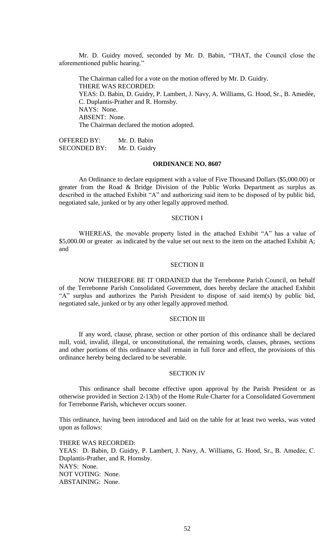Mr. D. Guidry moved, seconded by Mr. D. Babin, "THAT, the Council close the aforementioned public hearing."

The Chairman called for a vote on the motion offered by Mr. D. Guidry. THERE WAS RECORDED: YEAS: D. Babin, D. Guidry, P. Lambert, J. Navy, A. Williams, G. Hood, Sr., B. Amedée, C. Duplantis-Prather and R. Hornsby. NAYS: None. ABSENT: None. The Chairman declared the motion adopted.

OFFERED BY: Mr. D. Babin SECONDED BY: Mr. D. Guidry

### **ORDINANCE NO. 8607**

An Ordinance to declare equipment with a value of Five Thousand Dollars (\$5,000.00) or greater from the Road & Bridge Division of the Public Works Department as surplus as described in the attached Exhibit "A" and authorizing said item to be disposed of by public bid, negotiated sale, junked or by any other legally approved method.

### SECTION I

WHEREAS, the movable property listed in the attached Exhibit "A" has a value of \$5,000.00 or greater as indicated by the value set out next to the item on the attached Exhibit A; and

#### SECTION II

NOW THEREFORE BE IT ORDAINED that the Terrebonne Parish Council, on behalf of the Terrebonne Parish Consolidated Government, does hereby declare the attached Exhibit "A" surplus and authorizes the Parish President to dispose of said item(s) by public bid, negotiated sale, junked or by any other legally approved method.

### SECTION III

If any word, clause, phrase, section or other portion of this ordinance shall be declared null, void, invalid, illegal, or unconstitutional, the remaining words, clauses, phrases, sections and other portions of this ordinance shall remain in full force and effect, the provisions of this ordinance hereby being declared to be severable.

#### SECTION IV

This ordinance shall become effective upon approval by the Parish President or as otherwise provided in Section 2-13(b) of the Home Rule Charter for a Consolidated Government for Terrebonne Parish, whichever occurs sooner.

This ordinance, having been introduced and laid on the table for at least two weeks, was voted upon as follows:

THERE WAS RECORDED: YEAS: D. Babin, D. Guidry, P. Lambert, J. Navy, A. Williams, G. Hood, Sr., B. Amedẻe, C. Duplantis-Prather, and R. Hornsby. NAYS: None. NOT VOTING: None. ABSTAINING: None.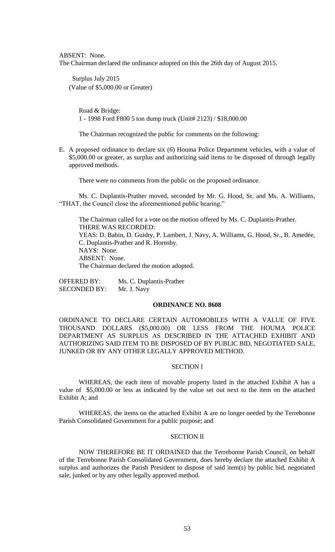ABSENT: None.

The Chairman declared the ordinance adopted on this the 26th day of August 2015.

 Surplus July 2015 (Value of \$5,000.00 or Greater)

> Road & Bridge: 1 - 1998 Ford F800 5 ton dump truck (Unit# 2123) / \$18,000.00

The Chairman recognized the public for comments on the following:

E. A proposed ordinance to declare six (6) Houma Police Department vehicles, with a value of \$5,000.00 or greater, as surplus and authorizing said items to be disposed of through legally approved methods.

There were no comments from the public on the proposed ordinance.

Ms. C. Duplantis-Prather moved, seconded by Mr. G. Hood, Sr. and Ms. A. Williams, "THAT, the Council close the aforementioned public hearing."

The Chairman called for a vote on the motion offered by Ms. C. Duplantis-Prather. THERE WAS RECORDED: YEAS: D. Babin, D. Guidry, P. Lambert, J. Navy, A. Williams, G. Hood, Sr., B. Amedée, C. Duplantis-Prather and R. Hornsby. NAYS: None. ABSENT: None. The Chairman declared the motion adopted.

OFFERED BY: Ms. C. Duplantis-Prather SECONDED BY: Mr. J. Navy

### **ORDINANCE NO. 8608**

ORDINANCE TO DECLARE CERTAIN AUTOMOBILES WITH A VALUE OF FIVE THOUSAND DOLLARS (\$5,000.00) OR LESS FROM THE HOUMA POLICE DEPARTMENT AS SURPLUS AS DESCRIBED IN THE ATTACHED EXHIBIT AND AUTHORIZING SAID ITEM TO BE DISPOSED OF BY PUBLIC BID, NEGOTIATED SALE, JUNKED OR BY ANY OTHER LEGALLY APPROVED METHOD.

### SECTION I

WHEREAS, the each item of movable property listed in the attached Exhibit A has a value of \$5,000.00 or less as indicated by the value set out next to the item on the attached Exhibit A; and

WHEREAS, the items on the attached Exhibit A are no longer needed by the Terrebonne Parish Consolidated Government for a public purpose; and

### SECTION II

NOW THEREFORE BE IT ORDAINED that the Terrebonne Parish Council, on behalf of the Terrebonne Parish Consolidated Government, does hereby declare the attached Exhibit A surplus and authorizes the Parish President to dispose of said item(s) by public bid, negotiated sale, junked or by any other legally approved method.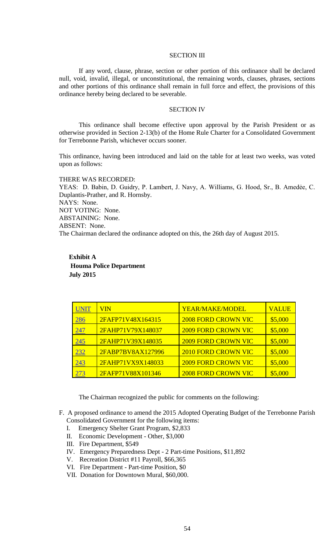### SECTION III

If any word, clause, phrase, section or other portion of this ordinance shall be declared null, void, invalid, illegal, or unconstitutional, the remaining words, clauses, phrases, sections and other portions of this ordinance shall remain in full force and effect, the provisions of this ordinance hereby being declared to be severable.

### SECTION IV

This ordinance shall become effective upon approval by the Parish President or as otherwise provided in Section 2-13(b) of the Home Rule Charter for a Consolidated Government for Terrebonne Parish, whichever occurs sooner.

This ordinance, having been introduced and laid on the table for at least two weeks, was voted upon as follows:

THERE WAS RECORDED: YEAS: D. Babin, D. Guidry, P. Lambert, J. Navy, A. Williams, G. Hood, Sr., B. Amedẻe, C. Duplantis-Prather, and R. Hornsby. NAYS: None. NOT VOTING: None. ABSTAINING: None. ABSENT: None. The Chairman declared the ordinance adopted on this, the 26th day of August 2015.

**Exhibit A Houma Police Department July 2015** 

| UNIT       | VIN               | YEAR/MAKE/MODEL            | <b>VALUE</b> |
|------------|-------------------|----------------------------|--------------|
| 286        | 2FAFP71V48X164315 | <b>2008 FORD CROWN VIC</b> | \$5,000      |
| <u>247</u> | 2FAHP71V79X148037 | <b>2009 FORD CROWN VIC</b> | \$5,000      |
| 245        | 2FAHP71V39X148035 | <b>2009 FORD CROWN VIC</b> | \$5,000      |
| 232        | 2FABP7BV8AX127996 | <b>2010 FORD CROWN VIC</b> | \$5,000      |
| 243        | 2FAHP71VX9X148033 | <b>2009 FORD CROWN VIC</b> | \$5,000      |
| 273        | 2FAFP71V88X101346 | <b>2008 FORD CROWN VIC</b> | \$5,000      |

The Chairman recognized the public for comments on the following:

- I. Emergency Shelter Grant Program, \$2,833
- II. Economic Development Other, \$3,000
- III. Fire Department, \$549
- IV. Emergency Preparedness Dept 2 Part-time Positions, \$11,892
- V. Recreation District #11 Payroll, \$66,365
- VI. Fire Department Part-time Position, \$0
- VII. Donation for Downtown Mural, \$60,000.

F. A proposed ordinance to amend the 2015 Adopted Operating Budget of the Terrebonne Parish Consolidated Government for the following items: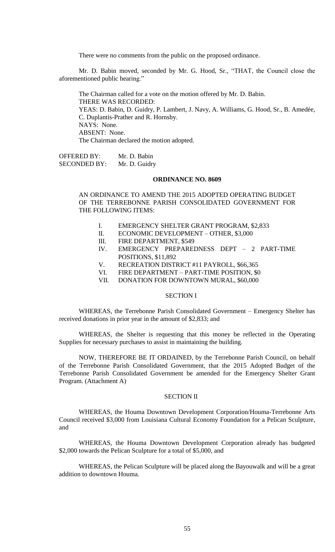There were no comments from the public on the proposed ordinance.

Mr. D. Babin moved, seconded by Mr. G. Hood, Sr., "THAT, the Council close the aforementioned public hearing."

The Chairman called for a vote on the motion offered by Mr. D. Babin. THERE WAS RECORDED: YEAS: D. Babin, D. Guidry, P. Lambert, J. Navy, A. Williams, G. Hood, Sr., B. Amedée, C. Duplantis-Prather and R. Hornsby. NAYS: None. ABSENT: None. The Chairman declared the motion adopted.

OFFERED BY: Mr. D. Babin SECONDED BY: Mr. D. Guidry

# **ORDINANCE NO. 8609**

AN ORDINANCE TO AMEND THE 2015 ADOPTED OPERATING BUDGET OF THE TERREBONNE PARISH CONSOLIDATED GOVERNMENT FOR THE FOLLOWING ITEMS:

- I. EMERGENCY SHELTER GRANT PROGRAM, \$2,833
- II. ECONOMIC DEVELOPMENT OTHER, \$3,000
- III. FIRE DEPARTMENT, \$549
- IV. EMERGENCY PREPAREDNESS DEPT 2 PART-TIME POSITIONS, \$11,892
- V. RECREATION DISTRICT #11 PAYROLL, \$66,365
- VI. FIRE DEPARTMENT PART-TIME POSITION, \$0
- VII. DONATION FOR DOWNTOWN MURAL, \$60,000

### SECTION I

WHEREAS, the Terrebonne Parish Consolidated Government – Emergency Shelter has received donations in prior year in the amount of \$2,833; and

WHEREAS, the Shelter is requesting that this money be reflected in the Operating Supplies for necessary purchases to assist in maintaining the building.

NOW, THEREFORE BE IT ORDAINED, by the Terrebonne Parish Council, on behalf of the Terrebonne Parish Consolidated Government, that the 2015 Adopted Budget of the Terrebonne Parish Consolidated Government be amended for the Emergency Shelter Grant Program. (Attachment A)

### SECTION II

WHEREAS, the Houma Downtown Development Corporation/Houma-Terrebonne Arts Council received \$3,000 from Louisiana Cultural Economy Foundation for a Pelican Sculpture, and

WHEREAS, the Houma Downtown Development Corporation already has budgeted \$2,000 towards the Pelican Sculpture for a total of \$5,000, and

WHEREAS, the Pelican Sculpture will be placed along the Bayouwalk and will be a great addition to downtown Houma.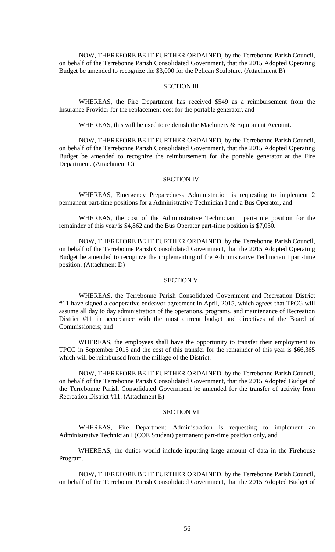NOW, THEREFORE BE IT FURTHER ORDAINED, by the Terrebonne Parish Council, on behalf of the Terrebonne Parish Consolidated Government, that the 2015 Adopted Operating Budget be amended to recognize the \$3,000 for the Pelican Sculpture. (Attachment B)

# SECTION III

WHEREAS, the Fire Department has received \$549 as a reimbursement from the Insurance Provider for the replacement cost for the portable generator, and

WHEREAS, this will be used to replenish the Machinery & Equipment Account.

NOW, THEREFORE BE IT FURTHER ORDAINED, by the Terrebonne Parish Council, on behalf of the Terrebonne Parish Consolidated Government, that the 2015 Adopted Operating Budget be amended to recognize the reimbursement for the portable generator at the Fire Department. (Attachment C)

# SECTION IV

WHEREAS, Emergency Preparedness Administration is requesting to implement 2 permanent part-time positions for a Administrative Technician I and a Bus Operator, and

WHEREAS, the cost of the Administrative Technician I part-time position for the remainder of this year is \$4,862 and the Bus Operator part-time position is \$7,030.

NOW, THEREFORE BE IT FURTHER ORDAINED, by the Terrebonne Parish Council, on behalf of the Terrebonne Parish Consolidated Government, that the 2015 Adopted Operating Budget be amended to recognize the implementing of the Administrative Technician I part-time position. (Attachment D)

### SECTION V

WHEREAS, the Terrebonne Parish Consolidated Government and Recreation District #11 have signed a cooperative endeavor agreement in April, 2015, which agrees that TPCG will assume all day to day administration of the operations, programs, and maintenance of Recreation District #11 in accordance with the most current budget and directives of the Board of Commissioners; and

WHEREAS, the employees shall have the opportunity to transfer their employment to TPCG in September 2015 and the cost of this transfer for the remainder of this year is \$66,365 which will be reimbursed from the millage of the District.

NOW, THEREFORE BE IT FURTHER ORDAINED, by the Terrebonne Parish Council, on behalf of the Terrebonne Parish Consolidated Government, that the 2015 Adopted Budget of the Terrebonne Parish Consolidated Government be amended for the transfer of activity from Recreation District #11. (Attachment E)

### SECTION VI

WHEREAS, Fire Department Administration is requesting to implement an Administrative Technician I (COE Student) permanent part-time position only, and

WHEREAS, the duties would include inputting large amount of data in the Firehouse Program.

NOW, THEREFORE BE IT FURTHER ORDAINED, by the Terrebonne Parish Council, on behalf of the Terrebonne Parish Consolidated Government, that the 2015 Adopted Budget of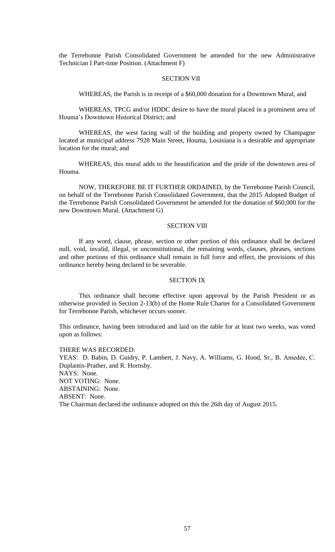the Terrebonne Parish Consolidated Government be amended for the new Administrative Technician I Part-time Position. (Attachment F)

### SECTION VII

WHEREAS, the Parish is in receipt of a \$60,000 donation for a Downtown Mural, and

WHEREAS, TPCG and/or HDDC desire to have the mural placed in a prominent area of Houma's Downtown Historical District; and

WHEREAS, the west facing wall of the building and property owned by Champagne located at municipal address 7928 Main Street, Houma, Louisiana is a desirable and appropriate location for the mural; and

WHEREAS, this mural adds to the beautification and the pride of the downtown area of Houma.

NOW, THEREFORE BE IT FURTHER ORDAINED, by the Terrebonne Parish Council, on behalf of the Terrebonne Parish Consolidated Government, that the 2015 Adopted Budget of the Terrebonne Parish Consolidated Government be amended for the donation of \$60,000 for the new Downtown Mural. (Attachment G)

#### SECTION VIII

If any word, clause, phrase, section or other portion of this ordinance shall be declared null, void, invalid, illegal, or unconstitutional, the remaining words, clauses, phrases, sections and other portions of this ordinance shall remain in full force and effect, the provisions of this ordinance hereby being declared to be severable.

### SECTION IX

This ordinance shall become effective upon approval by the Parish President or as otherwise provided in Section 2-13(b) of the Home Rule Charter for a Consolidated Government for Terrebonne Parish, whichever occurs sooner.

This ordinance, having been introduced and laid on the table for at least two weeks, was voted upon as follows:

#### THERE WAS RECORDED:

YEAS: D. Babin, D. Guidry, P. Lambert, J. Navy, A. Williams, G. Hood, Sr., B. Amedẻe, C. Duplantis-Prather, and R. Hornsby. NAYS: None. NOT VOTING: None. ABSTAINING: None. ABSENT: None. The Chairman declared the ordinance adopted on this the 26th day of August 2015.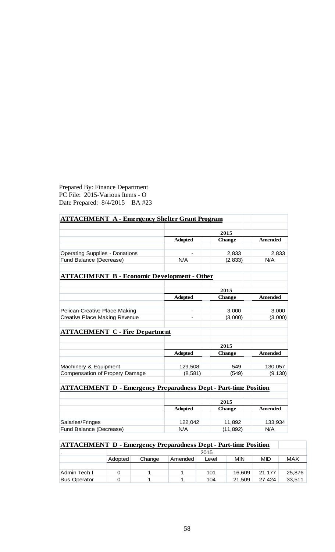# Prepared By: Finance Department PC File: 2015-Various Items - O Date Prepared: 8/4/2015 BA #23

| <b>ATTACHMENT A - Emergency Shelter Grant Program</b>                  |                |               |                |
|------------------------------------------------------------------------|----------------|---------------|----------------|
|                                                                        |                |               |                |
|                                                                        | 2015           |               |                |
|                                                                        | <b>Adopted</b> | <b>Change</b> | <b>Amended</b> |
|                                                                        |                |               |                |
| <b>Operating Supplies - Donations</b>                                  |                | 2,833         | 2,833          |
| Fund Balance (Decrease)                                                | N/A            | (2, 833)      | N/A            |
| <b>ATTACHMENT B - Economic Development - Other</b>                     |                |               |                |
|                                                                        |                | 2015          |                |
|                                                                        | <b>Adopted</b> | <b>Change</b> | Amended        |
|                                                                        |                |               |                |
| Pelican-Creative Place Making                                          |                | 3,000         | 3,000          |
| <b>Creative Place Making Revenue</b>                                   |                | (3,000)       | (3,000)        |
| <b>ATTACHMENT C - Fire Department</b>                                  |                |               |                |
|                                                                        |                | 2015          |                |
|                                                                        | <b>Adopted</b> | <b>Change</b> | <b>Amended</b> |
| Machinery & Equipment                                                  | 129,508        | 549           | 130,057        |
| Compensation of Propery Damage                                         | (8,581)        | (549)         | (9, 130)       |
|                                                                        |                |               |                |
| <b>ATTACHMENT D - Emergency Preparadness Dept - Part-time Position</b> |                |               |                |
|                                                                        |                | 2015          |                |
|                                                                        | <b>Adopted</b> | <b>Change</b> | <b>Amended</b> |
|                                                                        |                |               |                |
| Salaries/Fringes                                                       | 122,042        | 11,892        | 133,934        |
| Fund Balance (Decrease)                                                | N/A            | (11, 892)     | N/A            |

# **ATTACHMENT D - Emergency Preparadness Dept - Part-time Position**

|                     | 2015    |        |         |       |            |        |        |
|---------------------|---------|--------|---------|-------|------------|--------|--------|
|                     | Adopted | Change | Amended | Level | <b>MIN</b> | MID    | MAX    |
|                     |         |        |         |       |            |        |        |
| Admin Tech I        |         |        |         | 101   | 16.609     | 21.177 | 25.876 |
| <b>Bus Operator</b> |         |        |         | 104   | 21,509     | 27.424 | 33,511 |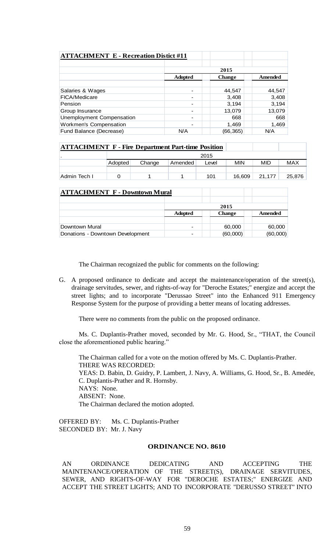| <b>ATTACHMENT E - Recreation Distict #11</b> |                                            |          |        |  |  |
|----------------------------------------------|--------------------------------------------|----------|--------|--|--|
|                                              | 2015                                       |          |        |  |  |
|                                              | <b>Adopted</b><br>Amended<br><b>Change</b> |          |        |  |  |
|                                              |                                            |          |        |  |  |
| Salaries & Wages                             | $\overline{\phantom{0}}$                   | 44,547   | 44,547 |  |  |
| FICA/Medicare                                | $\overline{\phantom{0}}$                   | 3,408    | 3,408  |  |  |
| Pension                                      | $\qquad \qquad \blacksquare$               | 3,194    | 3,194  |  |  |
| Group Insurance                              | $\qquad \qquad \blacksquare$               | 13,079   | 13,079 |  |  |
| Unemployment Compensation                    | $\overline{\phantom{0}}$                   | 668      | 668    |  |  |
| Workmen's Compensation                       | $\overline{\phantom{0}}$                   | 1,469    | 1,469  |  |  |
| Fund Balance (Decrease)                      | N/A                                        | (66,365) | N/A    |  |  |

| <b>ATTACHMENT F - Fire Department Part-time Position</b> |         |        |         |       |        |        |        |
|----------------------------------------------------------|---------|--------|---------|-------|--------|--------|--------|
|                                                          | 2015    |        |         |       |        |        |        |
|                                                          | Adopted | Change | Amended | Level | MIN    | MID    | MAX    |
|                                                          |         |        |         |       |        |        |        |
| Admin Tech I                                             |         |        |         | 101   | 16.609 | 21.177 | 25.876 |

| <b>ATTACHMENT F - Downtown Mural</b> |                |                          |          |  |  |
|--------------------------------------|----------------|--------------------------|----------|--|--|
|                                      | 2015           |                          |          |  |  |
|                                      | <b>Adopted</b> | <b>Change</b><br>Amended |          |  |  |
| Downtown Mural                       |                | 60,000                   | 60,000   |  |  |
| Donations - Downtown Development     | -              | (60,000)                 | (60,000) |  |  |

The Chairman recognized the public for comments on the following:

G. A proposed ordinance to dedicate and accept the maintenance/operation of the street(s), drainage servitudes, sewer, and rights-of-way for "Deroche Estates;" energize and accept the street lights; and to incorporate "Derussao Street" into the Enhanced 911 Emergency Response System for the purpose of providing a better means of locating addresses.

There were no comments from the public on the proposed ordinance.

Ms. C. Duplantis-Prather moved, seconded by Mr. G. Hood, Sr., "THAT, the Council close the aforementioned public hearing."

The Chairman called for a vote on the motion offered by Ms. C. Duplantis-Prather. THERE WAS RECORDED: YEAS: D. Babin, D. Guidry, P. Lambert, J. Navy, A. Williams, G. Hood, Sr., B. Amedée, C. Duplantis-Prather and R. Hornsby. NAYS: None. ABSENT: None. The Chairman declared the motion adopted.

OFFERED BY: Ms. C. Duplantis-Prather SECONDED BY: Mr. J. Navy

# **ORDINANCE NO. 8610**

AN ORDINANCE DEDICATING AND ACCEPTING THE MAINTENANCE/OPERATION OF THE STREET(S), DRAINAGE SERVITUDES, SEWER, AND RIGHTS-OF-WAY FOR "DEROCHE ESTATES;" ENERGIZE AND ACCEPT THE STREET LIGHTS; AND TO INCORPORATE "DERUSSO STREET" INTO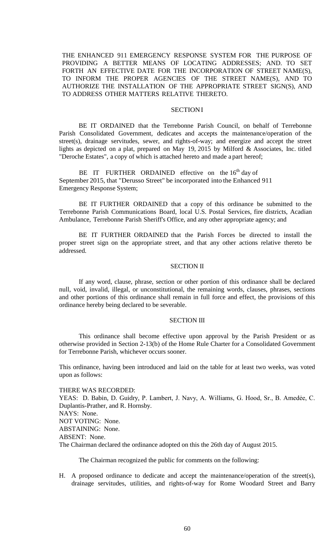THE ENHANCED 911 EMERGENCY RESPONSE SYSTEM FOR THE PURPOSE OF PROVIDING A BETTER MEANS OF LOCATING ADDRESSES; AND. TO SET FORTH AN EFFECTIVE DATE FOR THE INCORPORATION OF STREET NAME(S), TO INFORM THE PROPER AGENCIES OF THE STREET NAME(S), AND TO AUTHORIZE THE INSTALLATION OF THE APPROPRIATE STREET SIGN(S), AND TO ADDRESS OTHER MATTERS RELATIVE THERETO.

# **SECTIONI**

BE IT ORDAINED that the Terrebonne Parish Council, on behalf of Terrebonne Parish Consolidated Government, dedicates and accepts the maintenance/operation of the street(s), drainage servitudes, sewer, and rights-of-way; and energize and accept the street lights as depicted on a plat, prepared on May 19, 2015 by Milford & Associates, Inc. titled "Deroche Estates", a copy of which is attached hereto and made a part hereof;

BE IT FURTHER ORDAINED effective on the  $16<sup>th</sup>$  day of September 2015, that "Derusso Street" be incorporated into the Enhanced 911 Emergency Response System;

BE IT FURTHER ORDAINED that a copy of this ordinance be submitted to the Terrebonne Parish Communications Board, local U.S. Postal Services, fire districts, Acadian Ambulance, Terrebonne Parish Sheriff's Office, and any other appropriate agency; and

BE IT FURTHER ORDAINED that the Parish Forces be directed to install the proper street sign on the appropriate street, and that any other actions relative thereto be addressed.

#### SECTION II

If any word, clause, phrase, section or other portion of this ordinance shall be declared null, void, invalid, illegal, or unconstitutional, the remaining words, clauses, phrases, sections and other portions of this ordinance shall remain in full force and effect, the provisions of this ordinance hereby being declared to be severable.

#### SECTION III

This ordinance shall become effective upon approval by the Parish President or as otherwise provided in Section 2-13(b) of the Home Rule Charter for a Consolidated Government for Terrebonne Parish, whichever occurs sooner.

This ordinance, having been introduced and laid on the table for at least two weeks, was voted upon as follows:

THERE WAS RECORDED: YEAS: D. Babin, D. Guidry, P. Lambert, J. Navy, A. Williams, G. Hood, Sr., B. Amedẻe, C. Duplantis-Prather, and R. Hornsby. NAYS: None. NOT VOTING: None. ABSTAINING: None. ABSENT: None. The Chairman declared the ordinance adopted on this the 26th day of August 2015.

The Chairman recognized the public for comments on the following:

H. A proposed ordinance to dedicate and accept the maintenance/operation of the street(s), drainage servitudes, utilities, and rights-of-way for Rome Woodard Street and Barry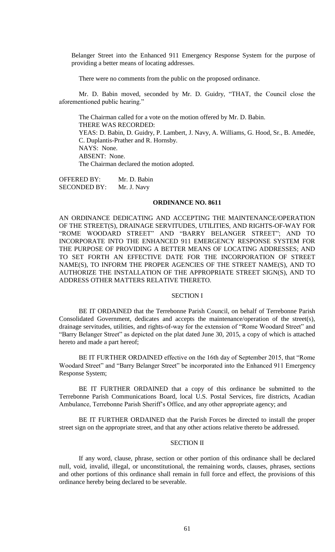Belanger Street into the Enhanced 911 Emergency Response System for the purpose of providing a better means of locating addresses.

There were no comments from the public on the proposed ordinance.

Mr. D. Babin moved, seconded by Mr. D. Guidry, "THAT, the Council close the aforementioned public hearing."

The Chairman called for a vote on the motion offered by Mr. D. Babin. THERE WAS RECORDED: YEAS: D. Babin, D. Guidry, P. Lambert, J. Navy, A. Williams, G. Hood, Sr., B. Amedée, C. Duplantis-Prather and R. Hornsby. NAYS: None. ABSENT: None. The Chairman declared the motion adopted.

OFFERED BY: Mr. D. Babin SECONDED BY: Mr. J. Navy

#### **ORDINANCE NO. 8611**

AN ORDINANCE DEDICATING AND ACCEPTING THE MAINTENANCE/OPERATION OF THE STREET(S), DRAINAGE SERVITUDES, UTILITIES, AND RIGHTS-OF-WAY FOR "ROME WOODARD STREET" AND "BARRY BELANGER STREET"; AND TO INCORPORATE INTO THE ENHANCED 911 EMERGENCY RESPONSE SYSTEM FOR THE PURPOSE OF PROVIDING A BETTER MEANS OF LOCATING ADDRESSES; AND TO SET FORTH AN EFFECTIVE DATE FOR THE INCORPORATION OF STREET NAME(S), TO INFORM THE PROPER AGENCIES OF THE STREET NAME(S), AND TO AUTHORIZE THE INSTALLATION OF THE APPROPRIATE STREET SIGN(S), AND TO ADDRESS OTHER MATTERS RELATIVE THERETO.

### SECTION I

BE IT ORDAINED that the Terrebonne Parish Council, on behalf of Terrebonne Parish Consolidated Government, dedicates and accepts the maintenance/operation of the street(s), drainage servitudes, utilities, and rights-of-way for the extension of "Rome Woodard Street" and "Barry Belanger Street" as depicted on the plat dated June 30, 2015, a copy of which is attached hereto and made a part hereof;

BE IT FURTHER ORDAINED effective on the 16th day of September 2015, that "Rome Woodard Street" and "Barry Belanger Street" be incorporated into the Enhanced 911 Emergency Response System;

BE IT FURTHER ORDAINED that a copy of this ordinance be submitted to the Terrebonne Parish Communications Board, local U.S. Postal Services, fire districts, Acadian Ambulance, Terrebonne Parish Sheriff's Office, and any other appropriate agency; and

BE IT FURTHER ORDAINED that the Parish Forces be directed to install the proper street sign on the appropriate street, and that any other actions relative thereto be addressed.

# SECTION II

If any word, clause, phrase, section or other portion of this ordinance shall be declared null, void, invalid, illegal, or unconstitutional, the remaining words, clauses, phrases, sections and other portions of this ordinance shall remain in full force and effect, the provisions of this ordinance hereby being declared to be severable.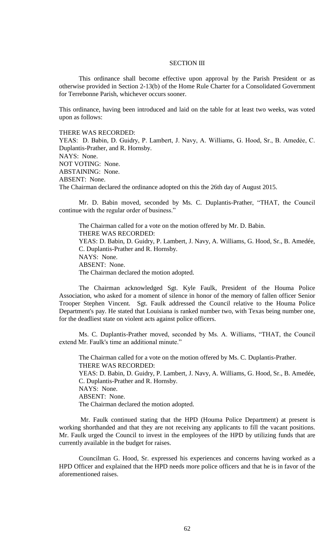# SECTION III

This ordinance shall become effective upon approval by the Parish President or as otherwise provided in Section 2-13(b) of the Home Rule Charter for a Consolidated Government for Terrebonne Parish, whichever occurs sooner.

This ordinance, having been introduced and laid on the table for at least two weeks, was voted upon as follows:

THERE WAS RECORDED:

YEAS: D. Babin, D. Guidry, P. Lambert, J. Navy, A. Williams, G. Hood, Sr., B. Amedẻe, C. Duplantis-Prather, and R. Hornsby. NAYS: None. NOT VOTING: None. ABSTAINING: None. ABSENT: None. The Chairman declared the ordinance adopted on this the 26th day of August 2015.

Mr. D. Babin moved, seconded by Ms. C. Duplantis-Prather, "THAT, the Council continue with the regular order of business."

The Chairman called for a vote on the motion offered by Mr. D. Babin. THERE WAS RECORDED: YEAS: D. Babin, D. Guidry, P. Lambert, J. Navy, A. Williams, G. Hood, Sr., B. Amedée, C. Duplantis-Prather and R. Hornsby. NAYS: None. ABSENT: None. The Chairman declared the motion adopted.

The Chairman acknowledged Sgt. Kyle Faulk, President of the Houma Police Association, who asked for a moment of silence in honor of the memory of fallen officer Senior Trooper Stephen Vincent. Sgt. Faulk addressed the Council relative to the Houma Police Department's pay. He stated that Louisiana is ranked number two, with Texas being number one, for the deadliest state on violent acts against police officers.

Ms. C. Duplantis-Prather moved, seconded by Ms. A. Williams, "THAT, the Council extend Mr. Faulk's time an additional minute."

The Chairman called for a vote on the motion offered by Ms. C. Duplantis-Prather. THERE WAS RECORDED: YEAS: D. Babin, D. Guidry, P. Lambert, J. Navy, A. Williams, G. Hood, Sr., B. Amedée, C. Duplantis-Prather and R. Hornsby. NAYS: None. ABSENT: None. The Chairman declared the motion adopted.

Mr. Faulk continued stating that the HPD (Houma Police Department) at present is working shorthanded and that they are not receiving any applicants to fill the vacant positions. Mr. Faulk urged the Council to invest in the employees of the HPD by utilizing funds that are currently available in the budget for raises.

Councilman G. Hood, Sr. expressed his experiences and concerns having worked as a HPD Officer and explained that the HPD needs more police officers and that he is in favor of the aforementioned raises.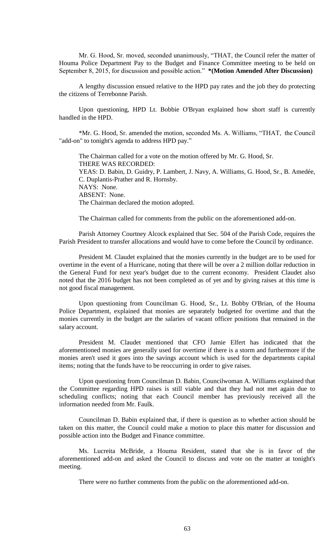Mr. G. Hood, Sr. moved, seconded unanimously, "THAT, the Council refer the matter of Houma Police Department Pay to the Budget and Finance Committee meeting to be held on September 8, 2015, for discussion and possible action." **\*(Motion Amended After Discussion)**

A lengthy discussion ensued relative to the HPD pay rates and the job they do protecting the citizens of Terrebonne Parish.

Upon questioning, HPD Lt. Bobbie O'Bryan explained how short staff is currently handled in the HPD.

\*Mr. G. Hood, Sr. amended the motion, seconded Ms. A. Williams, "THAT, the Council "add-on" to tonight's agenda to address HPD pay."

The Chairman called for a vote on the motion offered by Mr. G. Hood, Sr. THERE WAS RECORDED: YEAS: D. Babin, D. Guidry, P. Lambert, J. Navy, A. Williams, G. Hood, Sr., B. Amedée, C. Duplantis-Prather and R. Hornsby. NAYS: None. ABSENT: None. The Chairman declared the motion adopted.

The Chairman called for comments from the public on the aforementioned add-on.

Parish Attorney Courtney Alcock explained that Sec. 504 of the Parish Code, requires the Parish President to transfer allocations and would have to come before the Council by ordinance.

President M. Claudet explained that the monies currently in the budget are to be used for overtime in the event of a Hurricane, noting that there will be over a 2 million dollar reduction in the General Fund for next year's budget due to the current economy. President Claudet also noted that the 2016 budget has not been completed as of yet and by giving raises at this time is not good fiscal management.

Upon questioning from Councilman G. Hood, Sr., Lt. Bobby O'Brian, of the Houma Police Department, explained that monies are separately budgeted for overtime and that the monies currently in the budget are the salaries of vacant officer positions that remained in the salary account.

President M. Claudet mentioned that CFO Jamie Elfert has indicated that the aforementioned monies are generally used for overtime if there is a storm and furthermore if the monies aren't used it goes into the savings account which is used for the departments capital items; noting that the funds have to be reoccurring in order to give raises.

Upon questioning from Councilman D. Babin, Councilwoman A. Williams explained that the Committee regarding HPD raises is still viable and that they had not met again due to scheduling conflicts; noting that each Council member has previously received all the information needed from Mr. Faulk.

Councilman D. Babin explained that, if there is question as to whether action should be taken on this matter, the Council could make a motion to place this matter for discussion and possible action into the Budget and Finance committee.

Ms. Lucreita McBride, a Houma Resident, stated that she is in favor of the aforementioned add-on and asked the Council to discuss and vote on the matter at tonight's meeting.

There were no further comments from the public on the aforementioned add-on.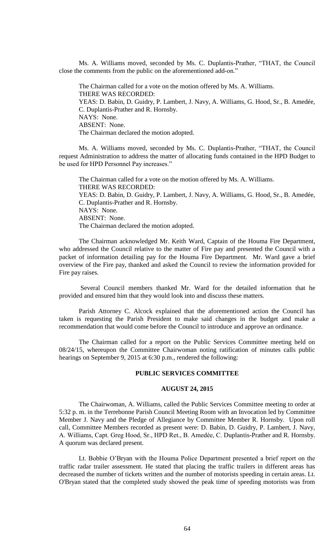Ms. A. Williams moved, seconded by Ms. C. Duplantis-Prather, "THAT, the Council close the comments from the public on the aforementioned add-on."

The Chairman called for a vote on the motion offered by Ms. A. Williams. THERE WAS RECORDED: YEAS: D. Babin, D. Guidry, P. Lambert, J. Navy, A. Williams, G. Hood, Sr., B. Amedée, C. Duplantis-Prather and R. Hornsby. NAYS: None. ABSENT: None. The Chairman declared the motion adopted.

Ms. A. Williams moved, seconded by Ms. C. Duplantis-Prather, "THAT, the Council request Administration to address the matter of allocating funds contained in the HPD Budget to be used for HPD Personnel Pay increases."

The Chairman called for a vote on the motion offered by Ms. A. Williams. THERE WAS RECORDED: YEAS: D. Babin, D. Guidry, P. Lambert, J. Navy, A. Williams, G. Hood, Sr., B. Amedée, C. Duplantis-Prather and R. Hornsby. NAYS: None. ABSENT: None. The Chairman declared the motion adopted.

The Chairman acknowledged Mr. Keith Ward, Captain of the Houma Fire Department, who addressed the Council relative to the matter of Fire pay and presented the Council with a packet of information detailing pay for the Houma Fire Department. Mr. Ward gave a brief overview of the Fire pay, thanked and asked the Council to review the information provided for Fire pay raises.

Several Council members thanked Mr. Ward for the detailed information that he provided and ensured him that they would look into and discuss these matters.

Parish Attorney C. Alcock explained that the aforementioned action the Council has taken is requesting the Parish President to make said changes in the budget and make a recommendation that would come before the Council to introduce and approve an ordinance.

The Chairman called for a report on the Public Services Committee meeting held on 08/24/15, whereupon the Committee Chairwoman noting ratification of minutes calls public hearings on September 9, 2015 at 6:30 p.m., rendered the following:

### **PUBLIC SERVICES COMMITTEE**

### **AUGUST 24, 2015**

The Chairwoman, A. Williams, called the Public Services Committee meeting to order at 5:32 p. m. in the Terrebonne Parish Council Meeting Room with an Invocation led by Committee Member J. Navy and the Pledge of Allegiance by Committee Member R. Hornsby. Upon roll call, Committee Members recorded as present were: D. Babin, D. Guidry, P. Lambert, J. Navy, A. Williams, Capt. Greg Hood, Sr., HPD Ret., B. Amedèe, C. Duplantis-Prather and R. Hornsby. A quorum was declared present.

Lt. Bobbie O'Bryan with the Houma Police Department presented a brief report on the traffic radar trailer assessment. He stated that placing the traffic trailers in different areas has decreased the number of tickets written and the number of motorists speeding in certain areas. Lt. O'Bryan stated that the completed study showed the peak time of speeding motorists was from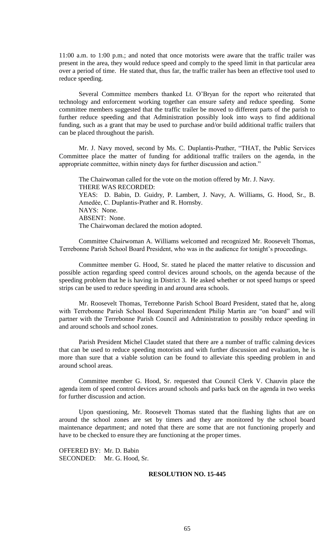11:00 a.m. to 1:00 p.m.; and noted that once motorists were aware that the traffic trailer was present in the area, they would reduce speed and comply to the speed limit in that particular area over a period of time. He stated that, thus far, the traffic trailer has been an effective tool used to reduce speeding.

Several Committee members thanked Lt. O'Bryan for the report who reiterated that technology and enforcement working together can ensure safety and reduce speeding. Some committee members suggested that the traffic trailer be moved to different parts of the parish to further reduce speeding and that Administration possibly look into ways to find additional funding, such as a grant that may be used to purchase and/or build additional traffic trailers that can be placed throughout the parish.

Mr. J. Navy moved, second by Ms. C. Duplantis-Prather, "THAT, the Public Services Committee place the matter of funding for additional traffic trailers on the agenda, in the appropriate committee, within ninety days for further discussion and action."

The Chairwoman called for the vote on the motion offered by Mr. J. Navy. THERE WAS RECORDED: YEAS: D. Babin, D. Guidry, P. Lambert, J. Navy, A. Williams, G. Hood, Sr., B. Amedèe, C. Duplantis-Prather and R. Hornsby. NAYS: None. ABSENT: None. The Chairwoman declared the motion adopted.

Committee Chairwoman A. Williams welcomed and recognized Mr. Roosevelt Thomas, Terrebonne Parish School Board President, who was in the audience for tonight's proceedings.

Committee member G. Hood, Sr. stated he placed the matter relative to discussion and possible action regarding speed control devices around schools, on the agenda because of the speeding problem that he is having in District 3. He asked whether or not speed humps or speed strips can be used to reduce speeding in and around area schools.

Mr. Roosevelt Thomas, Terrebonne Parish School Board President, stated that he, along with Terrebonne Parish School Board Superintendent Philip Martin are "on board" and will partner with the Terrebonne Parish Council and Administration to possibly reduce speeding in and around schools and school zones.

Parish President Michel Claudet stated that there are a number of traffic calming devices that can be used to reduce speeding motorists and with further discussion and evaluation, he is more than sure that a viable solution can be found to alleviate this speeding problem in and around school areas.

Committee member G. Hood, Sr. requested that Council Clerk V. Chauvin place the agenda item of speed control devices around schools and parks back on the agenda in two weeks for further discussion and action.

Upon questioning, Mr. Roosevelt Thomas stated that the flashing lights that are on around the school zones are set by timers and they are monitored by the school board maintenance department; and noted that there are some that are not functioning properly and have to be checked to ensure they are functioning at the proper times.

OFFERED BY: Mr. D. Babin SECONDED: Mr. G. Hood, Sr.

# **RESOLUTION NO. 15-445**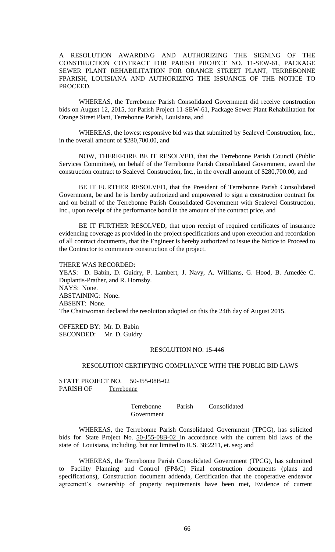A RESOLUTION AWARDING AND AUTHORIZING THE SIGNING OF THE CONSTRUCTION CONTRACT FOR PARISH PROJECT NO. 11-SEW-61, PACKAGE SEWER PLANT REHABILITATION FOR ORANGE STREET PLANT, TERREBONNE FPARISH, LOUISIANA AND AUTHORIZING THE ISSUANCE OF THE NOTICE TO PROCEED.

WHEREAS, the Terrebonne Parish Consolidated Government did receive construction bids on August 12, 2015, for Parish Project 11-SEW-61, Package Sewer Plant Rehabilitation for Orange Street Plant, Terrebonne Parish, Louisiana, and

WHEREAS, the lowest responsive bid was that submitted by Sealevel Construction, Inc., in the overall amount of \$280,700.00, and

NOW, THEREFORE BE IT RESOLVED, that the Terrebonne Parish Council (Public Services Committee), on behalf of the Terrebonne Parish Consolidated Government, award the construction contract to Sealevel Construction, Inc., in the overall amount of \$280,700.00, and

BE IT FURTHER RESOLVED, that the President of Terrebonne Parish Consolidated Government, be and he is hereby authorized and empowered to sign a construction contract for and on behalf of the Terrebonne Parish Consolidated Government with Sealevel Construction, Inc., upon receipt of the performance bond in the amount of the contract price, and

BE IT FURTHER RESOLVED, that upon receipt of required certificates of insurance evidencing coverage as provided in the project specifications and upon execution and recordation of all contract documents, that the Engineer is hereby authorized to issue the Notice to Proceed to the Contractor to commence construction of the project.

THERE WAS RECORDED:

YEAS: D. Babin, D. Guidry, P. Lambert, J. Navy, A. Williams, G. Hood, B. Amedée C. Duplantis-Prather, and R. Hornsby. NAYS: None. ABSTAINING: None. ABSENT: None. The Chairwoman declared the resolution adopted on this the 24th day of August 2015.

OFFERED BY: Mr. D. Babin SECONDED: Mr. D. Guidry

### RESOLUTION NO. 15-446

### RESOLUTION CERTIFYING COMPLIANCE WITH THE PUBLIC BID LAWS

STATE PROJECT NO. 50-J55-08B-02 PARISH OF Terrebonne

> Terrebonne Parish Consolidated Government

WHEREAS, the Terrebonne Parish Consolidated Government (TPCG), has solicited bids for State Project No. 50-J55-08B-02 in accordance with the current bid laws of the state of Louisiana, including, but not limited to R.S. 38:2211, et. seq; and

WHEREAS, the Terrebonne Parish Consolidated Government (TPCG), has submitted to Facility Planning and Control (FP&C) Final construction documents (plans and specifications), Construction document addenda, Certification that the cooperative endeavor agreement's ownership of property requirements have been met, Evidence of current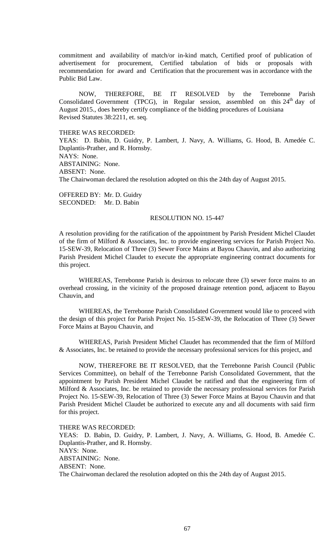commitment and availability of match/or in-kind match, Certified proof of publication of advertisement for procurement, Certified tabulation of bids or proposals with recommendation for award and Certification that the procurement was in accordance with the Public Bid Law.

NOW, THEREFORE, BE IT RESOLVED by the Terrebonne Parish Consolidated Government (TPCG), in Regular session, assembled on this  $24<sup>th</sup>$  day of August 2015., does hereby certify compliance of the bidding procedures of Louisiana Revised Statutes 38:2211, et. seq.

THERE WAS RECORDED:

YEAS: D. Babin, D. Guidry, P. Lambert, J. Navy, A. Williams, G. Hood, B. Amedée C. Duplantis-Prather, and R. Hornsby. NAYS: None. ABSTAINING: None. ABSENT: None. The Chairwoman declared the resolution adopted on this the 24th day of August 2015.

OFFERED BY: Mr. D. Guidry SECONDED: Mr. D. Babin

### RESOLUTION NO. 15-447

A resolution providing for the ratification of the appointment by Parish President Michel Claudet of the firm of Milford & Associates, Inc. to provide engineering services for Parish Project No. 15-SEW-39, Relocation of Three (3) Sewer Force Mains at Bayou Chauvin, and also authorizing Parish President Michel Claudet to execute the appropriate engineering contract documents for this project.

WHEREAS, Terrebonne Parish is desirous to relocate three (3) sewer force mains to an overhead crossing, in the vicinity of the proposed drainage retention pond, adjacent to Bayou Chauvin, and

WHEREAS, the Terrebonne Parish Consolidated Government would like to proceed with the design of this project for Parish Project No. 15-SEW-39, the Relocation of Three (3) Sewer Force Mains at Bayou Chauvin, and

WHEREAS, Parish President Michel Claudet has recommended that the firm of Milford & Associates, Inc. be retained to provide the necessary professional services for this project, and

NOW, THEREFORE BE IT RESOLVED, that the Terrebonne Parish Council (Public Services Committee), on behalf of the Terrebonne Parish Consolidated Government, that the appointment by Parish President Michel Claudet be ratified and that the engineering firm of Milford & Associates, Inc. be retained to provide the necessary professional services for Parish Project No. 15-SEW-39, Relocation of Three (3) Sewer Force Mains at Bayou Chauvin and that Parish President Michel Claudet be authorized to execute any and all documents with said firm for this project.

THERE WAS RECORDED: YEAS: D. Babin, D. Guidry, P. Lambert, J. Navy, A. Williams, G. Hood, B. Amedée C. Duplantis-Prather, and R. Hornsby. NAYS: None. ABSTAINING: None. ABSENT: None. The Chairwoman declared the resolution adopted on this the 24th day of August 2015.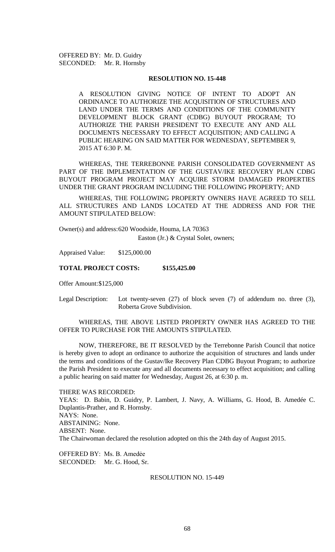OFFERED BY: Mr. D. Guidry SECONDED: Mr. R. Hornsby

#### **RESOLUTION NO. 15-448**

A RESOLUTION GIVING NOTICE OF INTENT TO ADOPT AN ORDINANCE TO AUTHORIZE THE ACQUISITION OF STRUCTURES AND LAND UNDER THE TERMS AND CONDITIONS OF THE COMMUNITY DEVELOPMENT BLOCK GRANT (CDBG) BUYOUT PROGRAM; TO AUTHORIZE THE PARISH PRESIDENT TO EXECUTE ANY AND ALL DOCUMENTS NECESSARY TO EFFECT ACQUISITION; AND CALLING A PUBLIC HEARING ON SAID MATTER FOR WEDNESDAY, SEPTEMBER 9, 2015 AT 6:30 P. M.

WHEREAS, THE TERREBONNE PARISH CONSOLIDATED GOVERNMENT AS PART OF THE IMPLEMENTATION OF THE GUSTAV/IKE RECOVERY PLAN CDBG BUYOUT PROGRAM PROJECT MAY ACQUIRE STORM DAMAGED PROPERTIES UNDER THE GRANT PROGRAM INCLUDING THE FOLLOWING PROPERTY; AND

WHEREAS, THE FOLLOWING PROPERTY OWNERS HAVE AGREED TO SELL ALL STRUCTURES AND LANDS LOCATED AT THE ADDRESS AND FOR THE AMOUNT STIPULATED BELOW:

Owner(s) and address:620 Woodside, Houma, LA 70363 Easton (Jr.) & Crystal Solet, owners;

Appraised Value: \$125,000.00

### **TOTAL PROJECT COSTS: \$155,425.00**

Offer Amount:\$125,000

Legal Description: Lot twenty-seven (27) of block seven (7) of addendum no. three (3), Roberta Grove Subdivision.

WHEREAS, THE ABOVE LISTED PROPERTY OWNER HAS AGREED TO THE OFFER TO PURCHASE FOR THE AMOUNTS STIPULATED.

NOW, THEREFORE, BE IT RESOLVED by the Terrebonne Parish Council that notice is hereby given to adopt an ordinance to authorize the acquisition of structures and lands under the terms and conditions of the Gustav/Ike Recovery Plan CDBG Buyout Program; to authorize the Parish President to execute any and all documents necessary to effect acquisition; and calling a public hearing on said matter for Wednesday, August 26, at 6:30 p. m.

THERE WAS RECORDED: YEAS: D. Babin, D. Guidry, P. Lambert, J. Navy, A. Williams, G. Hood, B. Amedée C. Duplantis-Prather, and R. Hornsby. NAYS: None. ABSTAINING: None. ABSENT: None. The Chairwoman declared the resolution adopted on this the 24th day of August 2015.

OFFERED BY: Ms. B. Amedẻe SECONDED: Mr. G. Hood, Sr.

RESOLUTION NO. 15-449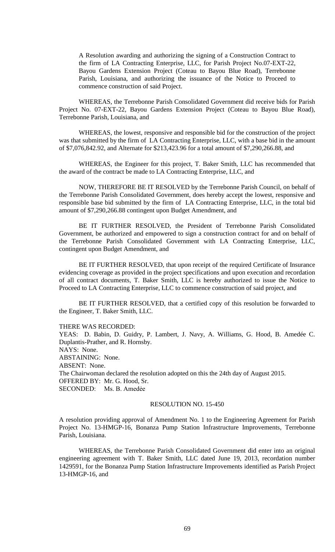A Resolution awarding and authorizing the signing of a Construction Contract to the firm of LA Contracting Enterprise, LLC, for Parish Project No.07-EXT-22, Bayou Gardens Extension Project (Coteau to Bayou Blue Road), Terrebonne Parish, Louisiana, and authorizing the issuance of the Notice to Proceed to commence construction of said Project.

WHEREAS, the Terrebonne Parish Consolidated Government did receive bids for Parish Project No. 07-EXT-22, Bayou Gardens Extension Project (Coteau to Bayou Blue Road), Terrebonne Parish, Louisiana, and

WHEREAS, the lowest, responsive and responsible bid for the construction of the project was that submitted by the firm of LA Contracting Enterprise, LLC, with a base bid in the amount of \$7,076,842.92, and Alternate for \$213,423.96 for a total amount of \$7,290,266.88, and

WHEREAS, the Engineer for this project, T. Baker Smith, LLC has recommended that the award of the contract be made to LA Contracting Enterprise, LLC, and

NOW, THEREFORE BE IT RESOLVED by the Terrebonne Parish Council, on behalf of the Terrebonne Parish Consolidated Government, does hereby accept the lowest, responsive and responsible base bid submitted by the firm of LA Contracting Enterprise, LLC, in the total bid amount of \$7,290,266.88 contingent upon Budget Amendment, and

BE IT FURTHER RESOLVED, the President of Terrebonne Parish Consolidated Government, be authorized and empowered to sign a construction contract for and on behalf of the Terrebonne Parish Consolidated Government with LA Contracting Enterprise, LLC, contingent upon Budget Amendment, and

BE IT FURTHER RESOLVED, that upon receipt of the required Certificate of Insurance evidencing coverage as provided in the project specifications and upon execution and recordation of all contract documents, T. Baker Smith, LLC is hereby authorized to issue the Notice to Proceed to LA Contracting Enterprise, LLC to commence construction of said project, and

BE IT FURTHER RESOLVED, that a certified copy of this resolution be forwarded to the Engineer, T. Baker Smith, LLC.

THERE WAS RECORDED:

YEAS: D. Babin, D. Guidry, P. Lambert, J. Navy, A. Williams, G. Hood, B. Amedée C. Duplantis-Prather, and R. Hornsby. NAYS: None. ABSTAINING: None. ABSENT: None. The Chairwoman declared the resolution adopted on this the 24th day of August 2015. OFFERED BY: Mr. G. Hood, Sr. SECONDED: Ms. B. Amedẻe

### RESOLUTION NO. 15-450

A resolution providing approval of Amendment No. 1 to the Engineering Agreement for Parish Project No. 13-HMGP-16, Bonanza Pump Station Infrastructure Improvements, Terrebonne Parish, Louisiana.

WHEREAS, the Terrebonne Parish Consolidated Government did enter into an original engineering agreement with T. Baker Smith, LLC dated June 19, 2013, recordation number 1429591, for the Bonanza Pump Station Infrastructure Improvements identified as Parish Project 13-HMGP-16, and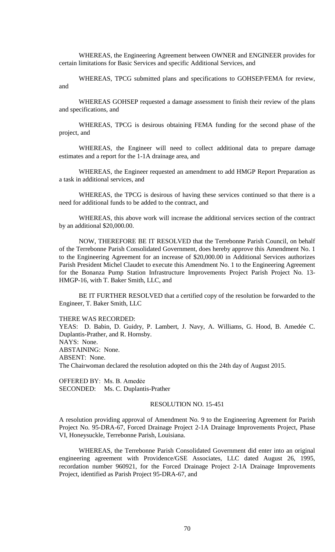WHEREAS, the Engineering Agreement between OWNER and ENGINEER provides for certain limitations for Basic Services and specific Additional Services, and

WHEREAS, TPCG submitted plans and specifications to GOHSEP/FEMA for review, and

WHEREAS GOHSEP requested a damage assessment to finish their review of the plans and specifications, and

WHEREAS, TPCG is desirous obtaining FEMA funding for the second phase of the project, and

WHEREAS, the Engineer will need to collect additional data to prepare damage estimates and a report for the 1-1A drainage area, and

WHEREAS, the Engineer requested an amendment to add HMGP Report Preparation as a task in additional services, and

WHEREAS, the TPCG is desirous of having these services continued so that there is a need for additional funds to be added to the contract, and

WHEREAS, this above work will increase the additional services section of the contract by an additional \$20,000.00.

NOW, THEREFORE BE IT RESOLVED that the Terrebonne Parish Council, on behalf of the Terrebonne Parish Consolidated Government, does hereby approve this Amendment No. 1 to the Engineering Agreement for an increase of \$20,000.00 in Additional Services authorizes Parish President Michel Claudet to execute this Amendment No. 1 to the Engineering Agreement for the Bonanza Pump Station Infrastructure Improvements Project Parish Project No. 13- HMGP-16, with T. Baker Smith, LLC, and

BE IT FURTHER RESOLVED that a certified copy of the resolution be forwarded to the Engineer, T. Baker Smith, LLC

THERE WAS RECORDED:

YEAS: D. Babin, D. Guidry, P. Lambert, J. Navy, A. Williams, G. Hood, B. Amedée C. Duplantis-Prather, and R. Hornsby. NAYS: None. ABSTAINING: None. ABSENT: None. The Chairwoman declared the resolution adopted on this the 24th day of August 2015.

OFFERED BY: Ms. B. Amedẻe

SECONDED: Ms. C. Duplantis-Prather

### RESOLUTION NO. 15-451

A resolution providing approval of Amendment No. 9 to the Engineering Agreement for Parish Project No. 95-DRA-67, Forced Drainage Project 2-1A Drainage Improvements Project, Phase VI, Honeysuckle, Terrebonne Parish, Louisiana.

WHEREAS, the Terrebonne Parish Consolidated Government did enter into an original engineering agreement with Providence/GSE Associates, LLC dated August 26, 1995, recordation number 960921, for the Forced Drainage Project 2-1A Drainage Improvements Project, identified as Parish Project 95-DRA-67, and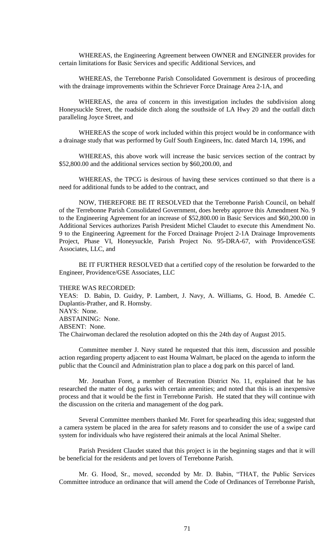WHEREAS, the Engineering Agreement between OWNER and ENGINEER provides for certain limitations for Basic Services and specific Additional Services, and

WHEREAS, the Terrebonne Parish Consolidated Government is desirous of proceeding with the drainage improvements within the Schriever Force Drainage Area 2-1A, and

WHEREAS, the area of concern in this investigation includes the subdivision along Honeysuckle Street, the roadside ditch along the southside of LA Hwy 20 and the outfall ditch paralleling Joyce Street, and

WHEREAS the scope of work included within this project would be in conformance with a drainage study that was performed by Gulf South Engineers, Inc. dated March 14, 1996, and

WHEREAS, this above work will increase the basic services section of the contract by \$52,800.00 and the additional services section by \$60,200.00, and

WHEREAS, the TPCG is desirous of having these services continued so that there is a need for additional funds to be added to the contract, and

NOW, THEREFORE BE IT RESOLVED that the Terrebonne Parish Council, on behalf of the Terrebonne Parish Consolidated Government, does hereby approve this Amendment No. 9 to the Engineering Agreement for an increase of \$52,800.00 in Basic Services and \$60,200.00 in Additional Services authorizes Parish President Michel Claudet to execute this Amendment No. 9 to the Engineering Agreement for the Forced Drainage Project 2-1A Drainage Improvements Project, Phase VI, Honeysuckle, Parish Project No. 95-DRA-67, with Providence/GSE Associates, LLC, and

BE IT FURTHER RESOLVED that a certified copy of the resolution be forwarded to the Engineer, Providence/GSE Associates, LLC

#### THERE WAS RECORDED:

YEAS: D. Babin, D. Guidry, P. Lambert, J. Navy, A. Williams, G. Hood, B. Amedée C. Duplantis-Prather, and R. Hornsby. NAYS: None. ABSTAINING: None. ABSENT: None. The Chairwoman declared the resolution adopted on this the 24th day of August 2015.

Committee member J. Navy stated he requested that this item, discussion and possible action regarding property adjacent to east Houma Walmart, be placed on the agenda to inform the public that the Council and Administration plan to place a dog park on this parcel of land.

Mr. Jonathan Foret, a member of Recreation District No. 11, explained that he has researched the matter of dog parks with certain amenities; and noted that this is an inexpensive process and that it would be the first in Terrebonne Parish. He stated that they will continue with the discussion on the criteria and management of the dog park.

Several Committee members thanked Mr. Foret for spearheading this idea; suggested that a camera system be placed in the area for safety reasons and to consider the use of a swipe card system for individuals who have registered their animals at the local Animal Shelter.

Parish President Claudet stated that this project is in the beginning stages and that it will be beneficial for the residents and pet lovers of Terrebonne Parish.

Mr. G. Hood, Sr., moved, seconded by Mr. D. Babin, "THAT, the Public Services Committee introduce an ordinance that will amend the Code of Ordinances of Terrebonne Parish,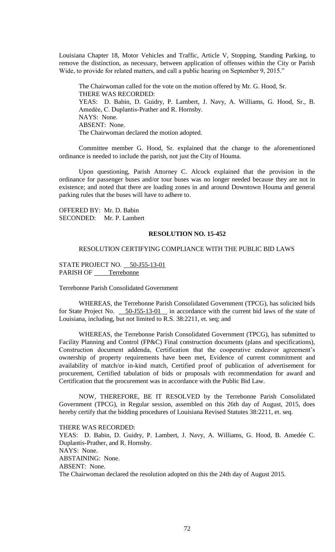Louisiana Chapter 18, Motor Vehicles and Traffic, Article V, Stopping, Standing Parking, to remove the distinction, as necessary, between application of offenses within the City or Parish Wide, to provide for related matters, and call a public hearing on September 9, 2015."

The Chairwoman called for the vote on the motion offered by Mr. G. Hood, Sr. THERE WAS RECORDED: YEAS: D. Babin, D. Guidry, P. Lambert, J. Navy, A. Williams, G. Hood, Sr., B. Amedèe, C. Duplantis-Prather and R. Hornsby. NAYS: None. ABSENT: None. The Chairwoman declared the motion adopted.

Committee member G. Hood, Sr. explained that the change to the aforementioned ordinance is needed to include the parish, not just the City of Houma.

Upon questioning, Parish Attorney C. Alcock explained that the provision in the ordinance for passenger buses and/or tour buses was no longer needed because they are not in existence; and noted that there are loading zones in and around Downtown Houma and general parking rules that the buses will have to adhere to.

OFFERED BY: Mr. D. Babin SECONDED: Mr. P. Lambert

#### **RESOLUTION NO. 15-452**

### RESOLUTION CERTIFYING COMPLIANCE WITH THE PUBLIC BID LAWS

STATE PROJECT NO. 50-J55-13-01 PARISH OF \_\_\_\_\_Terrebonne

Terrebonne Parish Consolidated Government

WHEREAS, the Terrebonne Parish Consolidated Government (TPCG), has solicited bids for State Project No. 50-J55-13-01 in accordance with the current bid laws of the state of Louisiana, including, but not limited to R.S. 38:2211, et. seq; and

WHEREAS, the Terrebonne Parish Consolidated Government (TPCG), has submitted to Facility Planning and Control (FP&C) Final construction documents (plans and specifications), Construction document addenda, Certification that the cooperative endeavor agreement's ownership of property requirements have been met, Evidence of current commitment and availability of match/or in-kind match, Certified proof of publication of advertisement for procurement, Certified tabulation of bids or proposals with recommendation for award and Certification that the procurement was in accordance with the Public Bid Law.

NOW, THEREFORE, BE IT RESOLVED by the Terrebonne Parish Consolidated Government (TPCG), in Regular session, assembled on this 26th day of August, 2015, does hereby certify that the bidding procedures of Louisiana Revised Statutes 38:2211, et. seq.

THERE WAS RECORDED: YEAS: D. Babin, D. Guidry, P. Lambert, J. Navy, A. Williams, G. Hood, B. Amedée C. Duplantis-Prather, and R. Hornsby. NAYS: None. ABSTAINING: None. ABSENT: None. The Chairwoman declared the resolution adopted on this the 24th day of August 2015.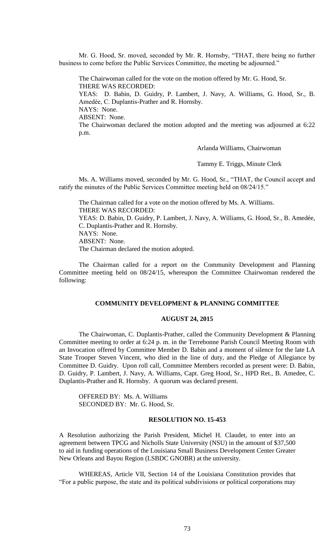Mr. G. Hood, Sr. moved, seconded by Mr. R. Hornsby, "THAT, there being no further business to come before the Public Services Committee, the meeting be adjourned."

The Chairwoman called for the vote on the motion offered by Mr. G. Hood, Sr. THERE WAS RECORDED: YEAS: D. Babin, D. Guidry, P. Lambert, J. Navy, A. Williams, G. Hood, Sr., B. Amedèe, C. Duplantis-Prather and R. Hornsby. NAYS: None. ABSENT: None. The Chairwoman declared the motion adopted and the meeting was adjourned at 6:22 p.m.

Arlanda Williams, Chairwoman

Tammy E. Triggs, Minute Clerk

Ms. A. Williams moved, seconded by Mr. G. Hood, Sr., "THAT, the Council accept and ratify the minutes of the Public Services Committee meeting held on 08/24/15."

The Chairman called for a vote on the motion offered by Ms. A. Williams. THERE WAS RECORDED: YEAS: D. Babin, D. Guidry, P. Lambert, J. Navy, A. Williams, G. Hood, Sr., B. Amedée, C. Duplantis-Prather and R. Hornsby. NAYS: None. ABSENT: None. The Chairman declared the motion adopted.

The Chairman called for a report on the Community Development and Planning Committee meeting held on 08/24/15, whereupon the Committee Chairwoman rendered the following:

#### **COMMUNITY DEVELOPMENT & PLANNING COMMITTEE**

#### **AUGUST 24, 2015**

The Chairwoman, C. Duplantis-Prather, called the Community Development & Planning Committee meeting to order at 6:24 p. m. in the Terrebonne Parish Council Meeting Room with an Invocation offered by Committee Member D. Babin and a moment of silence for the late LA State Trooper Steven Vincent, who died in the line of duty, and the Pledge of Allegiance by Committee D. Guidry. Upon roll call, Committee Members recorded as present were: D. Babin, D. Guidry, P. Lambert, J. Navy, A. Williams, Capt. Greg Hood, Sr., HPD Ret., B. Amedee, C. Duplantis-Prather and R. Hornsby. A quorum was declared present.

OFFERED BY: Ms. A. Williams SECONDED BY: Mr. G. Hood, Sr.

### **RESOLUTION NO. 15-453**

A Resolution authorizing the Parish President, Michel H. Claudet, to enter into an agreement between TPCG and Nicholls State University (NSU) in the amount of \$37,500 to aid in funding operations of the Louisiana Small Business Development Center Greater New Orleans and Bayou Region (LSBDC GNOBR) at the university.

WHEREAS, Article VII, Section 14 of the Louisiana Constitution provides that "For a public purpose, the state and its political subdivisions or political corporations may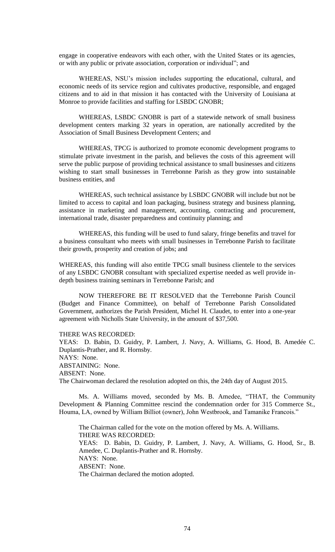engage in cooperative endeavors with each other, with the United States or its agencies, or with any public or private association, corporation or individual"; and

WHEREAS, NSU's mission includes supporting the educational, cultural, and economic needs of its service region and cultivates productive, responsible, and engaged citizens and to aid in that mission it has contacted with the University of Louisiana at Monroe to provide facilities and staffing for LSBDC GNOBR;

WHEREAS, LSBDC GNOBR is part of a statewide network of small business development centers marking 32 years in operation, are nationally accredited by the Association of Small Business Development Centers; and

WHEREAS, TPCG is authorized to promote economic development programs to stimulate private investment in the parish, and believes the costs of this agreement will serve the public purpose of providing technical assistance to small businesses and citizens wishing to start small businesses in Terrebonne Parish as they grow into sustainable business entities, and

WHEREAS, such technical assistance by LSBDC GNOBR will include but not be limited to access to capital and loan packaging, business strategy and business planning, assistance in marketing and management, accounting, contracting and procurement, international trade, disaster preparedness and continuity planning; and

WHEREAS, this funding will be used to fund salary, fringe benefits and travel for a business consultant who meets with small businesses in Terrebonne Parish to facilitate their growth, prosperity and creation of jobs; and

WHEREAS, this funding will also entitle TPCG small business clientele to the services of any LSBDC GNOBR consultant with specialized expertise needed as well provide indepth business training seminars in Terrebonne Parish; and

NOW THEREFORE BE IT RESOLVED that the Terrebonne Parish Council (Budget and Finance Committee), on behalf of Terrebonne Parish Consolidated Government, authorizes the Parish President, Michel H. Claudet, to enter into a one-year agreement with Nicholls State University, in the amount of \$37,500.

THERE WAS RECORDED:

YEAS: D. Babin, D. Guidry, P. Lambert, J. Navy, A. Williams, G. Hood, B. Amedée C. Duplantis-Prather, and R. Hornsby. NAYS: None. ABSTAINING: None. ABSENT: None. The Chairwoman declared the resolution adopted on this, the 24th day of August 2015.

Ms. A. Williams moved, seconded by Ms. B. Amedee, "THAT, the Community Development & Planning Committee rescind the condemnation order for 315 Commerce St., Houma, LA, owned by William Billiot (owner), John Westbrook, and Tamanike Francois."

The Chairman called for the vote on the motion offered by Ms. A. Williams. THERE WAS RECORDED: YEAS: D. Babin, D. Guidry, P. Lambert, J. Navy, A. Williams, G. Hood, Sr., B. Amedee, C. Duplantis-Prather and R. Hornsby. NAYS: None. ABSENT: None. The Chairman declared the motion adopted.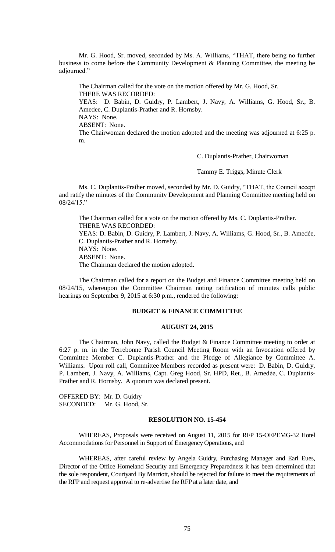Mr. G. Hood, Sr. moved, seconded by Ms. A. Williams, "THAT, there being no further business to come before the Community Development & Planning Committee, the meeting be adjourned."

The Chairman called for the vote on the motion offered by Mr. G. Hood, Sr. THERE WAS RECORDED: YEAS: D. Babin, D. Guidry, P. Lambert, J. Navy, A. Williams, G. Hood, Sr., B. Amedee, C. Duplantis-Prather and R. Hornsby. NAYS: None. ABSENT: None. The Chairwoman declared the motion adopted and the meeting was adjourned at 6:25 p. m.

C. Duplantis-Prather, Chairwoman

Tammy E. Triggs, Minute Clerk

Ms. C. Duplantis-Prather moved, seconded by Mr. D. Guidry, "THAT, the Council accept and ratify the minutes of the Community Development and Planning Committee meeting held on 08/24/15."

The Chairman called for a vote on the motion offered by Ms. C. Duplantis-Prather. THERE WAS RECORDED: YEAS: D. Babin, D. Guidry, P. Lambert, J. Navy, A. Williams, G. Hood, Sr., B. Amedée, C. Duplantis-Prather and R. Hornsby. NAYS: None. ABSENT: None.

The Chairman declared the motion adopted.

The Chairman called for a report on the Budget and Finance Committee meeting held on 08/24/15, whereupon the Committee Chairman noting ratification of minutes calls public hearings on September 9, 2015 at 6:30 p.m., rendered the following:

## **BUDGET & FINANCE COMMITTEE**

#### **AUGUST 24, 2015**

The Chairman, John Navy, called the Budget & Finance Committee meeting to order at 6:27 p. m. in the Terrebonne Parish Council Meeting Room with an Invocation offered by Committee Member C. Duplantis-Prather and the Pledge of Allegiance by Committee A. Williams. Upon roll call, Committee Members recorded as present were: D. Babin, D. Guidry, P. Lambert, J. Navy, A. Williams, Capt. Greg Hood, Sr. HPD, Ret., B. Amedèe, C. Duplantis-Prather and R. Hornsby. A quorum was declared present.

OFFERED BY: Mr. D. Guidry SECONDED: Mr. G. Hood, Sr.

#### **RESOLUTION NO. 15-454**

WHEREAS, Proposals were received on August 11, 2015 for RFP 15-OEPEMG-32 Hotel Accommodations for Personnel in Support of Emergency Operations, and

WHEREAS, after careful review by Angela Guidry, Purchasing Manager and Earl Eues, Director of the Office Homeland Security and Emergency Preparedness it has been determined that the sole respondent, Courtyard By Marriott, should be rejected for failure to meet the requirements of the RFP and request approval to re-advertise the RFP at a later date, and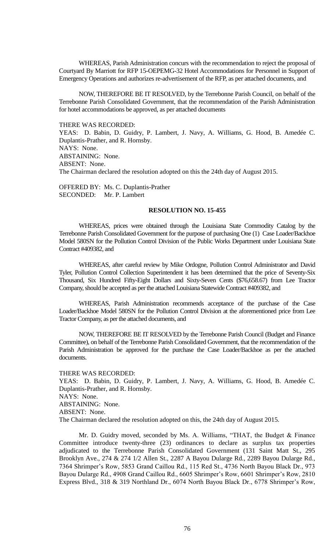WHEREAS, Parish Administration concurs with the recommendation to reject the proposal of Courtyard By Marriott for RFP 15-OEPEMG-32 Hotel Accommodations for Personnel in Support of Emergency Operations and authorizes re-advertisement of the RFP, as per attached documents, and

NOW, THEREFORE BE IT RESOLVED, by the Terrebonne Parish Council, on behalf of the Terrebonne Parish Consolidated Government, that the recommendation of the Parish Administration for hotel accommodations be approved, as per attached documents

#### THERE WAS RECORDED:

YEAS: D. Babin, D. Guidry, P. Lambert, J. Navy, A. Williams, G. Hood, B. Amedée C. Duplantis-Prather, and R. Hornsby. NAYS: None. ABSTAINING: None. ABSENT: None. The Chairman declared the resolution adopted on this the 24th day of August 2015.

OFFERED BY: Ms. C. Duplantis-Prather SECONDED: Mr. P. Lambert

### **RESOLUTION NO. 15-455**

WHEREAS, prices were obtained through the Louisiana State Commodity Catalog by the Terrebonne Parish Consolidated Government for the purpose of purchasing One (1) Case Loader/Backhoe Model 580SN for the Pollution Control Division of the Public Works Department under Louisiana State Contract #409382, and

WHEREAS, after careful review by Mike Ordogne, Pollution Control Administrator and David Tyler, Pollution Control Collection Superintendent it has been determined that the price of Seventy-Six Thousand, Six Hundred Fifty-Eight Dollars and Sixty-Seven Cents (\$76,658.67) from Lee Tractor Company, should be accepted as per the attached Louisiana Statewide Contract #409382, and

WHEREAS, Parish Administration recommends acceptance of the purchase of the Case Loader/Backhoe Model 580SN for the Pollution Control Division at the aforementioned price from Lee Tractor Company, as per the attached documents, and

NOW, THEREFORE BE IT RESOLVED by the Terrebonne Parish Council (Budget and Finance Committee), on behalf of the Terrebonne Parish Consolidated Government, that the recommendation of the Parish Administration be approved for the purchase the Case Loader/Backhoe as per the attached documents.

THERE WAS RECORDED:

YEAS: D. Babin, D. Guidry, P. Lambert, J. Navy, A. Williams, G. Hood, B. Amedée C. Duplantis-Prather, and R. Hornsby. NAYS: None. ABSTAINING: None. ABSENT: None. The Chairman declared the resolution adopted on this, the 24th day of August 2015.

Mr. D. Guidry moved, seconded by Ms. A. Williams, "THAT, the Budget & Finance Committee introduce twenty-three (23) ordinances to declare as surplus tax properties adjudicated to the Terrebonne Parish Consolidated Government (131 Saint Matt St., 295 Brooklyn Ave., 274 & 274 1/2 Allen St., 2287 A Bayou Dularge Rd., 2289 Bayou Dularge Rd., 7364 Shrimper's Row, 5853 Grand Caillou Rd., 115 Red St., 4736 North Bayou Black Dr., 973 Bayou Dularge Rd., 4908 Grand Caillou Rd., 6605 Shrimper's Row, 6601 Shrimper's Row, 2810 Express Blvd., 318 & 319 Northland Dr., 6074 North Bayou Black Dr., 6778 Shrimper's Row,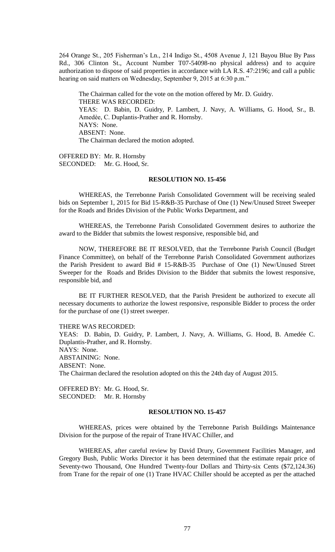264 Orange St., 205 Fisherman's Ln., 214 Indigo St., 4508 Avenue J, 121 Bayou Blue By Pass Rd., 306 Clinton St., Account Number T07-54098-no physical address) and to acquire authorization to dispose of said properties in accordance with LA R.S. 47:2196; and call a public hearing on said matters on Wednesday, September 9, 2015 at 6:30 p.m."

The Chairman called for the vote on the motion offered by Mr. D. Guidry. THERE WAS RECORDED: YEAS: D. Babin, D. Guidry, P. Lambert, J. Navy, A. Williams, G. Hood, Sr., B. Amedèe, C. Duplantis-Prather and R. Hornsby. NAYS: None. ABSENT: None. The Chairman declared the motion adopted.

OFFERED BY: Mr. R. Hornsby SECONDED: Mr. G. Hood, Sr.

### **RESOLUTION NO. 15-456**

WHEREAS, the Terrebonne Parish Consolidated Government will be receiving sealed bids on September 1, 2015 for Bid 15-R&B-35 Purchase of One (1) New/Unused Street Sweeper for the Roads and Brides Division of the Public Works Department, and

WHEREAS, the Terrebonne Parish Consolidated Government desires to authorize the award to the Bidder that submits the lowest responsive, responsible bid, and

NOW, THEREFORE BE IT RESOLVED, that the Terrebonne Parish Council (Budget Finance Committee), on behalf of the Terrebonne Parish Consolidated Government authorizes the Parish President to award Bid # 15-R&B-35 Purchase of One (1) New/Unused Street Sweeper for the Roads and Brides Division to the Bidder that submits the lowest responsive, responsible bid, and

BE IT FURTHER RESOLVED, that the Parish President be authorized to execute all necessary documents to authorize the lowest responsive, responsible Bidder to process the order for the purchase of one (1) street sweeper.

THERE WAS RECORDED:

YEAS: D. Babin, D. Guidry, P. Lambert, J. Navy, A. Williams, G. Hood, B. Amedée C. Duplantis-Prather, and R. Hornsby. NAYS: None. ABSTAINING: None. ABSENT: None. The Chairman declared the resolution adopted on this the 24th day of August 2015.

OFFERED BY: Mr. G. Hood, Sr. SECONDED: Mr. R. Hornsby

### **RESOLUTION NO. 15-457**

WHEREAS, prices were obtained by the Terrebonne Parish Buildings Maintenance Division for the purpose of the repair of Trane HVAC Chiller, and

WHEREAS, after careful review by David Drury, Government Facilities Manager, and Gregory Bush, Public Works Director it has been determined that the estimate repair price of Seventy-two Thousand, One Hundred Twenty-four Dollars and Thirty-six Cents (\$72,124.36) from Trane for the repair of one (1) Trane HVAC Chiller should be accepted as per the attached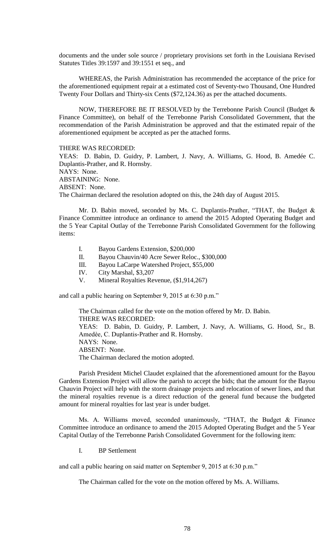documents and the under sole source / proprietary provisions set forth in the Louisiana Revised Statutes Titles 39:1597 and 39:1551 et seq., and

WHEREAS, the Parish Administration has recommended the acceptance of the price for the aforementioned equipment repair at a estimated cost of Seventy-two Thousand, One Hundred Twenty Four Dollars and Thirty-six Cents (\$72,124.36) as per the attached documents.

NOW, THEREFORE BE IT RESOLVED by the Terrebonne Parish Council (Budget & Finance Committee), on behalf of the Terrebonne Parish Consolidated Government, that the recommendation of the Parish Administration be approved and that the estimated repair of the aforementioned equipment be accepted as per the attached forms.

THERE WAS RECORDED: YEAS: D. Babin, D. Guidry, P. Lambert, J. Navy, A. Williams, G. Hood, B. Amedée C. Duplantis-Prather, and R. Hornsby. NAYS: None. ABSTAINING: None. ABSENT: None.

The Chairman declared the resolution adopted on this, the 24th day of August 2015.

Mr. D. Babin moved, seconded by Ms. C. Duplantis-Prather, "THAT, the Budget & Finance Committee introduce an ordinance to amend the 2015 Adopted Operating Budget and the 5 Year Capital Outlay of the Terrebonne Parish Consolidated Government for the following items:

- I. Bayou Gardens Extension, \$200,000
- II. Bayou Chauvin/40 Acre Sewer Reloc., \$300,000
- III. Bayou LaCarpe Watershed Project, \$55,000
- IV. City Marshal, \$3,207
- V. Mineral Royalties Revenue, (\$1,914,267)

and call a public hearing on September 9, 2015 at 6:30 p.m."

The Chairman called for the vote on the motion offered by Mr. D. Babin. THERE WAS RECORDED: YEAS: D. Babin, D. Guidry, P. Lambert, J. Navy, A. Williams, G. Hood, Sr., B. Amedèe, C. Duplantis-Prather and R. Hornsby. NAYS: None. ABSENT: None. The Chairman declared the motion adopted.

Parish President Michel Claudet explained that the aforementioned amount for the Bayou Gardens Extension Project will allow the parish to accept the bids; that the amount for the Bayou Chauvin Project will help with the storm drainage projects and relocation of sewer lines, and that the mineral royalties revenue is a direct reduction of the general fund because the budgeted amount for mineral royalties for last year is under budget.

Ms. A. Williams moved, seconded unanimously, "THAT, the Budget & Finance Committee introduce an ordinance to amend the 2015 Adopted Operating Budget and the 5 Year Capital Outlay of the Terrebonne Parish Consolidated Government for the following item:

I. BP Settlement

and call a public hearing on said matter on September 9, 2015 at 6:30 p.m."

The Chairman called for the vote on the motion offered by Ms. A. Williams.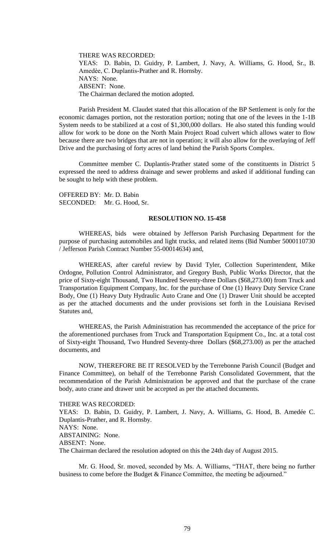THERE WAS RECORDED: YEAS: D. Babin, D. Guidry, P. Lambert, J. Navy, A. Williams, G. Hood, Sr., B. Amedèe, C. Duplantis-Prather and R. Hornsby. NAYS: None. ABSENT: None. The Chairman declared the motion adopted.

Parish President M. Claudet stated that this allocation of the BP Settlement is only for the economic damages portion, not the restoration portion; noting that one of the levees in the 1-1B System needs to be stabilized at a cost of \$1,300,000 dollars. He also stated this funding would allow for work to be done on the North Main Project Road culvert which allows water to flow because there are two bridges that are not in operation; it will also allow for the overlaying of Jeff Drive and the purchasing of forty acres of land behind the Parish Sports Complex.

Committee member C. Duplantis-Prather stated some of the constituents in District 5 expressed the need to address drainage and sewer problems and asked if additional funding can be sought to help with these problem.

OFFERED BY: Mr. D. Babin SECONDED: Mr. G. Hood, Sr.

### **RESOLUTION NO. 15-458**

WHEREAS, bids were obtained by Jefferson Parish Purchasing Department for the purpose of purchasing automobiles and light trucks, and related items (Bid Number 5000110730 / Jefferson Parish Contract Number 55-00014634) and,

WHEREAS, after careful review by David Tyler, Collection Superintendent, Mike Ordogne, Pollution Control Administrator, and Gregory Bush, Public Works Director, that the price of Sixty-eight Thousand, Two Hundred Seventy-three Dollars (\$68,273.00) from Truck and Transportation Equipment Company, Inc. for the purchase of One (1) Heavy Duty Service Crane Body, One (1) Heavy Duty Hydraulic Auto Crane and One (1) Drawer Unit should be accepted as per the attached documents and the under provisions set forth in the Louisiana Revised Statutes and,

WHEREAS, the Parish Administration has recommended the acceptance of the price for the aforementioned purchases from Truck and Transportation Equipment Co., Inc. at a total cost of Sixty-eight Thousand, Two Hundred Seventy-three Dollars (\$68,273.00) as per the attached documents, and

NOW, THEREFORE BE IT RESOLVED by the Terrebonne Parish Council (Budget and Finance Committee), on behalf of the Terrebonne Parish Consolidated Government, that the recommendation of the Parish Administration be approved and that the purchase of the crane body, auto crane and drawer unit be accepted as per the attached documents.

THERE WAS RECORDED:

YEAS: D. Babin, D. Guidry, P. Lambert, J. Navy, A. Williams, G. Hood, B. Amedée C. Duplantis-Prather, and R. Hornsby. NAYS: None. ABSTAINING: None. ABSENT: None. The Chairman declared the resolution adopted on this the 24th day of August 2015.

Mr. G. Hood, Sr. moved, seconded by Ms. A. Williams, "THAT, there being no further business to come before the Budget & Finance Committee, the meeting be adjourned."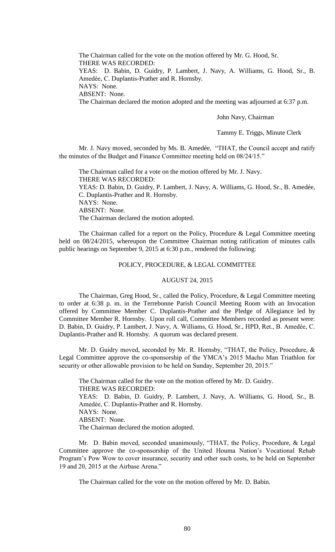The Chairman called for the vote on the motion offered by Mr. G. Hood, Sr. THERE WAS RECORDED: YEAS: D. Babin, D. Guidry, P. Lambert, J. Navy, A. Williams, G. Hood, Sr., B. Amedèe, C. Duplantis-Prather and R. Hornsby. NAYS: None. ABSENT: None. The Chairman declared the motion adopted and the meeting was adjourned at 6:37 p.m.

John Navy, Chairman

Tammy E. Triggs, Minute Clerk

Mr. J. Navy moved, seconded by Ms. B. Amedée, "THAT, the Council accept and ratify the minutes of the Budget and Finance Committee meeting held on 08/24/15."

The Chairman called for a vote on the motion offered by Mr. J. Navy. THERE WAS RECORDED: YEAS: D. Babin, D. Guidry, P. Lambert, J. Navy, A. Williams, G. Hood, Sr., B. Amedée, C. Duplantis-Prather and R. Hornsby. NAYS: None. ABSENT: None. The Chairman declared the motion adopted.

The Chairman called for a report on the Policy, Procedure & Legal Committee meeting held on 08/24/2015, whereupon the Committee Chairman noting ratification of minutes calls public hearings on September 9, 2015 at 6:30 p.m., rendered the following:

### POLICY, PROCEDURE, & LEGAL COMMITTEE

### AUGUST 24, 2015

The Chairman, Greg Hood, Sr., called the Policy, Procedure, & Legal Committee meeting to order at 6:38 p. m. in the Terrebonne Parish Council Meeting Room with an Invocation offered by Committee Member C. Duplantis-Prather and the Pledge of Allegiance led by Committee Member R. Hornsby. Upon roll call, Committee Members recorded as present were: D. Babin, D. Guidry, P. Lambert, J. Navy, A. Williams, G. Hood, Sr., HPD, Ret., B. Amedèe, C. Duplantis-Prather and R. Hornsby. A quorum was declared present.

Mr. D. Guidry moved, seconded by Mr. R. Hornsby, "THAT, the Policy, Procedure, & Legal Committee approve the co-sponsorship of the YMCA's 2015 Macho Man Triathlon for security or other allowable provision to be held on Sunday, September 20, 2015."

The Chairman called for the vote on the motion offered by Mr. D. Guidry. THERE WAS RECORDED: YEAS: D. Babin, D. Guidry, P. Lambert, J. Navy, A. Williams, G. Hood, Sr., B. Amedèe, C. Duplantis-Prather and R. Hornsby. NAYS: None. ABSENT: None. The Chairman declared the motion adopted.

 Mr. D. Babin moved, seconded unanimously, "THAT, the Policy, Procedure, & Legal Committee approve the co-sponsorship of the United Houma Nation's Vocational Rehab Program's Pow Wow to cover insurance, security and other such costs, to be held on September 19 and 20, 2015 at the Airbase Arena."

The Chairman called for the vote on the motion offered by Mr. D. Babin.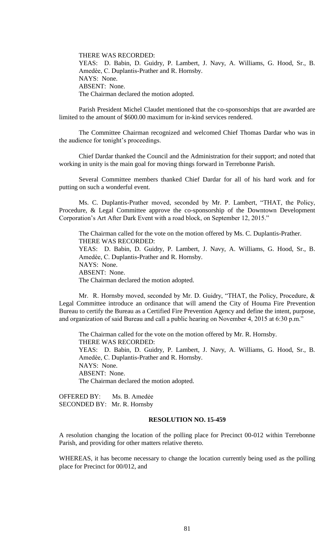THERE WAS RECORDED: YEAS: D. Babin, D. Guidry, P. Lambert, J. Navy, A. Williams, G. Hood, Sr., B. Amedèe, C. Duplantis-Prather and R. Hornsby. NAYS: None. ABSENT: None. The Chairman declared the motion adopted.

Parish President Michel Claudet mentioned that the co-sponsorships that are awarded are limited to the amount of \$600.00 maximum for in-kind services rendered.

The Committee Chairman recognized and welcomed Chief Thomas Dardar who was in the audience for tonight's proceedings.

Chief Dardar thanked the Council and the Administration for their support; and noted that working in unity is the main goal for moving things forward in Terrebonne Parish.

Several Committee members thanked Chief Dardar for all of his hard work and for putting on such a wonderful event.

Ms. C. Duplantis-Prather moved, seconded by Mr. P. Lambert, "THAT, the Policy, Procedure, & Legal Committee approve the co-sponsorship of the Downtown Development Corporation's Art After Dark Event with a road block, on September 12, 2015."

The Chairman called for the vote on the motion offered by Ms. C. Duplantis-Prather. THERE WAS RECORDED: YEAS: D. Babin, D. Guidry, P. Lambert, J. Navy, A. Williams, G. Hood, Sr., B. Amedèe, C. Duplantis-Prather and R. Hornsby. NAYS: None. ABSENT: None. The Chairman declared the motion adopted.

Mr. R. Hornsby moved, seconded by Mr. D. Guidry, "THAT, the Policy, Procedure, & Legal Committee introduce an ordinance that will amend the City of Houma Fire Prevention Bureau to certify the Bureau as a Certified Fire Prevention Agency and define the intent, purpose, and organization of said Bureau and call a public hearing on November 4, 2015 at 6:30 p.m."

The Chairman called for the vote on the motion offered by Mr. R. Hornsby. THERE WAS RECORDED: YEAS: D. Babin, D. Guidry, P. Lambert, J. Navy, A. Williams, G. Hood, Sr., B. Amedèe, C. Duplantis-Prather and R. Hornsby. NAYS: None. ABSENT: None. The Chairman declared the motion adopted.

OFFERED BY: Ms. B. Amedẻe SECONDED BY: Mr. R. Hornsby

# **RESOLUTION NO. 15-459**

A resolution changing the location of the polling place for Precinct 00-012 within Terrebonne Parish, and providing for other matters relative thereto.

WHEREAS, it has become necessary to change the location currently being used as the polling place for Precinct for 00/012, and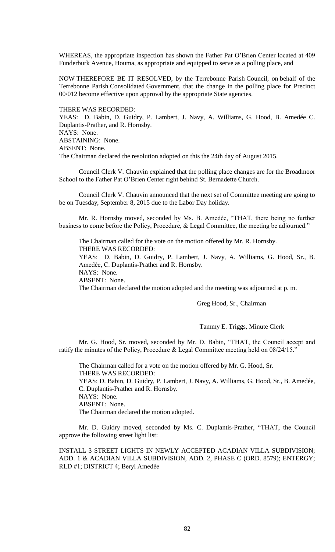WHEREAS, the appropriate inspection has shown the Father Pat O'Brien Center located at 409 Funderburk Avenue, Houma, as appropriate and equipped to serve as a polling place, and

NOW THEREFORE BE IT RESOLVED, by the Terrebonne Parish Council, on behalf of the Terrebonne Parish Consolidated Government, that the change in the polling place for Precinct 00/012 become effective upon approval by the appropriate State agencies.

THERE WAS RECORDED:

YEAS: D. Babin, D. Guidry, P. Lambert, J. Navy, A. Williams, G. Hood, B. Amedée C. Duplantis-Prather, and R. Hornsby. NAYS: None. ABSTAINING: None. ABSENT: None.

The Chairman declared the resolution adopted on this the 24th day of August 2015.

Council Clerk V. Chauvin explained that the polling place changes are for the Broadmoor School to the Father Pat O'Brien Center right behind St. Bernadette Church.

Council Clerk V. Chauvin announced that the next set of Committee meeting are going to be on Tuesday, September 8, 2015 due to the Labor Day holiday.

Mr. R. Hornsby moved, seconded by Ms. B. Amedèe, "THAT, there being no further business to come before the Policy, Procedure, & Legal Committee, the meeting be adjourned."

The Chairman called for the vote on the motion offered by Mr. R. Hornsby. THERE WAS RECORDED: YEAS: D. Babin, D. Guidry, P. Lambert, J. Navy, A. Williams, G. Hood, Sr., B. Amedèe, C. Duplantis-Prather and R. Hornsby. NAYS: None. ABSENT: None. The Chairman declared the motion adopted and the meeting was adjourned at p. m.

Greg Hood, Sr., Chairman

Tammy E. Triggs, Minute Clerk

Mr. G. Hood, Sr. moved, seconded by Mr. D. Babin, "THAT, the Council accept and ratify the minutes of the Policy, Procedure & Legal Committee meeting held on 08/24/15."

The Chairman called for a vote on the motion offered by Mr. G. Hood, Sr. THERE WAS RECORDED: YEAS: D. Babin, D. Guidry, P. Lambert, J. Navy, A. Williams, G. Hood, Sr., B. Amedée, C. Duplantis-Prather and R. Hornsby. NAYS: None. ABSENT: None. The Chairman declared the motion adopted.

Mr. D. Guidry moved, seconded by Ms. C. Duplantis-Prather, "THAT, the Council approve the following street light list:

INSTALL 3 STREET LIGHTS IN NEWLY ACCEPTED ACADIAN VILLA SUBDIVISION; ADD. 1 & ACADIAN VILLA SUBDIVISION, ADD. 2, PHASE C (ORD. 8579); ENTERGY; RLD #1; DISTRICT 4; Beryl Amedẻe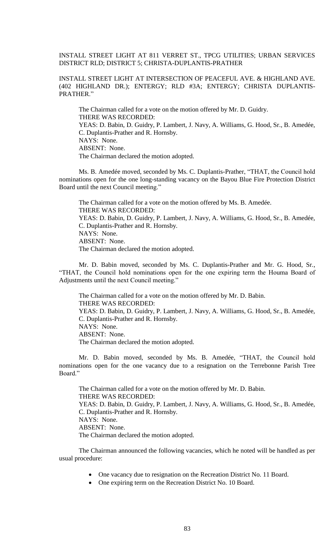INSTALL STREET LIGHT AT 811 VERRET ST., TPCG UTILITIES; URBAN SERVICES DISTRICT RLD; DISTRICT 5; CHRISTA-DUPLANTIS-PRATHER

INSTALL STREET LIGHT AT INTERSECTION OF PEACEFUL AVE. & HIGHLAND AVE. (402 HIGHLAND DR.); ENTERGY; RLD #3A; ENTERGY; CHRISTA DUPLANTIS-PRATHER."

The Chairman called for a vote on the motion offered by Mr. D. Guidry. THERE WAS RECORDED: YEAS: D. Babin, D. Guidry, P. Lambert, J. Navy, A. Williams, G. Hood, Sr., B. Amedée, C. Duplantis-Prather and R. Hornsby. NAYS: None. ABSENT: None. The Chairman declared the motion adopted.

Ms. B. Amedée moved, seconded by Ms. C. Duplantis-Prather, "THAT, the Council hold nominations open for the one long-standing vacancy on the Bayou Blue Fire Protection District Board until the next Council meeting."

The Chairman called for a vote on the motion offered by Ms. B. Amedée. THERE WAS RECORDED: YEAS: D. Babin, D. Guidry, P. Lambert, J. Navy, A. Williams, G. Hood, Sr., B. Amedée, C. Duplantis-Prather and R. Hornsby. NAYS: None. ABSENT: None. The Chairman declared the motion adopted.

Mr. D. Babin moved, seconded by Ms. C. Duplantis-Prather and Mr. G. Hood, Sr., "THAT, the Council hold nominations open for the one expiring term the Houma Board of Adjustments until the next Council meeting."

The Chairman called for a vote on the motion offered by Mr. D. Babin. THERE WAS RECORDED: YEAS: D. Babin, D. Guidry, P. Lambert, J. Navy, A. Williams, G. Hood, Sr., B. Amedée, C. Duplantis-Prather and R. Hornsby. NAYS: None. ABSENT: None. The Chairman declared the motion adopted.

Mr. D. Babin moved, seconded by Ms. B. Amedée, "THAT, the Council hold nominations open for the one vacancy due to a resignation on the Terrebonne Parish Tree Board<sup>"</sup>

The Chairman called for a vote on the motion offered by Mr. D. Babin. THERE WAS RECORDED: YEAS: D. Babin, D. Guidry, P. Lambert, J. Navy, A. Williams, G. Hood, Sr., B. Amedée, C. Duplantis-Prather and R. Hornsby. NAYS: None. ABSENT: None. The Chairman declared the motion adopted.

The Chairman announced the following vacancies, which he noted will be handled as per usual procedure:

- One vacancy due to resignation on the Recreation District No. 11 Board.
- One expiring term on the Recreation District No. 10 Board.